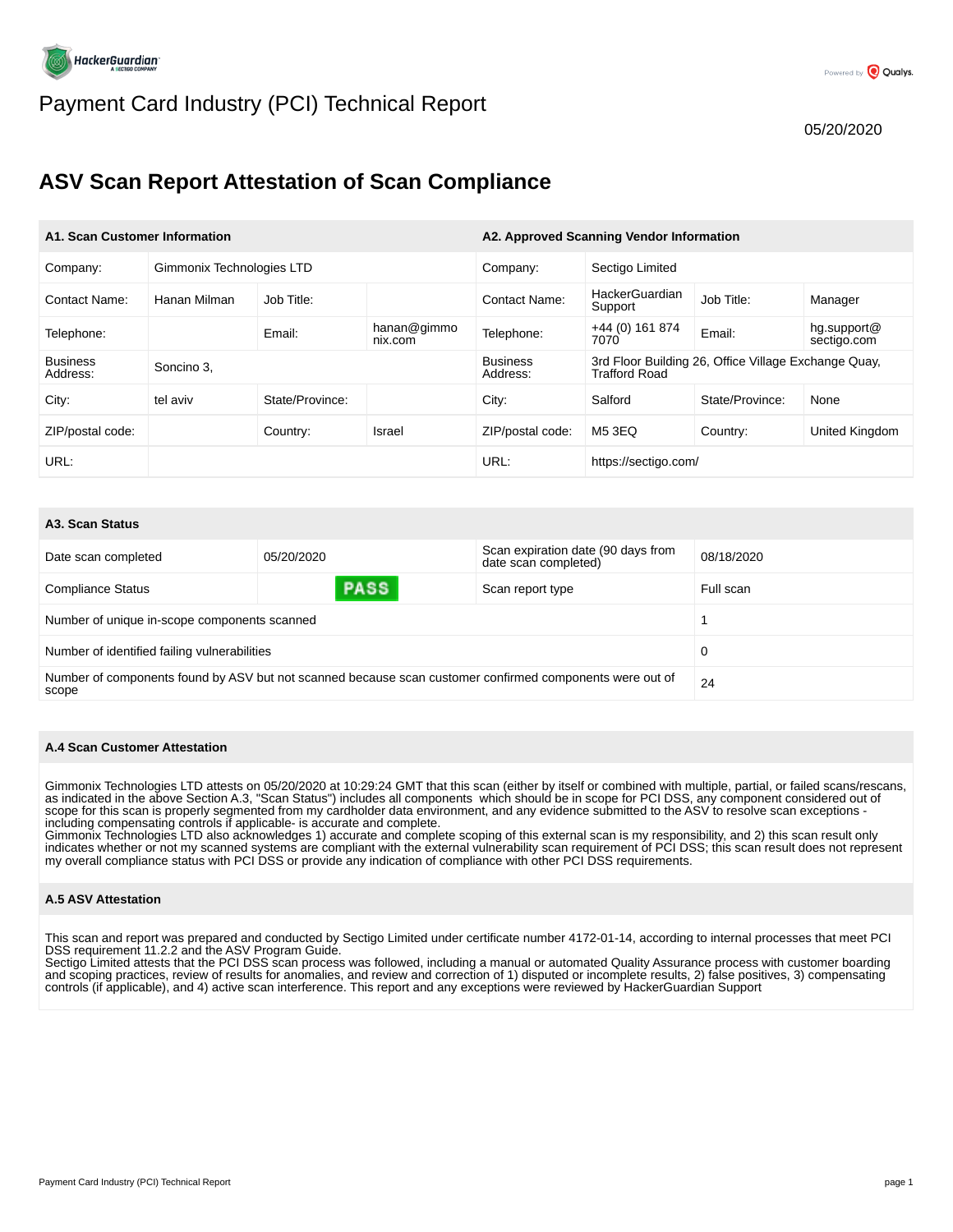

# Payment Card Industry (PCI) Technical Report

# **ASV Scan Report Attestation of Scan Compliance**

| A1. Scan Customer Information |                           |                 | A2. Approved Scanning Vendor Information |                             |                           |                                                      |                            |
|-------------------------------|---------------------------|-----------------|------------------------------------------|-----------------------------|---------------------------|------------------------------------------------------|----------------------------|
| Company:                      | Gimmonix Technologies LTD |                 |                                          | Company:                    | Sectigo Limited           |                                                      |                            |
| <b>Contact Name:</b>          | Hanan Milman              | Job Title:      |                                          | <b>Contact Name:</b>        | HackerGuardian<br>Support | Job Title:                                           | Manager                    |
| Telephone:                    |                           | Email:          | hanan@gimmo<br>nix.com                   | Telephone:                  | $+44(0)$ 161 874<br>7070  | Email:                                               | hg.support@<br>sectigo.com |
| <b>Business</b><br>Address:   | Soncino 3.                |                 |                                          | <b>Business</b><br>Address: | Trafford Road             | 3rd Floor Building 26, Office Village Exchange Quay, |                            |
| City:                         | tel aviv                  | State/Province: |                                          | City:                       | Salford                   | State/Province:                                      | None                       |
| ZIP/postal code:              |                           | Country:        | Israel                                   | ZIP/postal code:            | M5 3EQ                    | Country:                                             | United Kingdom             |
| URL:                          |                           |                 |                                          | URL:                        | https://sectigo.com/      |                                                      |                            |

#### **A3. Scan Status**

| Date scan completed                                                                                                     | 05/20/2020  | Scan expiration date (90 days from<br>date scan completed) | 08/18/2020 |  |
|-------------------------------------------------------------------------------------------------------------------------|-------------|------------------------------------------------------------|------------|--|
| <b>Compliance Status</b>                                                                                                | <b>PASS</b> | Scan report type                                           | Full scan  |  |
| Number of unique in-scope components scanned                                                                            |             |                                                            |            |  |
| Number of identified failing vulnerabilities                                                                            |             |                                                            |            |  |
| Number of components found by ASV but not scanned because scan customer confirmed components were out of<br>24<br>scope |             |                                                            |            |  |

#### **A.4 Scan Customer Attestation**

Gimmonix Technologies LTD attests on 05/20/2020 at 10:29:24 GMT that this scan (either by itself or combined with multiple, partial, or failed scans/rescans,<br>as indicated in the above Section A.3, "Scan Status") includes a scope for this scan is properly segmented from my cardholder data environment, and any evidence submitted to the ASV to resolve scan exceptions including compensating controls if applicable- is accurate and complete.

Gimmonix Technologies LTD also acknowledges 1) accurate and complete scoping of this external scan is my responsibility, and 2) this scan result only indicates whether or not my scanned systems are compliant with the external vulnerability scan requirement of PCI DSS; this scan result does not represent my overall compliance status with PCI DSS or provide any indication of compliance with other PCI DSS requirements.

#### **A.5 ASV Attestation**

This scan and report was prepared and conducted by Sectigo Limited under certificate number 4172-01-14, according to internal processes that meet PCI DSS requirement 11.2.2 and the ASV Program Guide.

Sectigo Limited attests that the PCI DSS scan process was followed, including a manual or automated Quality Assurance process with customer boarding and scoping practices, review of results for anomalies, and review and correction of 1) disputed or incomplete results, 2) false positives, 3) compensating controls (if applicable), and 4) active scan interference. This report and any exceptions were reviewed by HackerGuardian Support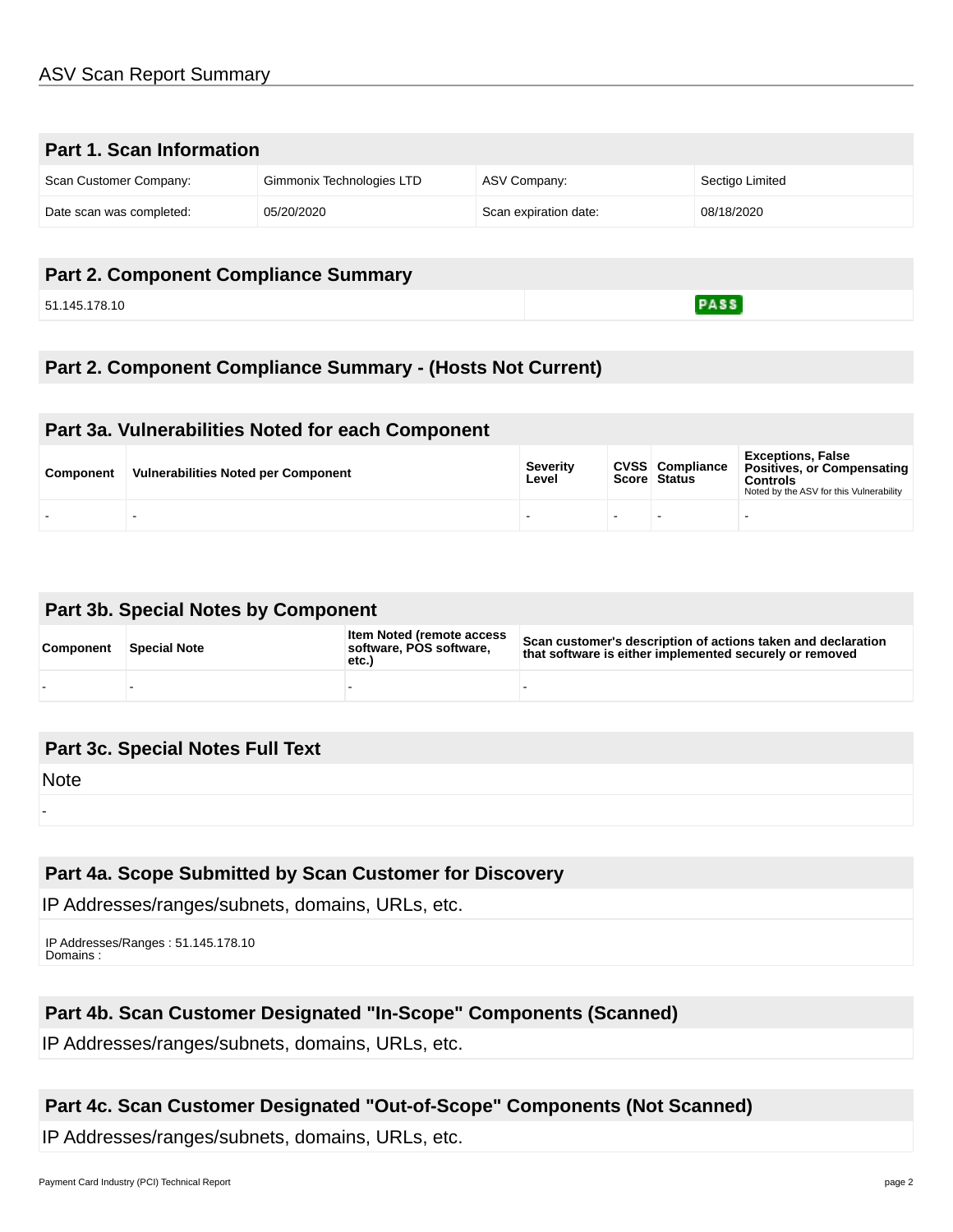| Part 1. Scan Information |                           |                       |                 |  |
|--------------------------|---------------------------|-----------------------|-----------------|--|
| Scan Customer Company:   | Gimmonix Technologies LTD | ASV Company:          | Sectigo Limited |  |
| Date scan was completed: | 05/20/2020                | Scan expiration date: | 08/18/2020      |  |

## **Part 2. Component Compliance Summary**

51.145.178.10

 $PASS$ 

## **Part 2. Component Compliance Summary - (Hosts Not Current)**

## **Part 3a. Vulnerabilities Noted for each Component**

| <b>Component</b> | <b>Vulnerabilities Noted per Component</b> | <b>Severity</b><br>Level | <b>CVSS</b> Compliance<br>Score Status | <b>Exceptions, False</b><br>Positives, or Compensating<br><b>Controls</b><br>Noted by the ASV for this Vulnerability |
|------------------|--------------------------------------------|--------------------------|----------------------------------------|----------------------------------------------------------------------------------------------------------------------|
|                  |                                            |                          |                                        | $\overline{\phantom{0}}$                                                                                             |

# **Part 3b. Special Notes by Component**

| Component | <b>Special Note</b> | Item Noted (remote access<br>software. POS software.<br>etc.) | Scan customer's description of actions taken and declaration<br>that software is either implemented securely or removed |
|-----------|---------------------|---------------------------------------------------------------|-------------------------------------------------------------------------------------------------------------------------|
|           |                     |                                                               |                                                                                                                         |

## **Part 3c. Special Notes Full Text**

**Note** 

## **Part 4a. Scope Submitted by Scan Customer for Discovery**

IP Addresses/ranges/subnets, domains, URLs, etc.

```
 IP Addresses/Ranges : 51.145.178.10
Domains :
```
## **Part 4b. Scan Customer Designated "In-Scope" Components (Scanned)**

IP Addresses/ranges/subnets, domains, URLs, etc.

## **Part 4c. Scan Customer Designated "Out-of-Scope" Components (Not Scanned)**

IP Addresses/ranges/subnets, domains, URLs, etc.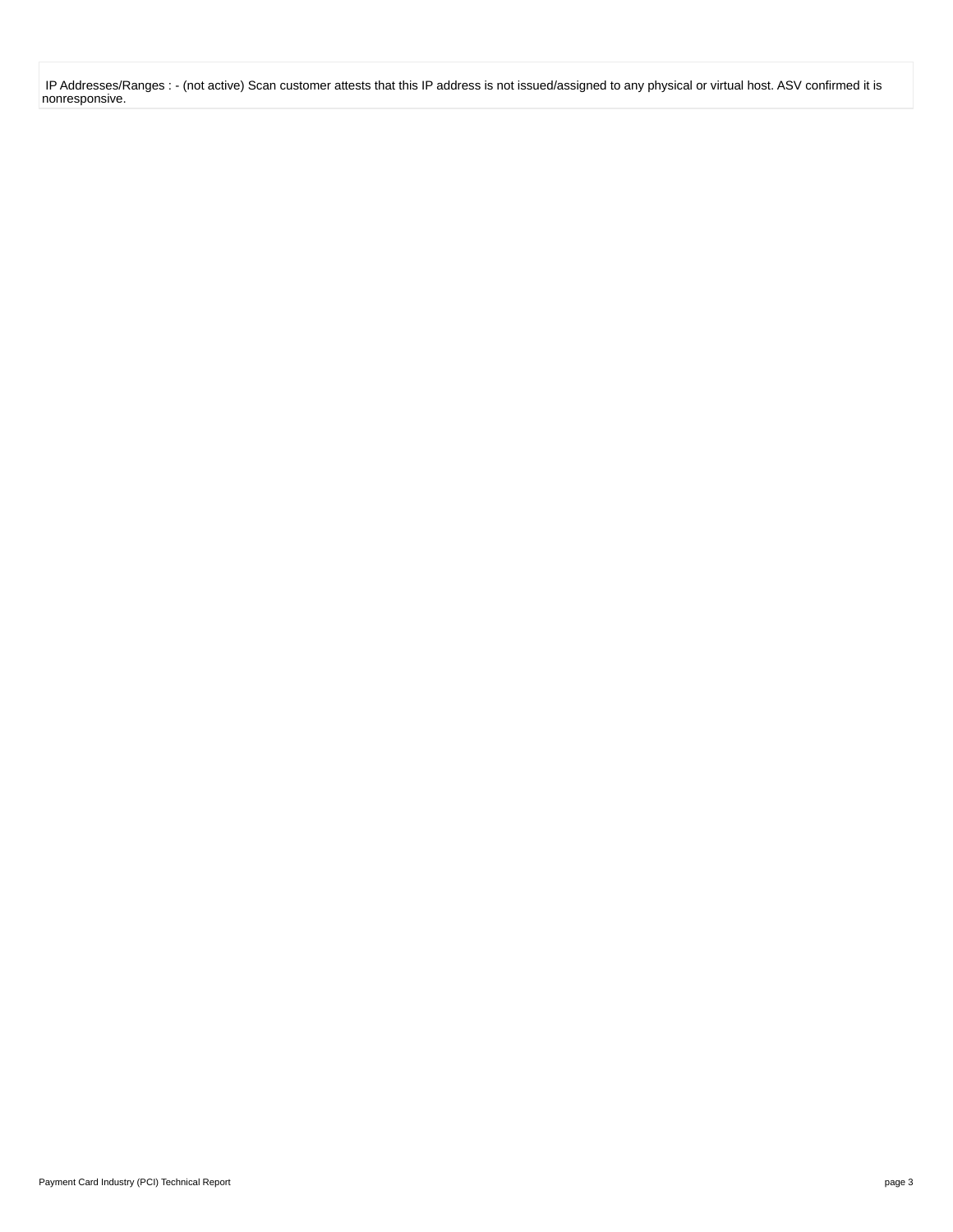IP Addresses/Ranges : - (not active) Scan customer attests that this IP address is not issued/assigned to any physical or virtual host. ASV confirmed it is nonresponsive.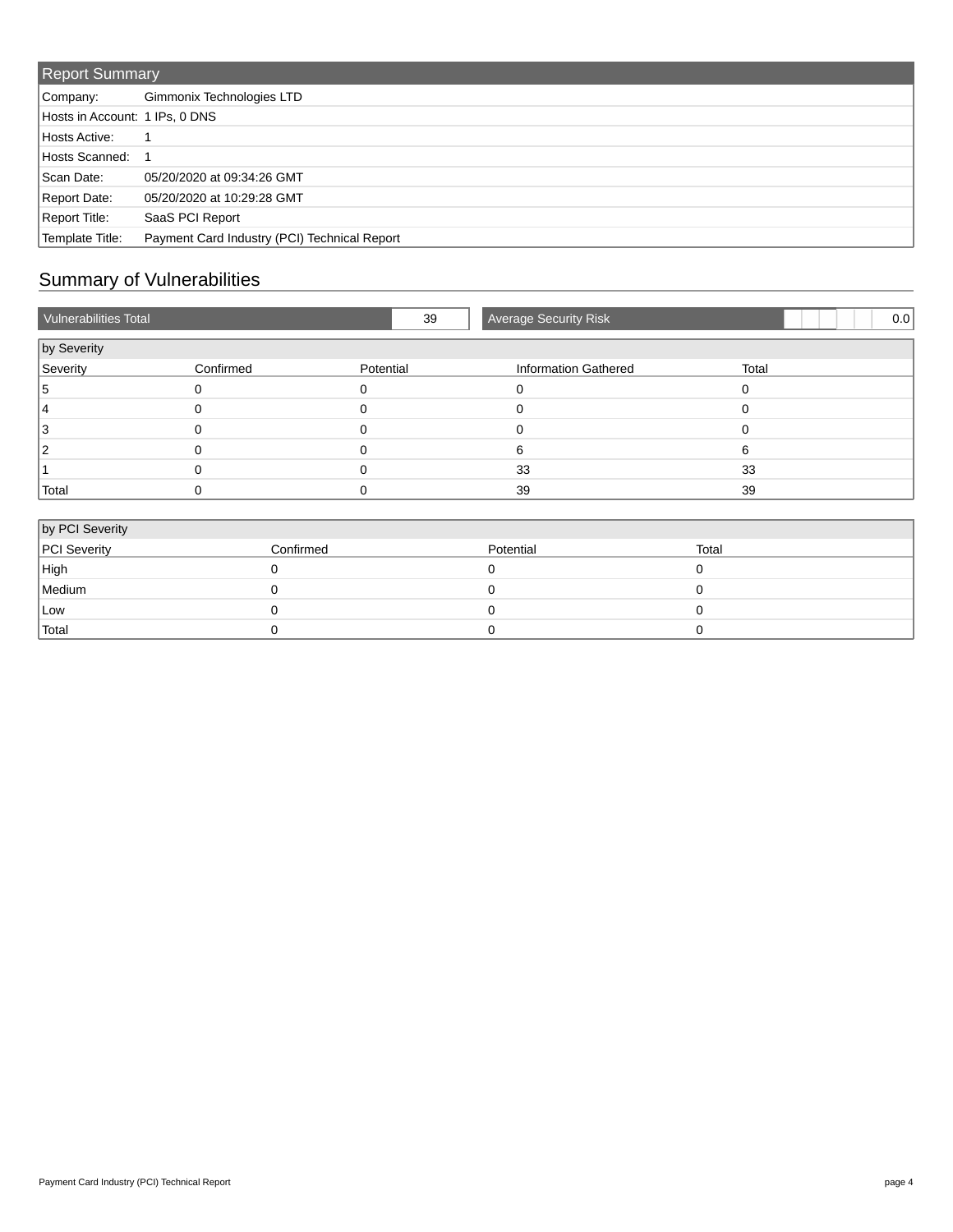| <b>Report Summary</b>          |                                              |  |  |
|--------------------------------|----------------------------------------------|--|--|
| Company:                       | Gimmonix Technologies LTD                    |  |  |
| Hosts in Account: 1 IPs, 0 DNS |                                              |  |  |
| Hosts Active:                  |                                              |  |  |
| Hosts Scanned:                 |                                              |  |  |
| Scan Date:                     | 05/20/2020 at 09:34:26 GMT                   |  |  |
| Report Date:                   | 05/20/2020 at 10:29:28 GMT                   |  |  |
| Report Title:                  | SaaS PCI Report                              |  |  |
| Template Title:                | Payment Card Industry (PCI) Technical Report |  |  |

# Summary of Vulnerabilities

| Vulnerabilities Total |           | 39           | <b>Average Security Risk</b> |          | 0.0 |
|-----------------------|-----------|--------------|------------------------------|----------|-----|
| by Severity           |           |              |                              |          |     |
| Severity              | Confirmed | Potential    | <b>Information Gathered</b>  | Total    |     |
| Ð                     | 0         | <sup>0</sup> |                              | 0        |     |
|                       |           |              |                              | $\Omega$ |     |
|                       |           |              |                              | $\Omega$ |     |
|                       |           |              | 6                            | 6        |     |
|                       |           |              | 33                           | 33       |     |
| Total                 | 0         | 0            | 39                           | 39       |     |
| by PCI Severity       |           |              |                              |          |     |
| PCI Severity          | Confirmed |              | Potential                    | Total    |     |
| High                  | $\Omega$  |              | $\Omega$                     | $\Omega$ |     |

| <b>PUI Severity</b> | Confirmed | Potential | ιοται |
|---------------------|-----------|-----------|-------|
| High                |           |           |       |
| Medium              |           |           |       |
| Low                 |           |           |       |
| Total               |           |           |       |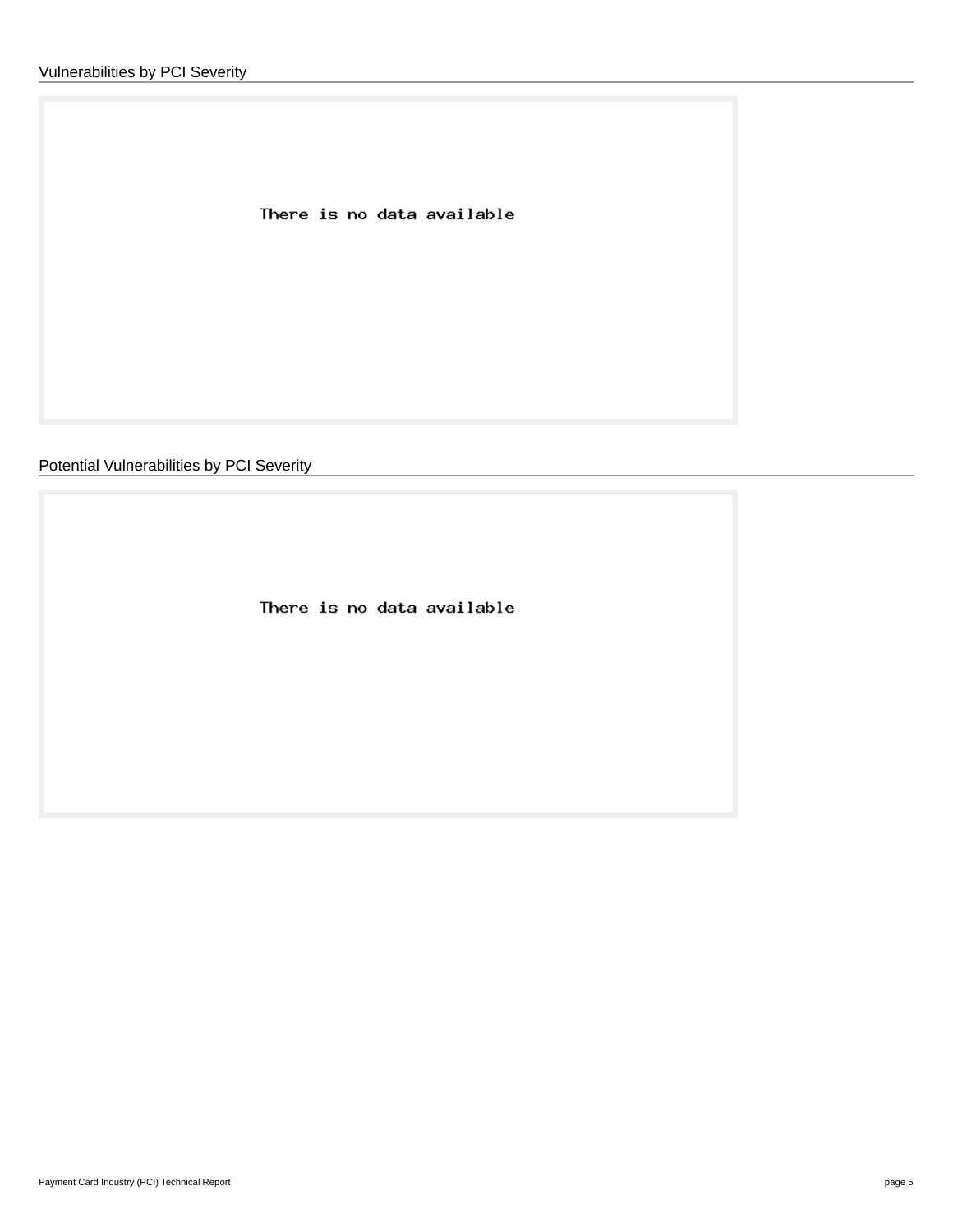There is no data available

Potential Vulnerabilities by PCI Severity

There is no data available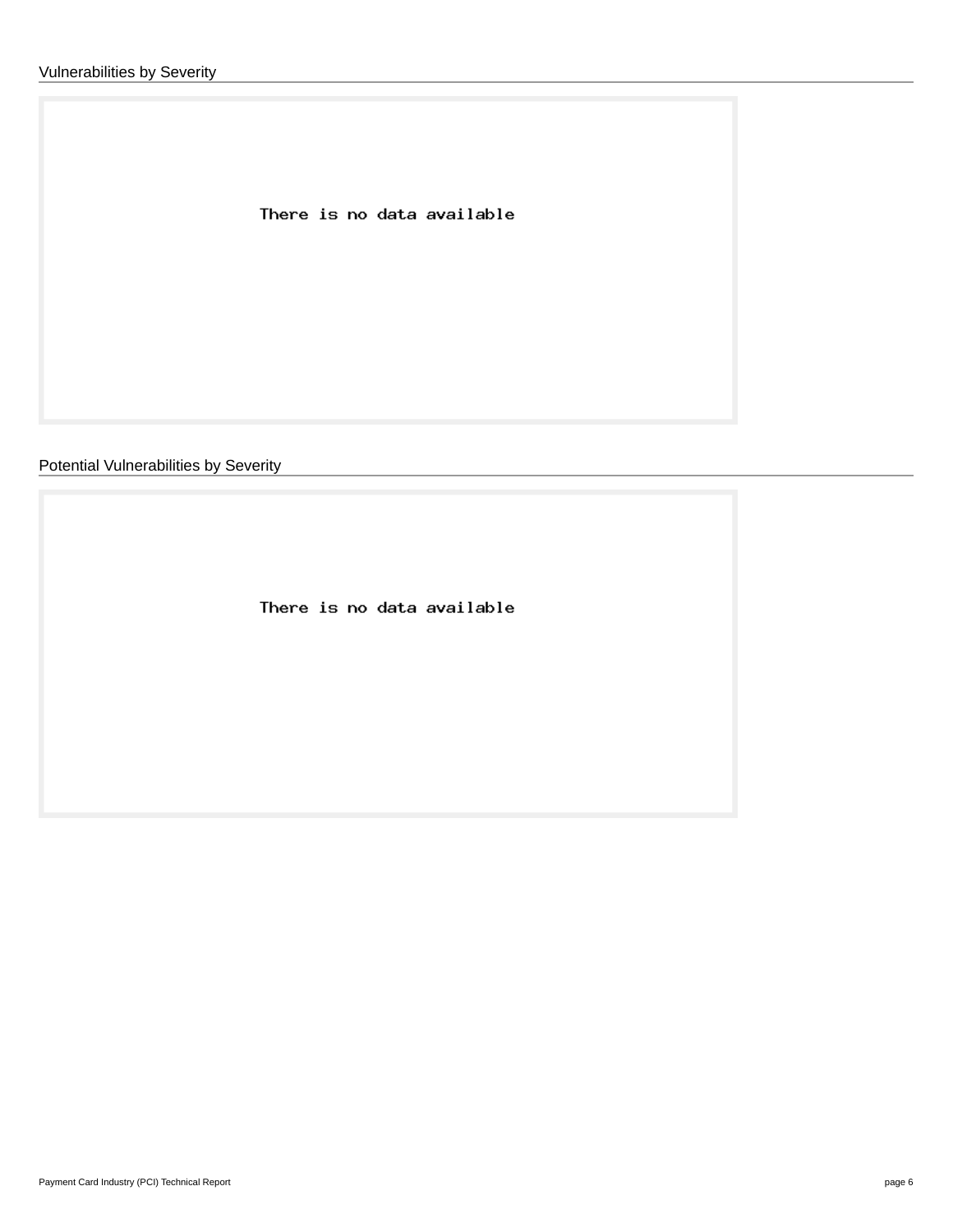There is no data available

Potential Vulnerabilities by Severity

There is no data available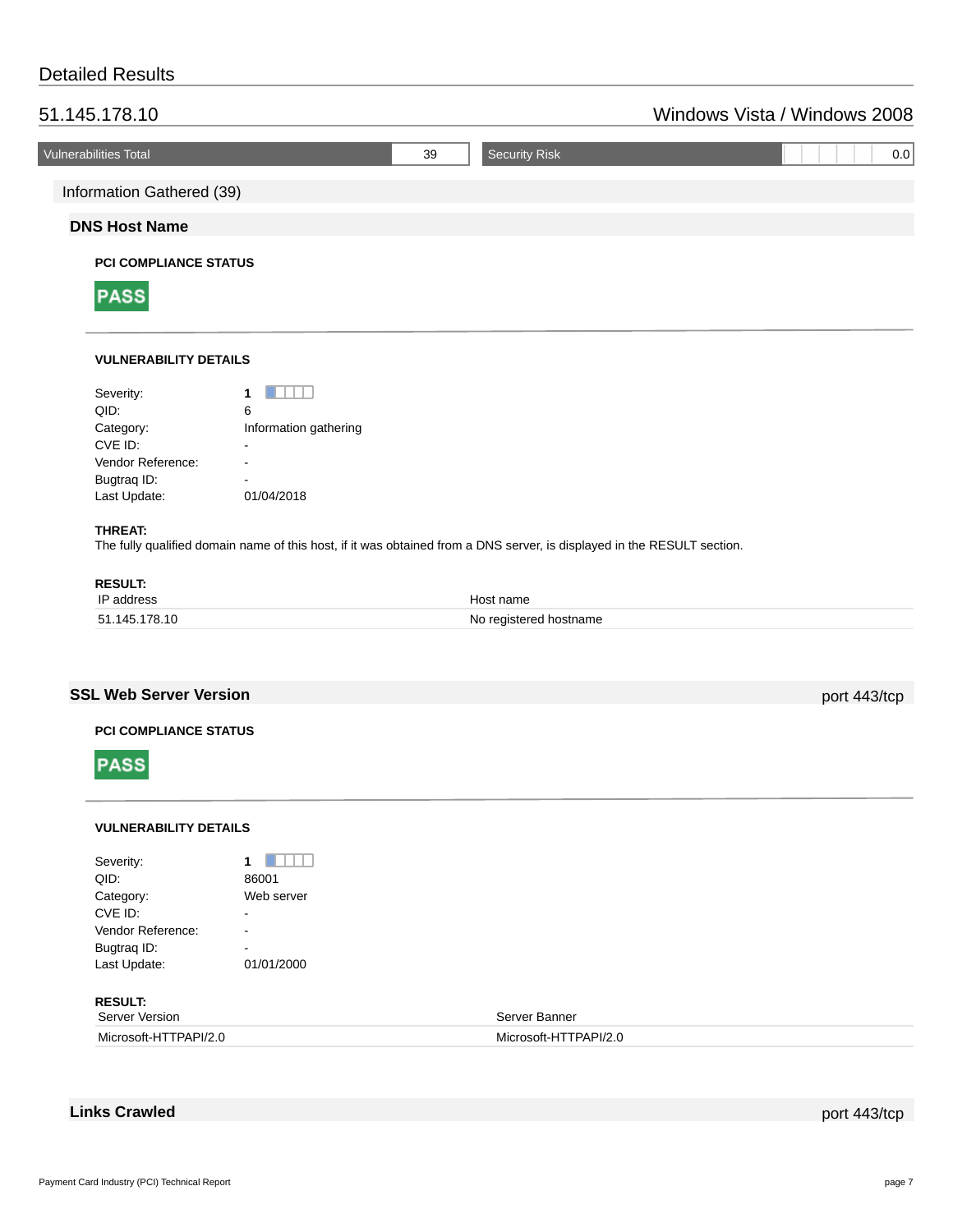## Detailed Results

| 51.145.178.10                |                     | Windows Vista / Windows 2008 |
|------------------------------|---------------------|------------------------------|
| <b>Vulnerabilities Total</b> | Security Risk<br>39 | 0.0                          |
| Information Gathered (39)    |                     |                              |
| <b>DNS Host Name</b>         |                     |                              |
| <b>PCI COMPLIANCE STATUS</b> |                     |                              |



## **VULNERABILITY DETAILS**

| Severity:         |                       |
|-------------------|-----------------------|
| QID:              | 6                     |
| Category:         | Information gathering |
| CVE ID:           |                       |
| Vendor Reference: |                       |
| Bugtrag ID:       |                       |
| Last Update:      | 01/04/2018            |
|                   |                       |

## **THREAT:**

The fully qualified domain name of this host, if it was obtained from a DNS server, is displayed in the RESULT section.

| <b>RESULT:</b> |                        |
|----------------|------------------------|
| IP address     | Host name              |
| 51.145.178.10  | No registered hostname |

## **SSL Web Server Version port 443/tcp**

## **PCI COMPLIANCE STATUS**



## **VULNERABILITY DETAILS**

| Severity:<br>QID:<br>Category:<br>CVE ID:<br>Vendor Reference:<br>Bugtrag ID: | 86001<br>Web server<br>$\blacksquare$<br>$\overline{\phantom{0}}$<br>$\overline{\phantom{0}}$ |                       |
|-------------------------------------------------------------------------------|-----------------------------------------------------------------------------------------------|-----------------------|
| Last Update:                                                                  | 01/01/2000                                                                                    |                       |
| <b>RESULT:</b><br>Server Version                                              |                                                                                               | Server Banner         |
| Microsoft-HTTPAPI/2.0                                                         |                                                                                               | Microsoft-HTTPAPI/2.0 |

**Links Crawled** port 443/tcp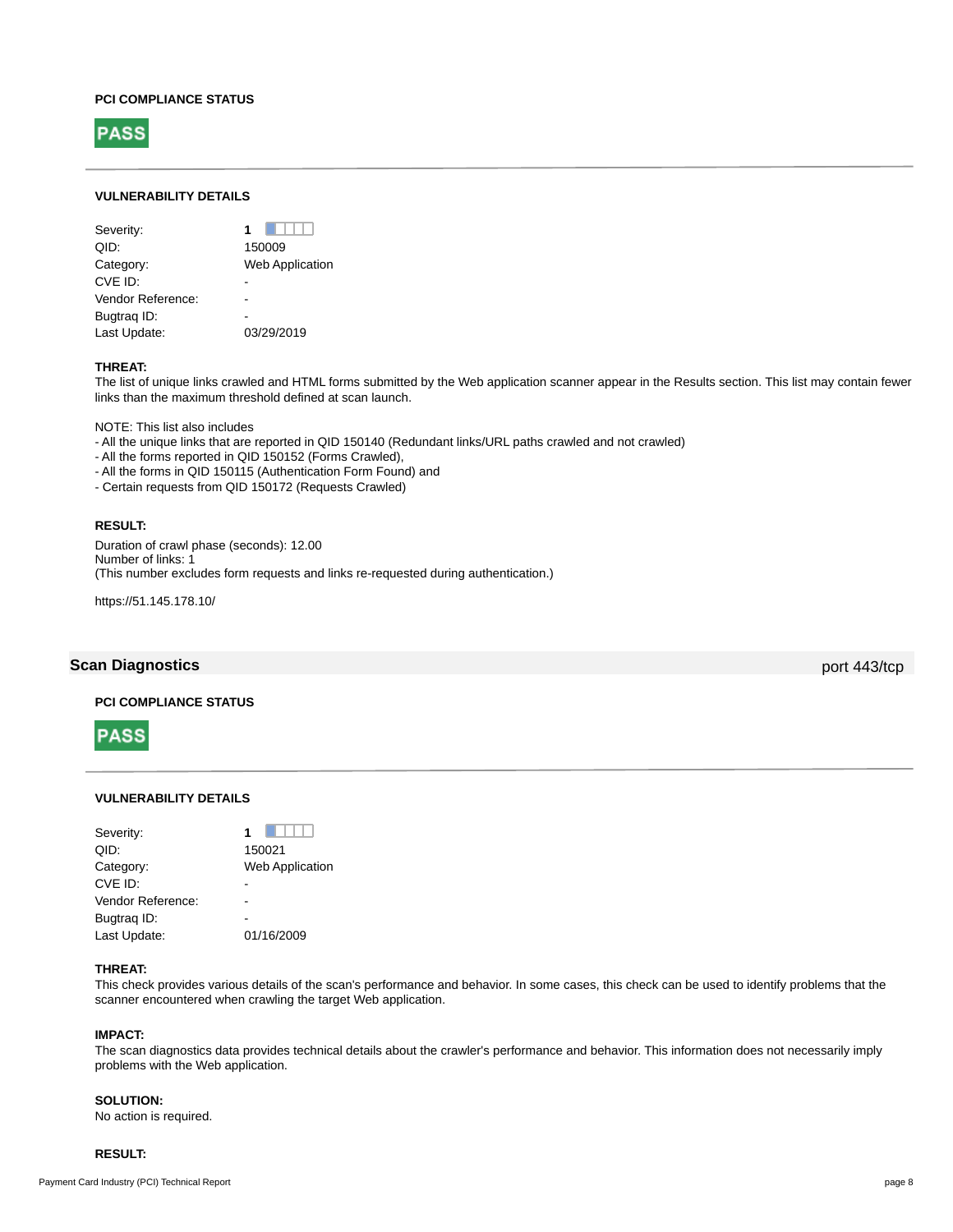#### **PCI COMPLIANCE STATUS**



## **VULNERABILITY DETAILS**

| Severity:         | 1                      |
|-------------------|------------------------|
| OID:              | 150009                 |
| Category:         | <b>Web Application</b> |
| CVE ID:           |                        |
| Vendor Reference: |                        |
| Bugtrag ID:       |                        |
| Last Update:      | 03/29/2019             |
|                   |                        |

#### **THREAT:**

The list of unique links crawled and HTML forms submitted by the Web application scanner appear in the Results section. This list may contain fewer links than the maximum threshold defined at scan launch.

NOTE: This list also includes

- All the unique links that are reported in QID 150140 (Redundant links/URL paths crawled and not crawled)

- All the forms reported in QID 150152 (Forms Crawled),

- All the forms in QID 150115 (Authentication Form Found) and

- Certain requests from QID 150172 (Requests Crawled)

## **RESULT:**

Duration of crawl phase (seconds): 12.00 Number of links: 1 (This number excludes form requests and links re-requested during authentication.)

https://51.145.178.10/

## **Scan Diagnostics** port 443/tcp

## **PCI COMPLIANCE STATUS**



## **VULNERABILITY DETAILS**

| Severity:         |                        |
|-------------------|------------------------|
| QID:              | 150021                 |
| Category:         | <b>Web Application</b> |
| CVE ID:           |                        |
| Vendor Reference: |                        |
| Bugtrag ID:       |                        |
| Last Update:      | 01/16/2009             |
|                   |                        |

## **THREAT:**

This check provides various details of the scan's performance and behavior. In some cases, this check can be used to identify problems that the scanner encountered when crawling the target Web application.

## **IMPACT:**

The scan diagnostics data provides technical details about the crawler's performance and behavior. This information does not necessarily imply problems with the Web application.

#### **SOLUTION:**

No action is required.

#### **RESULT:**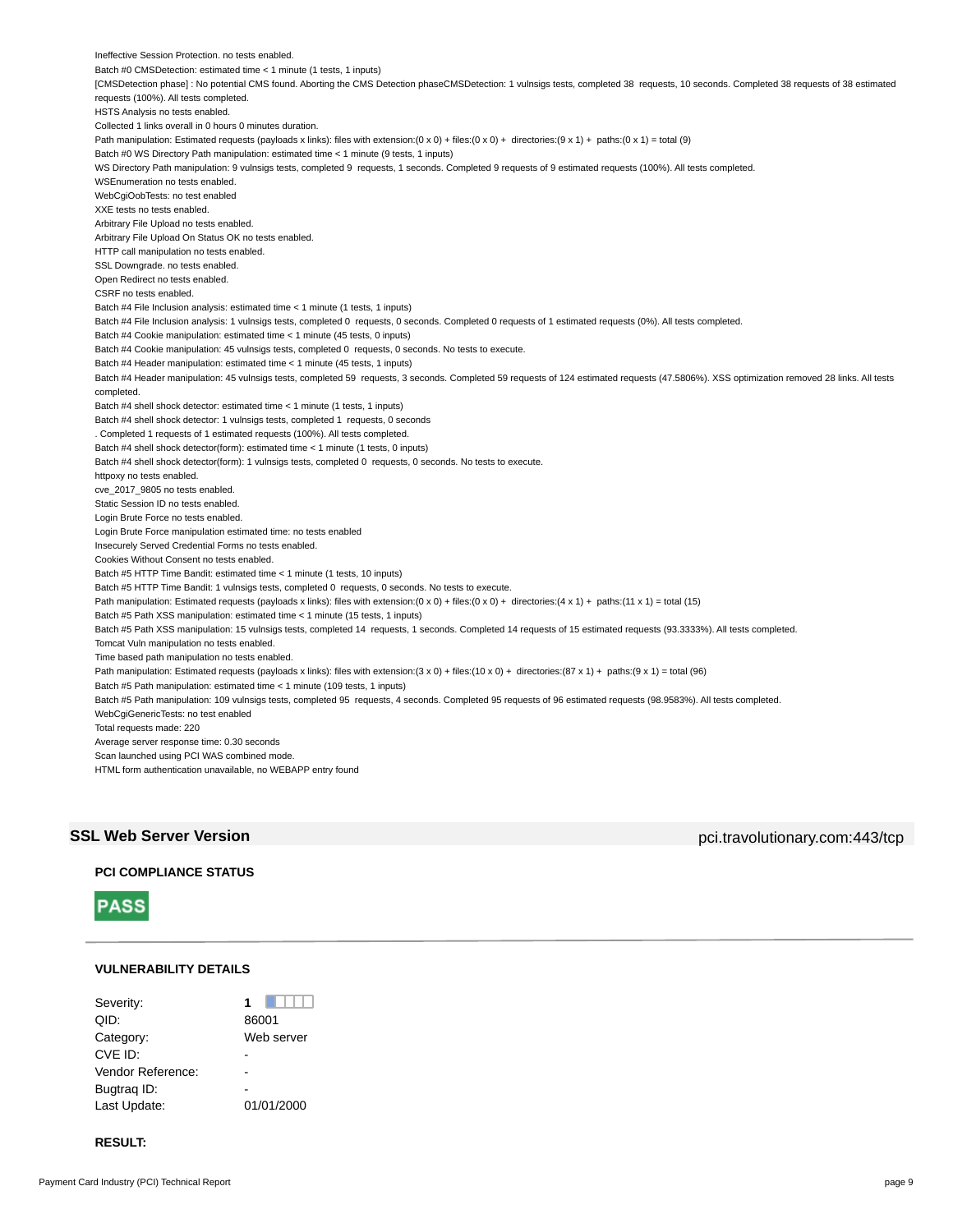Ineffective Session Protection. no tests enabled. Batch #0 CMSDetection: estimated time < 1 minute (1 tests, 1 inputs) [CMSDetection phase] : No potential CMS found. Aborting the CMS Detection phaseCMSDetection: 1 vulnsigs tests, completed 38 requests, 10 seconds. Completed 38 requests of 38 estimated requests (100%). All tests completed. HSTS Analysis no tests enabled. Collected 1 links overall in 0 hours 0 minutes duration. Path manipulation: Estimated requests (payloads x links): files with extension:(0 x 0) + files:(0 x 0) + directories:(9 x 1) + paths:(0 x 1) = total (9) Batch #0 WS Directory Path manipulation: estimated time < 1 minute (9 tests, 1 inputs) WS Directory Path manipulation: 9 vulnsigs tests, completed 9 requests, 1 seconds. Completed 9 requests of 9 estimated requests (100%). All tests completed. WSEnumeration no tests enabled. WebCgiOobTests: no test enabled XXE tests no tests enabled. Arbitrary File Upload no tests enabled. Arbitrary File Upload On Status OK no tests enabled. HTTP call manipulation no tests enabled. SSL Downgrade. no tests enabled. Open Redirect no tests enabled. CSRF no tests enabled. Batch #4 File Inclusion analysis: estimated time < 1 minute (1 tests, 1 inputs) Batch #4 File Inclusion analysis: 1 vulnsigs tests, completed 0 requests, 0 seconds. Completed 0 requests of 1 estimated requests (0%). All tests completed. Batch #4 Cookie manipulation: estimated time < 1 minute (45 tests, 0 inputs) Batch #4 Cookie manipulation: 45 vulnsigs tests, completed 0 requests, 0 seconds. No tests to execute. Batch #4 Header manipulation: estimated time < 1 minute (45 tests, 1 inputs) Batch #4 Header manipulation: 45 vulnsigs tests, completed 59 requests, 3 seconds. Completed 59 requests of 124 estimated requests (47.5806%). XSS optimization removed 28 links. All tests completed. Batch #4 shell shock detector: estimated time < 1 minute (1 tests, 1 inputs) Batch #4 shell shock detector: 1 vulnsigs tests, completed 1 requests, 0 seconds . Completed 1 requests of 1 estimated requests (100%). All tests completed. Batch #4 shell shock detector(form): estimated time < 1 minute (1 tests, 0 inputs) Batch #4 shell shock detector(form): 1 vulnsigs tests, completed 0 requests, 0 seconds. No tests to execute. httpoxy no tests enabled. cve\_2017\_9805 no tests enabled. Static Session ID no tests enabled. Login Brute Force no tests enabled. Login Brute Force manipulation estimated time: no tests enabled Insecurely Served Credential Forms no tests enabled. Cookies Without Consent no tests enabled. Batch #5 HTTP Time Bandit: estimated time < 1 minute (1 tests, 10 inputs) Batch #5 HTTP Time Bandit: 1 vulnsigs tests, completed 0 requests, 0 seconds. No tests to execute. Path manipulation: Estimated requests (payloads x links): files with extension:(0 x 0) + files:(0 x 0) + directories:(4 x 1) + paths:(11 x 1) = total (15) Batch #5 Path XSS manipulation: estimated time < 1 minute (15 tests, 1 inputs) Batch #5 Path XSS manipulation: 15 vulnsigs tests, completed 14 requests, 1 seconds. Completed 14 requests of 15 estimated requests (93.3333%). All tests completed. Tomcat Vuln manipulation no tests enabled. Time based path manipulation no tests enabled. Path manipulation: Estimated requests (payloads x links): files with extension:(3 x 0) + files:(10 x 0) + directories:(87 x 1) + paths:(9 x 1) = total (96) Batch #5 Path manipulation: estimated time < 1 minute (109 tests, 1 inputs) Batch #5 Path manipulation: 109 vulnsigs tests, completed 95 requests, 4 seconds. Completed 95 requests of 96 estimated requests (98.9583%). All tests completed. WebCgiGenericTests: no test enabled Total requests made: 220 Average server response time: 0.30 seconds Scan launched using PCI WAS combined mode. HTML form authentication unavailable, no WEBAPP entry found

**SSL Web Server Version** pci.travolutionary.com:443/tcp

## **PCI COMPLIANCE STATUS**



#### **VULNERABILITY DETAILS**

| Severity:         |            |
|-------------------|------------|
| QID:              | 86001      |
| Category:         | Web server |
| CVE ID:           |            |
| Vendor Reference: |            |
| Bugtrag ID:       |            |
| Last Update:      | 01/01/2000 |

## **RESULT:**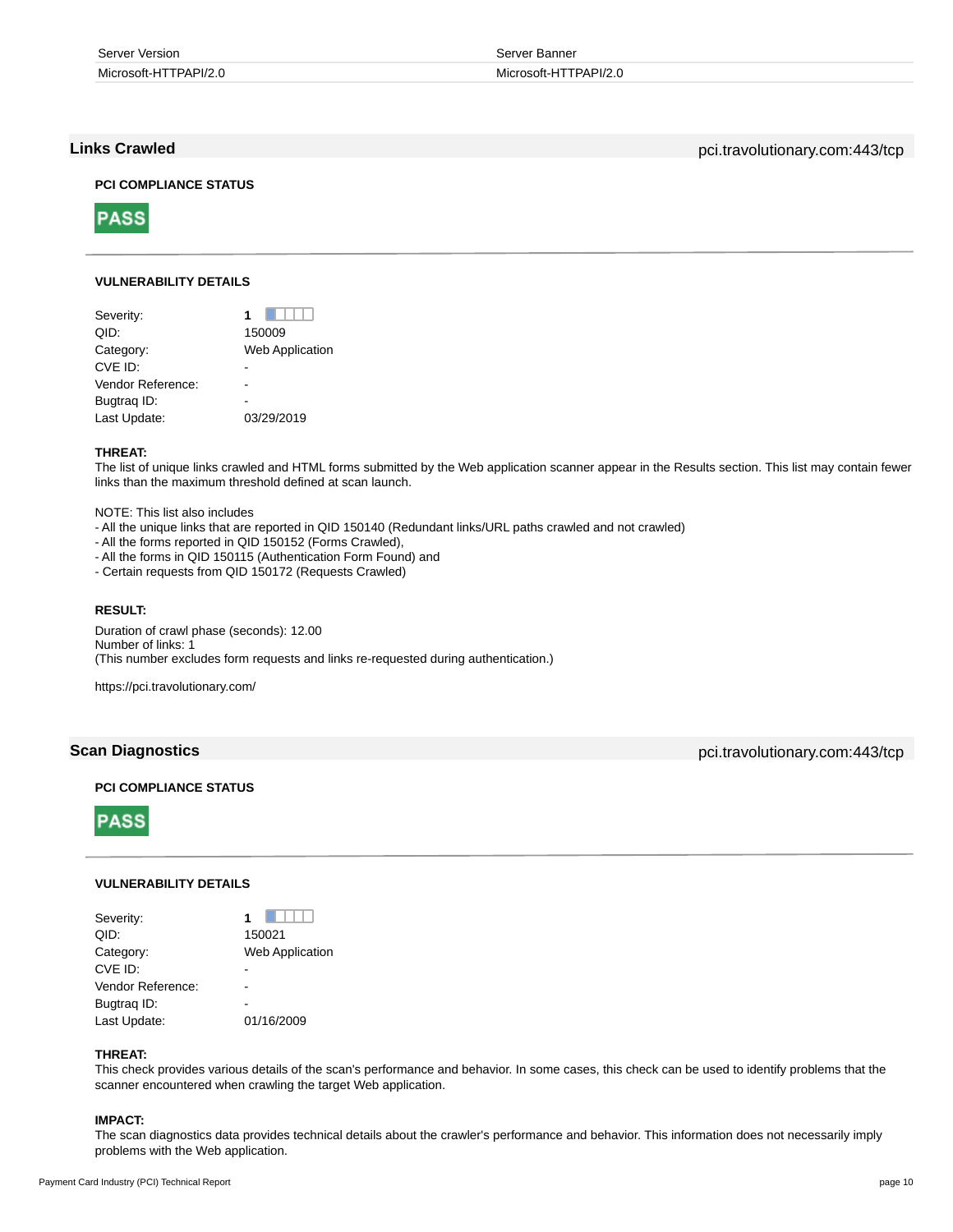| Server Version        | Server Banner         |
|-----------------------|-----------------------|
| Microsoft-HTTPAPI/2.0 | Microsoft-HTTPAPI/2.0 |

**Links Crawled** pci.travolutionary.com:443/tcp

## **PCI COMPLIANCE STATUS**



## **VULNERABILITY DETAILS**

| Severity:         |                        |
|-------------------|------------------------|
| QID:              | 150009                 |
| Category:         | <b>Web Application</b> |
| CVE ID:           |                        |
| Vendor Reference: |                        |
| Bugtrag ID:       |                        |
| Last Update:      | 03/29/2019             |
|                   |                        |

## **THREAT:**

The list of unique links crawled and HTML forms submitted by the Web application scanner appear in the Results section. This list may contain fewer links than the maximum threshold defined at scan launch.

NOTE: This list also includes

- All the unique links that are reported in QID 150140 (Redundant links/URL paths crawled and not crawled)
- All the forms reported in QID 150152 (Forms Crawled),
- All the forms in QID 150115 (Authentication Form Found) and
- Certain requests from QID 150172 (Requests Crawled)

## **RESULT:**

Duration of crawl phase (seconds): 12.00 Number of links: 1 (This number excludes form requests and links re-requested during authentication.)

https://pci.travolutionary.com/

## **Scan Diagnostics** pci.travolutionary.com:443/tcp

## **PCI COMPLIANCE STATUS**



### **VULNERABILITY DETAILS**

| Severity:         | 1                      |
|-------------------|------------------------|
| QID:              | 150021                 |
| Category:         | <b>Web Application</b> |
| CVE ID:           |                        |
| Vendor Reference: |                        |
| Bugtraq ID:       |                        |
| Last Update:      | 01/16/2009             |

#### **THREAT:**

This check provides various details of the scan's performance and behavior. In some cases, this check can be used to identify problems that the scanner encountered when crawling the target Web application.

## **IMPACT:**

The scan diagnostics data provides technical details about the crawler's performance and behavior. This information does not necessarily imply problems with the Web application.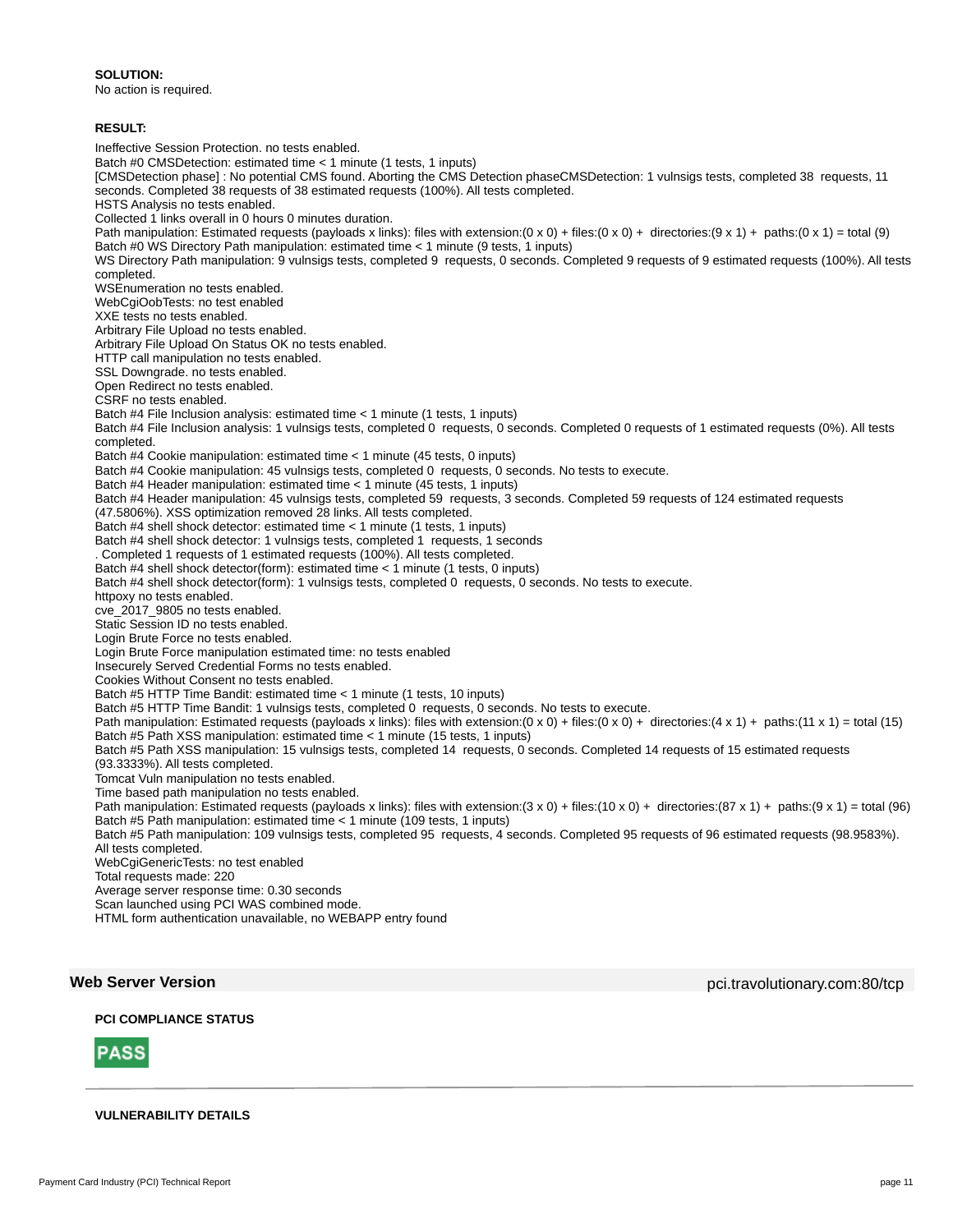#### **SOLUTION:**

No action is required.

## **RESULT:**

Ineffective Session Protection. no tests enabled. Batch #0 CMSDetection: estimated time < 1 minute (1 tests, 1 inputs) [CMSDetection phase] : No potential CMS found. Aborting the CMS Detection phaseCMSDetection: 1 vulnsigs tests, completed 38 requests, 11 seconds. Completed 38 requests of 38 estimated requests (100%). All tests completed. HSTS Analysis no tests enabled. Collected 1 links overall in 0 hours 0 minutes duration. Path manipulation: Estimated requests (payloads x links): files with extension:(0 x 0) + files:(0 x 0) + directories:(9 x 1) + paths:(0 x 1) = total (9) Batch #0 WS Directory Path manipulation: estimated time < 1 minute (9 tests, 1 inputs) WS Directory Path manipulation: 9 vulnsigs tests, completed 9 requests, 0 seconds. Completed 9 requests of 9 estimated requests (100%). All tests completed. WSEnumeration no tests enabled. WebCgiOobTests: no test enabled XXE tests no tests enabled. Arbitrary File Upload no tests enabled. Arbitrary File Upload On Status OK no tests enabled. HTTP call manipulation no tests enabled. SSL Downgrade. no tests enabled. Open Redirect no tests enabled. CSRF no tests enabled. Batch #4 File Inclusion analysis: estimated time < 1 minute (1 tests, 1 inputs) Batch #4 File Inclusion analysis: 1 vulnsigs tests, completed 0 requests, 0 seconds. Completed 0 requests of 1 estimated requests (0%). All tests completed. Batch #4 Cookie manipulation: estimated time < 1 minute (45 tests, 0 inputs) Batch #4 Cookie manipulation: 45 vulnsigs tests, completed 0 requests, 0 seconds. No tests to execute. Batch #4 Header manipulation: estimated time < 1 minute (45 tests, 1 inputs) Batch #4 Header manipulation: 45 vulnsigs tests, completed 59 requests, 3 seconds. Completed 59 requests of 124 estimated requests (47.5806%). XSS optimization removed 28 links. All tests completed. Batch #4 shell shock detector: estimated time < 1 minute (1 tests, 1 inputs) Batch #4 shell shock detector: 1 vulnsigs tests, completed 1 requests, 1 seconds . Completed 1 requests of 1 estimated requests (100%). All tests completed. Batch #4 shell shock detector(form): estimated time < 1 minute (1 tests, 0 inputs) Batch #4 shell shock detector(form): 1 vulnsigs tests, completed 0 requests, 0 seconds. No tests to execute. httpoxy no tests enabled. cve\_2017\_9805 no tests enabled. Static Session ID no tests enabled. Login Brute Force no tests enabled. Login Brute Force manipulation estimated time: no tests enabled Insecurely Served Credential Forms no tests enabled. Cookies Without Consent no tests enabled. Batch #5 HTTP Time Bandit: estimated time < 1 minute (1 tests, 10 inputs) Batch #5 HTTP Time Bandit: 1 vulnsigs tests, completed 0 requests, 0 seconds. No tests to execute. Path manipulation: Estimated requests (payloads x links): files with extension:(0 x 0) + files:(0 x 0) + directories:(4 x 1) + paths:(11 x 1) = total (15) Batch #5 Path XSS manipulation: estimated time < 1 minute (15 tests, 1 inputs) Batch #5 Path XSS manipulation: 15 vulnsigs tests, completed 14 requests, 0 seconds. Completed 14 requests of 15 estimated requests (93.3333%). All tests completed. Tomcat Vuln manipulation no tests enabled. Time based path manipulation no tests enabled. Path manipulation: Estimated requests (payloads x links): files with extension:(3 x 0) + files:(10 x 0) + directories:(87 x 1) + paths:(9 x 1) = total (96) Batch #5 Path manipulation: estimated time < 1 minute (109 tests, 1 inputs) Batch #5 Path manipulation: 109 vulnsigs tests, completed 95 requests, 4 seconds. Completed 95 requests of 96 estimated requests (98.9583%). All tests completed. WebCgiGenericTests: no test enabled Total requests made: 220 Average server response time: 0.30 seconds Scan launched using PCI WAS combined mode. HTML form authentication unavailable, no WEBAPP entry found

**Web Server Version** pci.travolutionary.com:80/tcp

## **PCI COMPLIANCE STATUS**



### **VULNERABILITY DETAILS**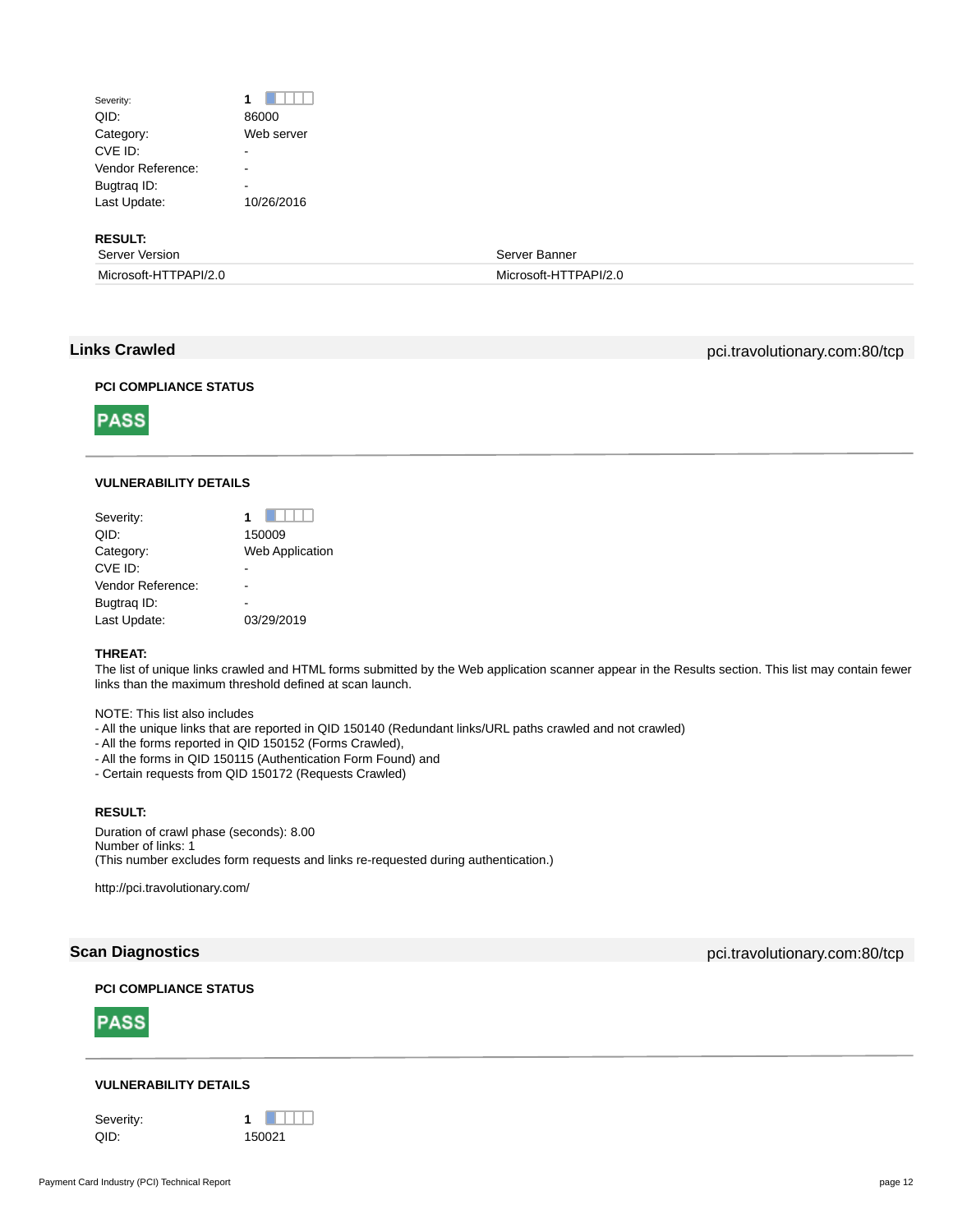## Severity: **1 1** QID: 86000 Category: Web server CVE ID: Particularly the contract of the contract of the contract of the contract of the contract of the contract of the contract of the contract of the contract of the contract of the contract of the contract of the contr Vendor Reference: -Bugtrag ID: Last Update: 10/26/2016

**RESULT:**

| .                     |                       |
|-----------------------|-----------------------|
| Server Version        | Server Banner         |
| Microsoft-HTTPAPI/2.0 | Microsoft-HTTPAPI/2.0 |

**PASS** 

**Links Crawled** pci.travolutionary.com:80/tcp

## **PCI COMPLIANCE STATUS**



## **VULNERABILITY DETAILS**

| Severity:         |                        |
|-------------------|------------------------|
| QID:              | 150009                 |
| Category:         | <b>Web Application</b> |
| CVE ID:           |                        |
| Vendor Reference: |                        |
| Bugtrag ID:       |                        |
| Last Update:      | 03/29/2019             |

## **THREAT:**

The list of unique links crawled and HTML forms submitted by the Web application scanner appear in the Results section. This list may contain fewer links than the maximum threshold defined at scan launch.

NOTE: This list also includes

- All the unique links that are reported in QID 150140 (Redundant links/URL paths crawled and not crawled)
- All the forms reported in QID 150152 (Forms Crawled),
- All the forms in QID 150115 (Authentication Form Found) and
- Certain requests from QID 150172 (Requests Crawled)

## **RESULT:**

Duration of crawl phase (seconds): 8.00 Number of links: 1 (This number excludes form requests and links re-requested during authentication.)

http://pci.travolutionary.com/

**PCI COMPLIANCE STATUS**



## **VULNERABILITY DETAILS**

**Scan Diagnostics produced by the community of the community of the community of the community of the community of the community of the community of the community of the community of the community of the community of the**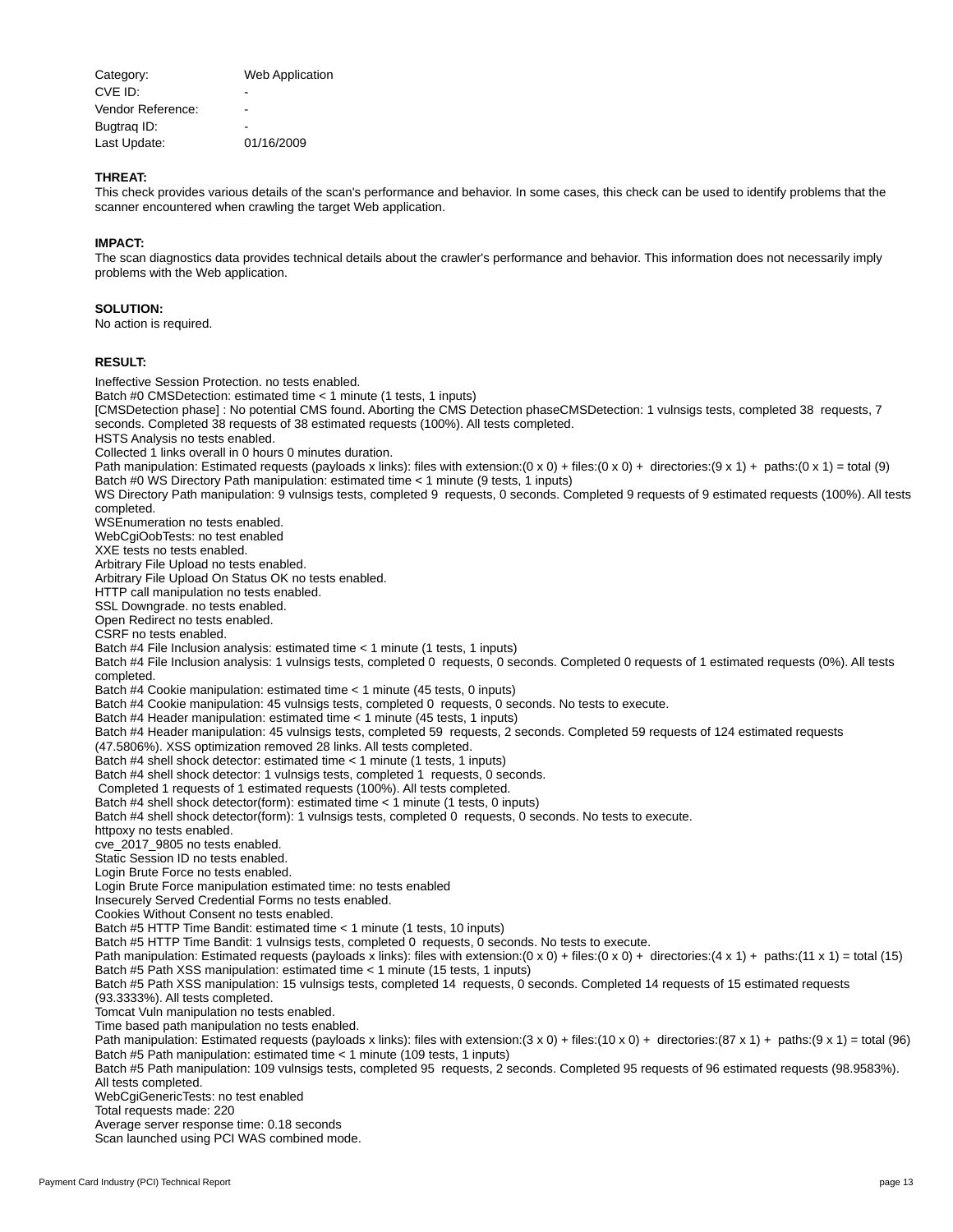| Category:         | <b>Web Application</b> |
|-------------------|------------------------|
| CVE ID:           |                        |
| Vendor Reference: |                        |
| Bugtrag ID:       |                        |
| Last Update:      | 01/16/2009             |

### **THREAT:**

This check provides various details of the scan's performance and behavior. In some cases, this check can be used to identify problems that the scanner encountered when crawling the target Web application.

## **IMPACT:**

The scan diagnostics data provides technical details about the crawler's performance and behavior. This information does not necessarily imply problems with the Web application.

#### **SOLUTION:**

No action is required.

#### **RESULT:**

Ineffective Session Protection. no tests enabled. Batch #0 CMSDetection: estimated time < 1 minute (1 tests, 1 inputs) [CMSDetection phase] : No potential CMS found. Aborting the CMS Detection phaseCMSDetection: 1 vulnsigs tests, completed 38 requests, 7 seconds. Completed 38 requests of 38 estimated requests (100%). All tests completed. HSTS Analysis no tests enabled. Collected 1 links overall in 0 hours 0 minutes duration. Path manipulation: Estimated requests (payloads x links): files with extension:(0 x 0) + files:(0 x 0) + directories:(9 x 1) + paths:(0 x 1) = total (9) Batch #0 WS Directory Path manipulation: estimated time < 1 minute (9 tests, 1 inputs) WS Directory Path manipulation: 9 vulnsigs tests, completed 9 requests, 0 seconds. Completed 9 requests of 9 estimated requests (100%). All tests completed. WSEnumeration no tests enabled. WebCgiOobTests: no test enabled XXE tests no tests enabled. Arbitrary File Upload no tests enabled. Arbitrary File Upload On Status OK no tests enabled. HTTP call manipulation no tests enabled. SSL Downgrade. no tests enabled. Open Redirect no tests enabled. CSRF no tests enabled. Batch #4 File Inclusion analysis: estimated time < 1 minute (1 tests, 1 inputs) Batch #4 File Inclusion analysis: 1 vulnsigs tests, completed 0 requests, 0 seconds. Completed 0 requests of 1 estimated requests (0%). All tests completed. Batch #4 Cookie manipulation: estimated time < 1 minute (45 tests, 0 inputs) Batch #4 Cookie manipulation: 45 vulnsigs tests, completed 0 requests, 0 seconds. No tests to execute. Batch #4 Header manipulation: estimated time < 1 minute (45 tests, 1 inputs) Batch #4 Header manipulation: 45 vulnsigs tests, completed 59 requests, 2 seconds. Completed 59 requests of 124 estimated requests (47.5806%). XSS optimization removed 28 links. All tests completed. Batch #4 shell shock detector: estimated time < 1 minute (1 tests, 1 inputs) Batch #4 shell shock detector: 1 vulnsigs tests, completed 1 requests, 0 seconds. Completed 1 requests of 1 estimated requests (100%). All tests completed. Batch #4 shell shock detector(form): estimated time < 1 minute (1 tests, 0 inputs) Batch #4 shell shock detector(form): 1 vulnsigs tests, completed 0 requests, 0 seconds. No tests to execute. httpoxy no tests enabled. cve\_2017\_9805 no tests enabled. Static Session ID no tests enabled. Login Brute Force no tests enabled. Login Brute Force manipulation estimated time: no tests enabled Insecurely Served Credential Forms no tests enabled. Cookies Without Consent no tests enabled. Batch #5 HTTP Time Bandit: estimated time < 1 minute (1 tests, 10 inputs) Batch #5 HTTP Time Bandit: 1 vulnsigs tests, completed 0 requests, 0 seconds. No tests to execute. Path manipulation: Estimated requests (payloads x links): files with extension:(0 x 0) + files:(0 x 0) + directories:(4 x 1) + paths:(11 x 1) = total (15) Batch #5 Path XSS manipulation: estimated time < 1 minute (15 tests, 1 inputs) Batch #5 Path XSS manipulation: 15 vulnsigs tests, completed 14 requests, 0 seconds. Completed 14 requests of 15 estimated requests (93.3333%). All tests completed. Tomcat Vuln manipulation no tests enabled. Time based path manipulation no tests enabled. Path manipulation: Estimated requests (payloads x links): files with extension:(3 x 0) + files:(10 x 0) + directories:(87 x 1) + paths:(9 x 1) = total (96) Batch #5 Path manipulation: estimated time < 1 minute (109 tests, 1 inputs) Batch #5 Path manipulation: 109 vulnsigs tests, completed 95 requests, 2 seconds. Completed 95 requests of 96 estimated requests (98.9583%). All tests completed. WebCgiGenericTests: no test enabled Total requests made: 220 Average server response time: 0.18 seconds Scan launched using PCI WAS combined mode.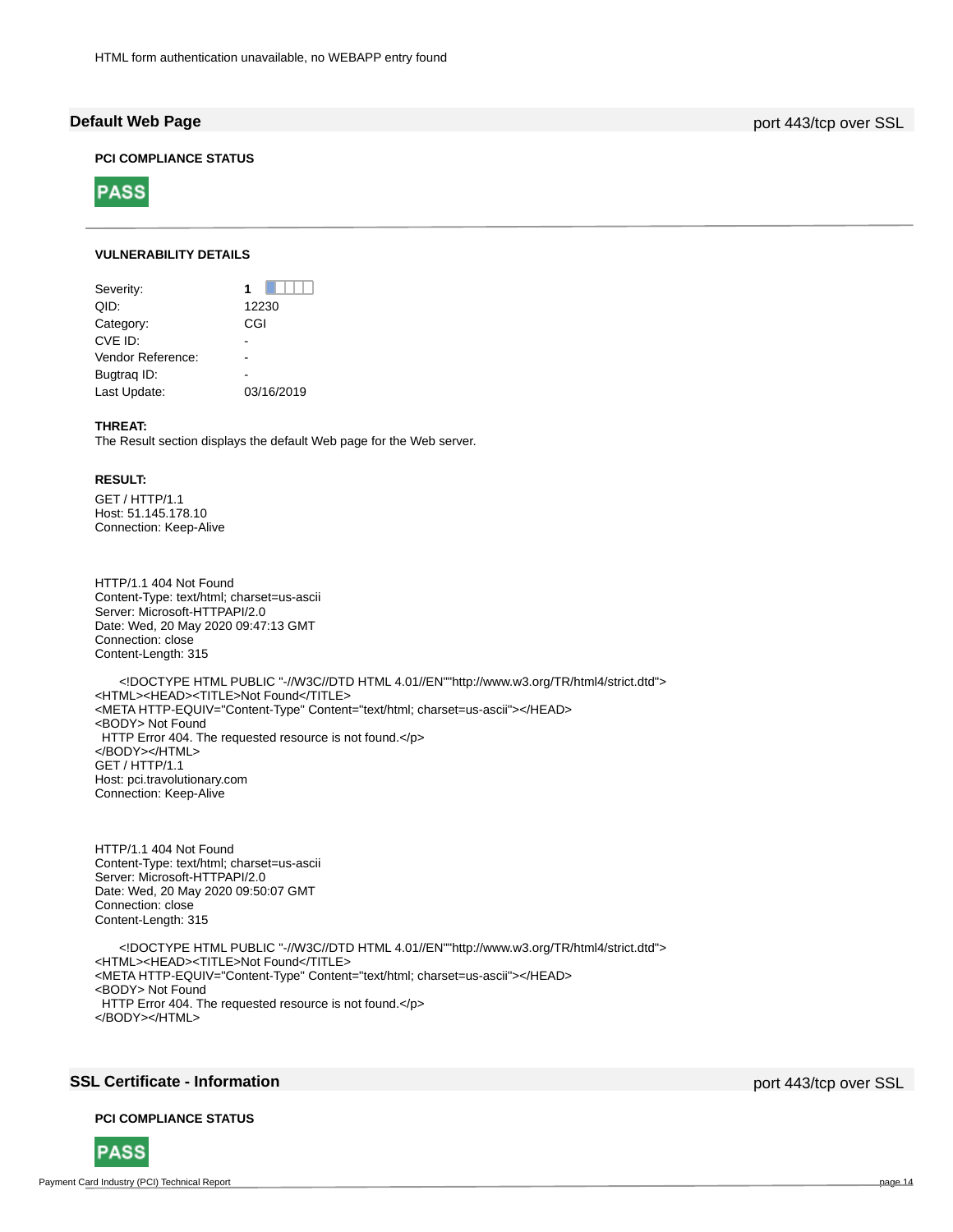**Default Web Page** port 443/tcp over SSL

## **PCI COMPLIANCE STATUS**



## **VULNERABILITY DETAILS**

| Severity:         |            |
|-------------------|------------|
| QID:              | 12230      |
| Category:         | CGI        |
| CVE ID:           |            |
| Vendor Reference: |            |
| Bugtrag ID:       |            |
| Last Update:      | 03/16/2019 |
|                   |            |

## **THREAT:**

The Result section displays the default Web page for the Web server.

### **RESULT:**

GET / HTTP/1.1 Host: 51.145.178.10 Connection: Keep-Alive

HTTP/1.1 404 Not Found Content-Type: text/html; charset=us-ascii Server: Microsoft-HTTPAPI/2.0 Date: Wed, 20 May 2020 09:47:13 GMT Connection: close Content-Length: 315

 <!DOCTYPE HTML PUBLIC "-//W3C//DTD HTML 4.01//EN""http://www.w3.org/TR/html4/strict.dtd"> <HTML><HEAD><TITLE>Not Found</TITLE> <META HTTP-EQUIV="Content-Type" Content="text/html; charset=us-ascii"></HEAD> <BODY> Not Found HTTP Error 404. The requested resource is not found.</p> </BODY></HTML> GET / HTTP/1.1 Host: pci.travolutionary.com Connection: Keep-Alive

HTTP/1.1 404 Not Found Content-Type: text/html; charset=us-ascii Server: Microsoft-HTTPAPI/2.0 Date: Wed, 20 May 2020 09:50:07 GMT Connection: close Content-Length: 315

 <!DOCTYPE HTML PUBLIC "-//W3C//DTD HTML 4.01//EN""http://www.w3.org/TR/html4/strict.dtd"> <HTML><HEAD><TITLE>Not Found</TITLE> <META HTTP-EQUIV="Content-Type" Content="text/html; charset=us-ascii"></HEAD> <BODY> Not Found HTTP Error 404. The requested resource is not found.</p> </BODY></HTML>

## **SSL Certificate - Information** port 443/tcp over SSL

### **PCI COMPLIANCE STATUS**

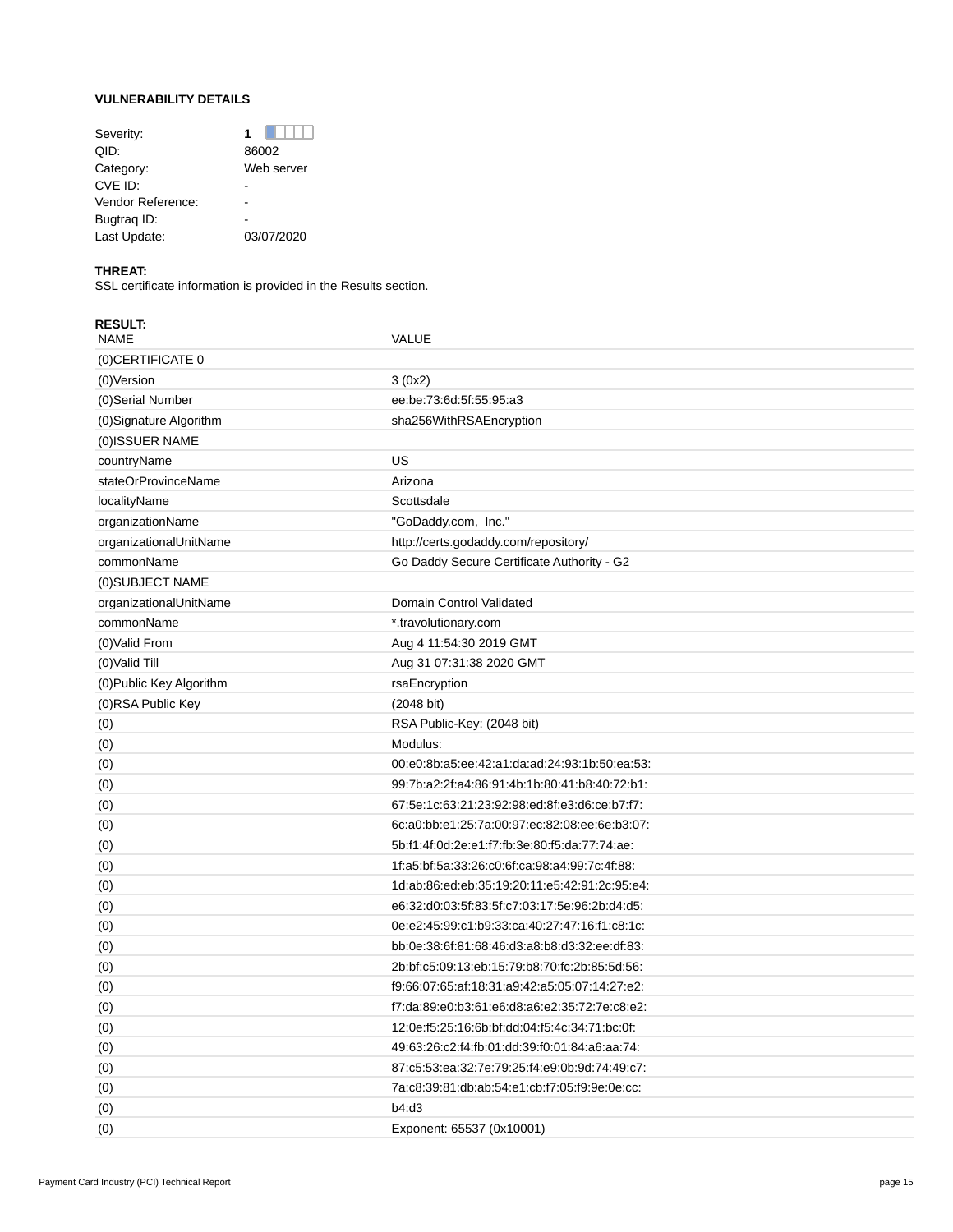## **VULNERABILITY DETAILS**

| Severity:         |            |
|-------------------|------------|
| QID:              | 86002      |
| Category:         | Web server |
| CVE ID:           |            |
| Vendor Reference: |            |
| Bugtrag ID:       |            |
| Last Update:      | 03/07/2020 |

## **THREAT:**

SSL certificate information is provided in the Results section.

| <b>RESULT:</b><br><b>NAME</b> | VALUE                                         |
|-------------------------------|-----------------------------------------------|
| (0) CERTIFICATE 0             |                                               |
| (0) Version                   | 3(0x2)                                        |
| (0) Serial Number             | ee:be:73:6d:5f:55:95:a3                       |
| (0) Signature Algorithm       | sha256WithRSAEncryption                       |
| (0) ISSUER NAME               |                                               |
| countryName                   | US                                            |
| stateOrProvinceName           | Arizona                                       |
| localityName                  | Scottsdale                                    |
| organizationName              | "GoDaddy.com, Inc."                           |
| organizationalUnitName        | http://certs.godaddy.com/repository/          |
| commonName                    | Go Daddy Secure Certificate Authority - G2    |
| (0) SUBJECT NAME              |                                               |
| organizationalUnitName        | Domain Control Validated                      |
| commonName                    | *.travolutionary.com                          |
| (0) Valid From                | Aug 4 11:54:30 2019 GMT                       |
| (0) Valid Till                | Aug 31 07:31:38 2020 GMT                      |
| (0) Public Key Algorithm      | rsaEncryption                                 |
| (0) RSA Public Key            | (2048 bit)                                    |
| (0)                           | RSA Public-Key: (2048 bit)                    |
| (0)                           | Modulus:                                      |
| (0)                           | 00:e0:8b:a5:ee:42:a1:da:ad:24:93:1b:50:ea:53: |
| (0)                           | 99.7b.a2.2f.a4.86.91.4b.1b.80.41.b8.40.72.b1. |
| (0)                           | 67:5e:1c:63:21:23:92:98:ed:8f:e3:d6:ce:b7:f7: |
| (0)                           | 6c:a0:bb:e1:25:7a:00:97:ec:82:08:ee:6e:b3:07: |
| (0)                           | 5b:f1:4f:0d:2e:e1:f7:fb:3e:80:f5:da:77:74:ae: |
| (0)                           | 1f:a5:bf:5a:33:26:c0:6f:ca:98:a4:99:7c:4f:88: |
| (0)                           | 1d:ab:86:ed:eb:35:19:20:11:e5:42:91:2c:95:e4: |
| (0)                           | e6:32:d0:03:5f:83:5f:c7:03:17:5e:96:2b:d4:d5: |
| (0)                           | 0e.e2:45:99:c1:b9:33.ca:40:27:47:16:f1:c8:1c: |
| (0)                           | bb:0e:38:6f:81:68:46:d3:a8:b8:d3:32:ee:df:83: |
| (0)                           | 2b.bf:c5:09:13.eb.15:79.b8:70.fc:2b:85.5d.56: |
| (0)                           | f9:66:07:65:af:18:31:a9:42:a5:05:07:14:27:e2: |
| (0)                           | f7:da:89:e0:b3:61:e6:d8:a6:e2:35:72:7e:c8:e2: |
| (0)                           | 12:0e:f5:25:16:6b:bf:dd:04:f5:4c:34:71:bc:0f: |
| (0)                           | 49:63:26:c2:f4:fb:01:dd:39:f0:01:84:a6:aa:74: |
| (0)                           | 87:c5:53:ea:32:7e:79:25:f4:e9:0b:9d:74:49:c7: |
| (0)                           | 7a:c8:39:81:db:ab:54:e1:cb:f7:05:f9:9e:0e:cc: |
| (0)                           | b4:d3                                         |
| (0)                           | Exponent: 65537 (0x10001)                     |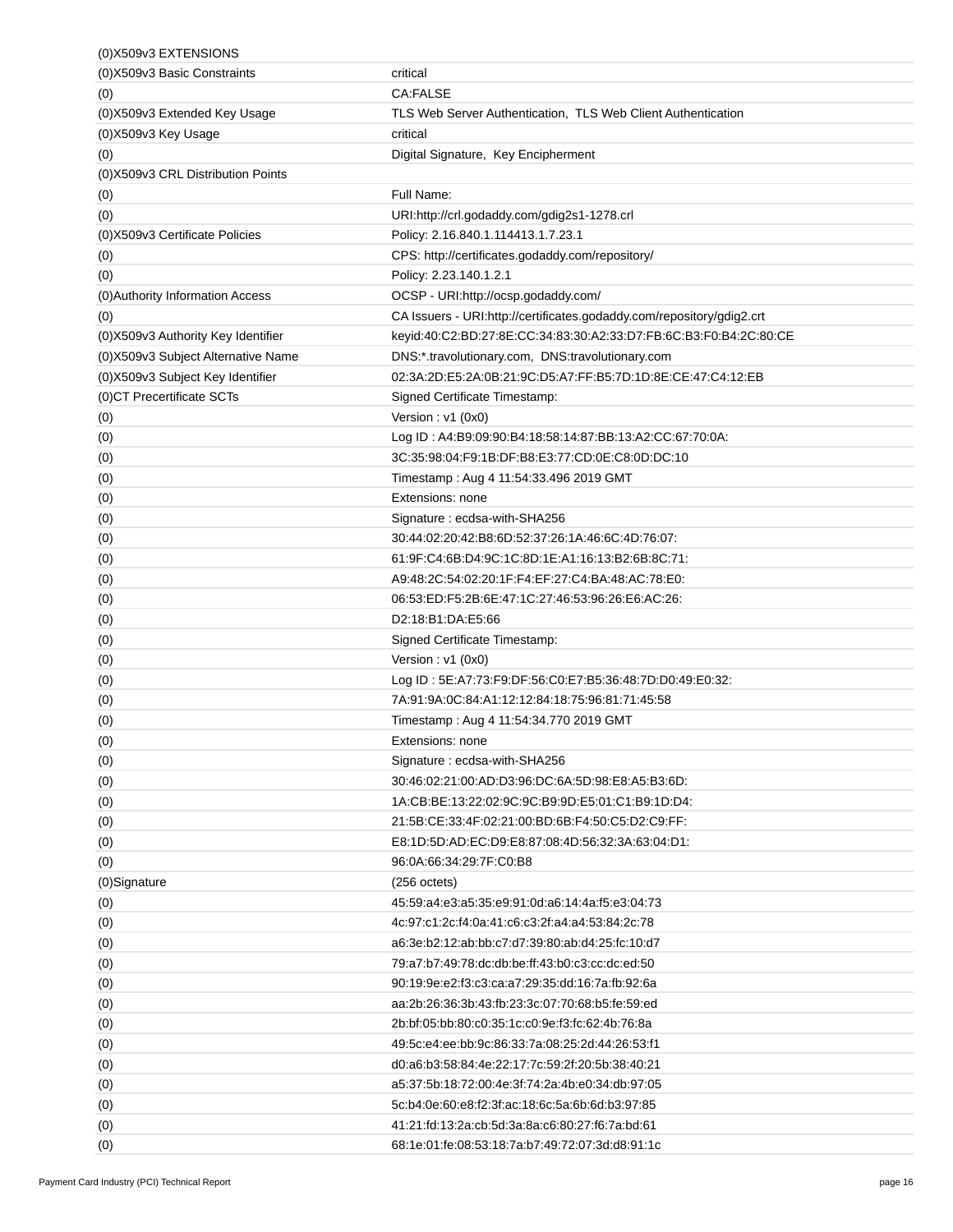| (0) X509v3 EXTENSIONS               |                                                                       |
|-------------------------------------|-----------------------------------------------------------------------|
| (0) X509v3 Basic Constraints        | critical                                                              |
| (0)                                 | <b>CA:FALSE</b>                                                       |
| (0) X509v3 Extended Key Usage       | TLS Web Server Authentication, TLS Web Client Authentication          |
| (0) X509v3 Key Usage                | critical                                                              |
| (0)                                 | Digital Signature, Key Encipherment                                   |
| (0) X509v3 CRL Distribution Points  |                                                                       |
| (0)                                 | Full Name:                                                            |
| (0)                                 | URI:http://crl.godaddy.com/gdig2s1-1278.crl                           |
| (0) X509 v3 Certificate Policies    | Policy: 2.16.840.1.114413.1.7.23.1                                    |
| (0)                                 | CPS: http://certificates.godaddy.com/repository/                      |
| (0)                                 | Policy: 2.23.140.1.2.1                                                |
| (0) Authority Information Access    | OCSP - URI:http://ocsp.godaddy.com/                                   |
| (0)                                 | CA Issuers - URI:http://certificates.godaddy.com/repository/gdig2.crt |
| (0) X509v3 Authority Key Identifier | keyid:40:C2:BD:27:8E:CC:34:83:30:A2:33:D7:FB:6C:B3:F0:B4:2C:80:CE     |
| (0) X509v3 Subject Alternative Name | DNS:*.travolutionary.com, DNS:travolutionary.com                      |
| (0) X509v3 Subject Key Identifier   | 02:3A:2D:E5:2A:0B:21:9C:D5:A7:FF:B5:7D:1D:8E:CE:47:C4:12:EB           |
| (0) CT Precertificate SCTs          | Signed Certificate Timestamp:                                         |
| (0)                                 | Version: $v1(0x0)$                                                    |
| (0)                                 | Log ID: A4:B9:09:90:B4:18:58:14:87:BB:13:A2:CC:67:70:0A:              |
| (0)                                 | 3C:35:98:04:F9:1B:DF:B8:E3:77:CD:0E:C8:0D:DC:10                       |
| (0)                                 | Timestamp: Aug 4 11:54:33.496 2019 GMT                                |
| (0)                                 | Extensions: none                                                      |
| (0)                                 | Signature: ecdsa-with-SHA256                                          |
| (0)                                 | 30:44:02:20:42:B8:6D:52:37:26:1A:46:6C:4D:76:07:                      |
| (0)                                 | 61:9F:C4:6B:D4:9C:1C:8D:1E:A1:16:13:B2:6B:8C:71:                      |
| (0)                                 | A9:48:2C:54:02:20:1F:F4:EF:27:C4:BA:48:AC:78:E0:                      |
| (0)                                 | 06.53:ED:F5:2B:6E:47:1C:27:46:53:96:26:E6:AC:26:                      |
| (0)                                 | D2:18:B1:DA:E5:66                                                     |
| (0)                                 | Signed Certificate Timestamp:                                         |
| (0)                                 | Version: v1 (0x0)                                                     |
| (0)                                 | Log ID: 5E:A7:73:F9:DF:56:C0:E7:B5:36:48:7D:D0:49:E0:32:              |
| (0)                                 | 7A:91:9A:0C:84:A1:12:12:84:18:75:96:81:71:45:58                       |
| (0)                                 | Timestamp: Aug 4 11:54:34.770 2019 GMT                                |
| (0)                                 | Extensions: none                                                      |
| (0)                                 | Signature: ecdsa-with-SHA256                                          |
| (0)                                 | 30:46:02:21:00:AD:D3:96:DC:6A:5D:98:E8:A5:B3:6D:                      |
| (0)                                 | 1A:CB:BE:13:22:02:9C:9C:B9:9D:E5:01:C1:B9:1D:D4:                      |
| (0)                                 | 21:5B:CE:33:4F:02:21:00:BD:6B:F4:50:C5:D2:C9:FF:                      |
| (0)                                 | E8:1D:5D:AD:EC:D9:E8:87:08:4D:56:32:3A:63:04:D1:                      |
| (0)                                 | 96:0A:66:34:29.7F:C0:B8                                               |
| (0)Signature                        | $(256 \text{ octets})$                                                |
| (0)                                 | 45:59:a4:e3:a5:35:e9:91:0d:a6:14:4a:f5:e3:04:73                       |
| (0)                                 | 4c:97:c1:2c:f4:0a:41:c6:c3:2f:a4:a4:53:84:2c:78                       |
| (0)                                 | a6:3e:b2:12:ab:bb:c7:d7:39:80:ab:d4:25:fc:10:d7                       |
| (0)                                 | 79.a7.b7.49.78.dc.db.be.ff.43.b0.c3.cc.dc.ed.50                       |
| (0)                                 | 90:19:9e:e2:f3:c3:ca:a7:29:35:dd:16:7a:fb:92:6a                       |
| (0)                                 | aa:2b:26:36:3b:43:fb:23:3c:07:70:68:b5:fe:59.ed                       |
| (0)                                 | 2b:bf:05:bb:80:c0:35:1c:c0:9e:f3:fc:62:4b:76:8a                       |
| (0)                                 | 49.5c.e4.ee.bb.9c.86.33.7a.08.25.2d.44.26.53.f1                       |
| (0)                                 | d0:a6:b3:58:84:4e:22:17:7c:59:2f:20:5b:38:40:21                       |
| (0)                                 | a5:37:5b:18:72:00:4e:3f:74:2a:4b:e0:34:db:97:05                       |
| (0)                                 | 5c:b4:0e:60:e8:f2:3f:ac:18:6c:5a:6b:6d:b3:97:85                       |
| (0)                                 | 41:21:fd:13:2a:cb:5d:3a:8a:c6:80:27:f6:7a:bd:61                       |
| (0)                                 | 68:1e:01:fe:08:53:18:7a:b7:49:72:07:3d:d8:91:1c                       |
|                                     |                                                                       |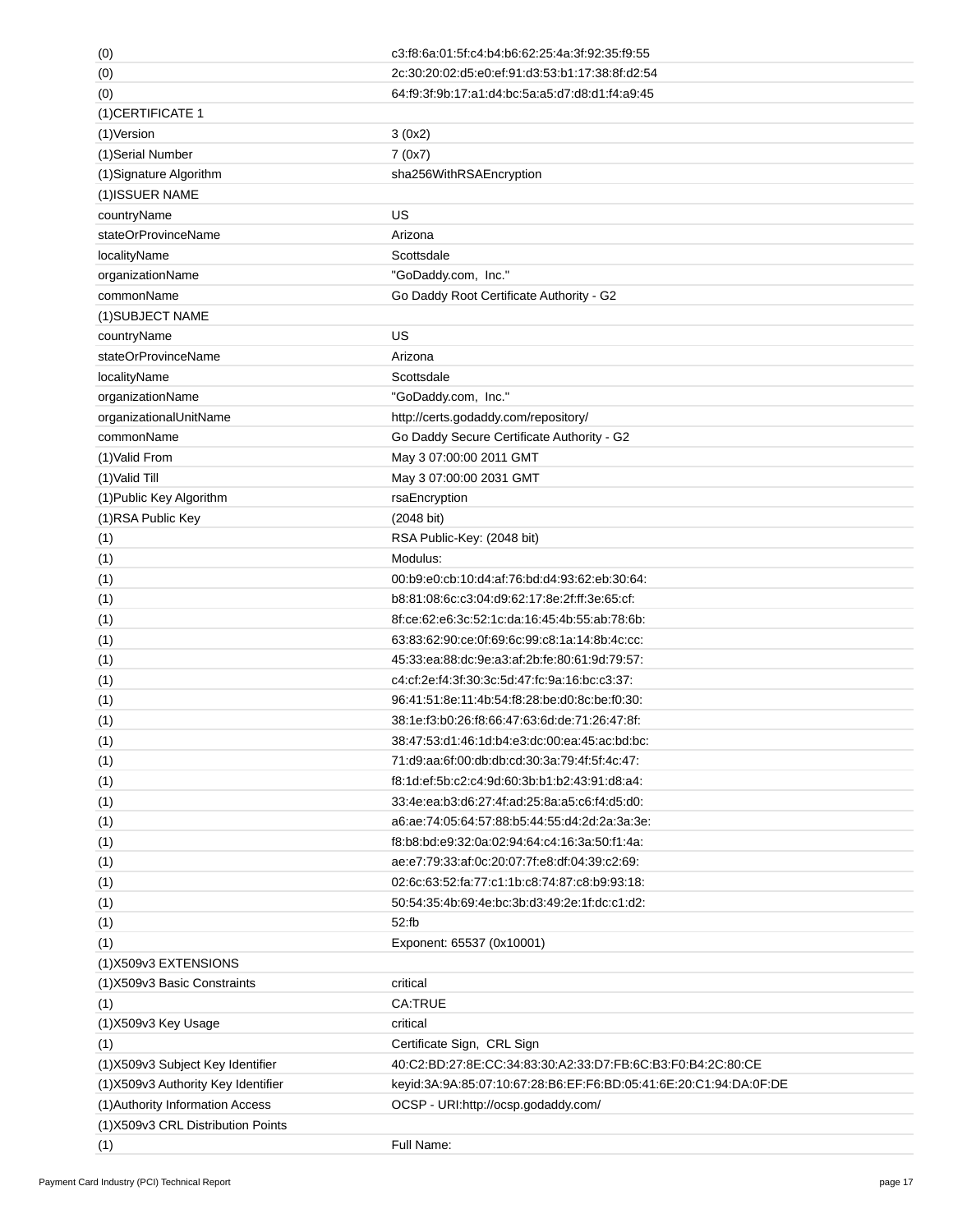| (0)                                 | c3:f8:6a:01:5f:c4:b4:b6:62:25:4a:3f:92:35:f9:55                   |
|-------------------------------------|-------------------------------------------------------------------|
| (0)                                 | 2c:30:20:02:d5:e0:ef:91:d3:53:b1:17:38:8f:d2:54                   |
| (0)                                 | 64:f9:3f:9b:17:a1:d4:bc:5a:a5:d7:d8:d1:f4:a9:45                   |
| (1) CERTIFICATE 1                   |                                                                   |
| (1) Version                         | 3(0x2)                                                            |
| (1)Serial Number                    | 7(0x7)                                                            |
| (1) Signature Algorithm             | sha256WithRSAEncryption                                           |
| (1) ISSUER NAME                     |                                                                   |
| countryName                         | US                                                                |
| stateOrProvinceName                 | Arizona                                                           |
| localityName                        | Scottsdale                                                        |
| organizationName                    | "GoDaddy.com, Inc."                                               |
| commonName                          | Go Daddy Root Certificate Authority - G2                          |
| (1) SUBJECT NAME                    |                                                                   |
| countryName                         | US                                                                |
| stateOrProvinceName                 | Arizona                                                           |
| localityName                        | Scottsdale                                                        |
| organizationName                    | "GoDaddy.com, Inc."                                               |
| organizationalUnitName              | http://certs.godaddy.com/repository/                              |
| commonName                          | Go Daddy Secure Certificate Authority - G2                        |
| (1) Valid From                      | May 3 07:00:00 2011 GMT                                           |
| (1) Valid Till                      | May 3 07:00:00 2031 GMT                                           |
| (1) Public Key Algorithm            | rsaEncryption                                                     |
| (1) RSA Public Key                  | (2048 bit)                                                        |
| (1)                                 | RSA Public-Key: (2048 bit)                                        |
| (1)                                 | Modulus:                                                          |
| (1)                                 | 00:b9:e0:cb:10:d4:af:76:bd:d4:93:62:eb:30:64:                     |
| (1)                                 | b8:81:08:6c:c3:04:d9:62:17:8e:2f:ff:3e:65:cf:                     |
| (1)                                 | 8f:ce:62:e6:3c:52:1c:da:16:45:4b:55:ab:78:6b:                     |
| (1)                                 | 63:83:62:90:ce:0f:69:6c:99:c8:1a:14:8b:4c:cc:                     |
| (1)                                 | 45:33:ea.88.dc.9e.a3.af:2b.fe.80.61.9d.79.57.                     |
| (1)                                 | c4:cf:2e:f4:3f:30:3c:5d:47:fc:9a:16:bc:c3:37:                     |
| (1)                                 | 96:41:51:8e:11:4b:54:f8:28:be:d0:8c:be:f0:30:                     |
| (1)                                 | 38:1e:f3:b0:26:f8:66:47:63:6d:de:71:26:47:8f:                     |
| (1)                                 | 38:47:53:d1:46:1d:b4:e3:dc:00:ea:45:ac:bd:bc:                     |
| (1)                                 | 71.d9.aa.6f.00.db.db.cd.30.3a.79.4f.5f.4c.47.                     |
| (1)                                 | f8:1d:ef:5b:c2:c4:9d:60:3b:b1:b2:43:91:d8:a4:                     |
| (1)                                 | 33:4e:ea:b3:d6:27:4f:ad:25:8a:a5:c6:f4:d5:d0:                     |
| (1)                                 | a6.ae.74.05.64.57.88.b5.44.55.d4.2d.2a.3a.3e.                     |
| (1)                                 | f8.b8.bd.e9.32.0a.02.94.64.c4.16.3a.50.f1.4a.                     |
| (1)                                 | ae:e7:79:33:af:0c:20:07:7f:e8:df:04:39:c2:69:                     |
| (1)                                 | 02:6c:63:52:fa:77:c1:1b:c8:74:87:c8:b9:93:18:                     |
| (1)                                 | 50:54:35:4b:69:4e:bc:3b:d3:49:2e:1f:dc:c1:d2:                     |
| (1)                                 | 52:fb                                                             |
| (1)                                 | Exponent: 65537 (0x10001)                                         |
| (1)X509v3 EXTENSIONS                |                                                                   |
| (1) X509 v3 Basic Constraints       | critical                                                          |
| (1)                                 | <b>CA:TRUE</b>                                                    |
| (1)X509v3 Key Usage                 | critical                                                          |
| (1)                                 | Certificate Sign, CRL Sign                                        |
| (1) X509v3 Subject Key Identifier   | 40:C2:BD:27:8E:CC:34:83:30:A2:33:D7:FB:6C:B3:F0:B4:2C:80:CE       |
| (1) X509v3 Authority Key Identifier | keyid:3A:9A:85:07:10:67:28:B6:EF:F6:BD:05:41:6E:20:C1:94:DA:0F:DE |
| (1) Authority Information Access    | OCSP - URI:http://ocsp.godaddy.com/                               |
| (1)X509v3 CRL Distribution Points   |                                                                   |
| (1)                                 | Full Name:                                                        |
|                                     |                                                                   |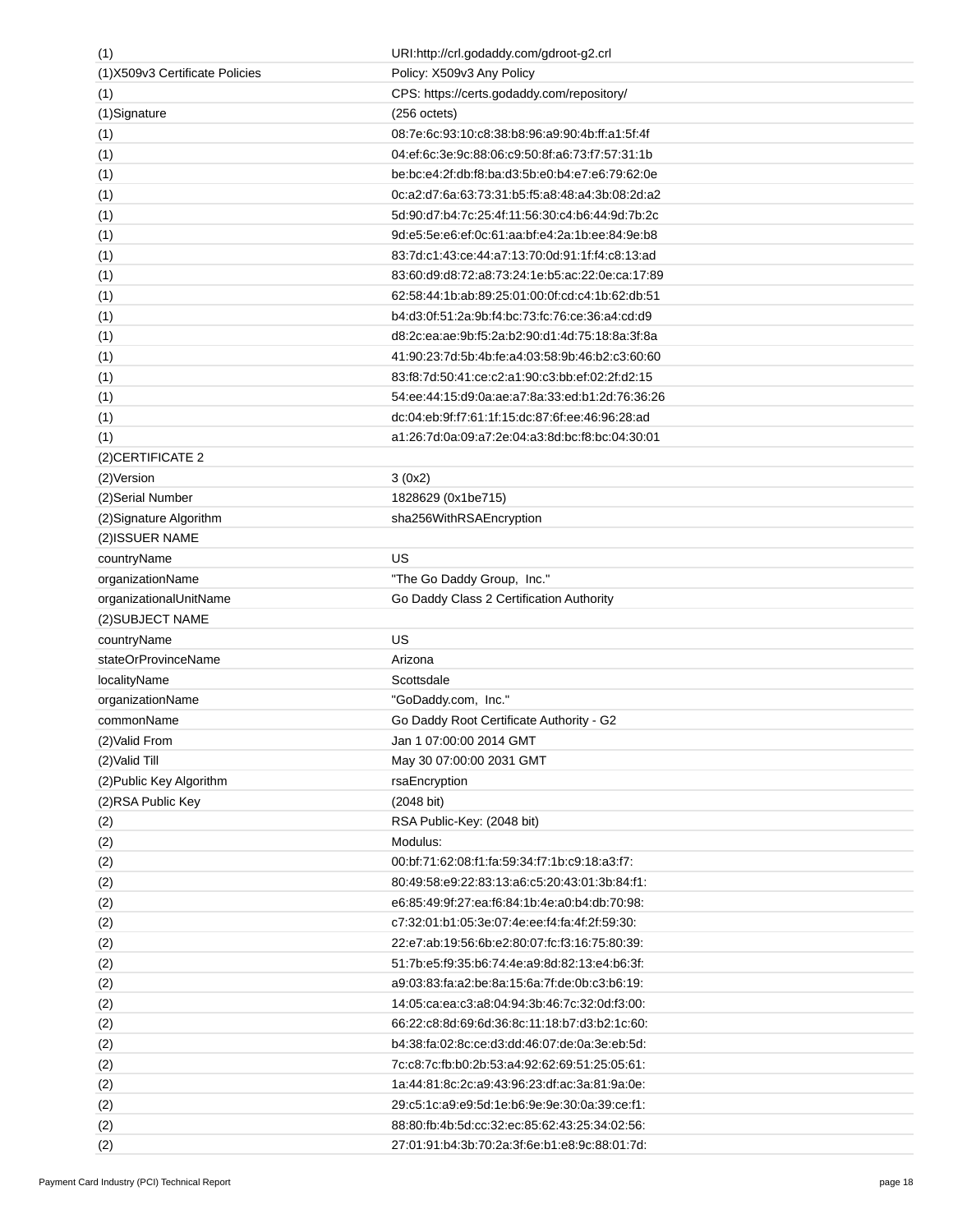| (1)                             | URI:http://crl.godaddy.com/gdroot-g2.crl        |
|---------------------------------|-------------------------------------------------|
| (1) X509v3 Certificate Policies | Policy: X509v3 Any Policy                       |
| (1)                             | CPS: https://certs.godaddy.com/repository/      |
| (1)Signature                    | $(256 \text{ octets})$                          |
| (1)                             | 08:7e:6c:93:10:c8:38:b8:96:a9:90:4b:ff:a1:5f:4f |
| (1)                             | 04:ef:6c:3e:9c:88:06:c9:50:8f:a6:73:f7:57:31:1b |
| (1)                             | be:bc:e4:2f:db:f8:ba:d3:5b:e0:b4:e7:e6:79:62:0e |
| (1)                             | 0c:a2:d7:6a:63:73:31:b5:f5:a8:48:a4:3b:08:2d:a2 |
| (1)                             | 5d:90:d7:b4:7c:25:4f:11:56:30:c4:b6:44:9d:7b:2c |
| (1)                             | 9d:e5:5e:e6:ef:0c:61:aa:bf:e4:2a:1b:ee:84:9e:b8 |
| (1)                             | 83.7d.c1.43.ce:44.a7:13.70.0d.91:1f:f4.c8.13.ad |
| (1)                             | 83:60:d9:d8:72:a8:73:24:1e:b5:ac:22:0e:ca:17:89 |
| (1)                             | 62.58.44.1b.ab.89.25.01.00.0f.cd.c4.1b.62.db.51 |
| (1)                             | b4.d3.0f:51:2a:9b:f4.bc:73.fc:76.ce:36.a4.cd:d9 |
| (1)                             | d8:2c:ea:ae:9b:f5:2a:b2:90:d1:4d:75:18:8a:3f:8a |
| (1)                             | 41:90:23:7d:5b:4b:fe:a4:03:58:9b:46:b2:c3:60:60 |
| (1)                             | 83:f8:7d:50:41:ce:c2:a1:90:c3:bb.ef:02:2f:d2:15 |
| (1)                             | 54:ee:44:15:d9:0a:ae:a7:8a:33:ed:b1:2d:76:36:26 |
| (1)                             | dc:04:eb:9f:f7:61:1f:15:dc:87:6f:ee:46:96:28.ad |
| (1)                             | a1:26:7d:0a:09:a7:2e:04:a3:8d:bc:f8:bc:04:30:01 |
| (2) CERTIFICATE 2               |                                                 |
| (2) Version                     | 3(0x2)                                          |
| (2) Serial Number               | 1828629 (0x1be715)                              |
| (2) Signature Algorithm         | sha256WithRSAEncryption                         |
| (2) ISSUER NAME                 |                                                 |
| countryName                     | US                                              |
| organizationName                | "The Go Daddy Group, Inc."                      |
| organizationalUnitName          | Go Daddy Class 2 Certification Authority        |
| (2) SUBJECT NAME                |                                                 |
| countryName                     | US                                              |
| stateOrProvinceName             | Arizona                                         |
| localityName                    | Scottsdale                                      |
| organizationName                | "GoDaddy.com, Inc."                             |
| commonName                      | Go Daddy Root Certificate Authority - G2        |
| (2) Valid From                  | Jan 1 07:00:00 2014 GMT                         |
| (2) Valid Till                  | May 30 07:00:00 2031 GMT                        |
| (2) Public Key Algorithm        | rsaEncryption                                   |
| (2) RSA Public Key              | (2048 bit)                                      |
| (2)                             | RSA Public-Key: (2048 bit)                      |
| (2)                             | Modulus:                                        |
| (2)                             | 00:bf:71:62:08:f1:fa:59:34:f7:1b:c9:18:a3:f7:   |
| (2)                             | 80:49:58:e9:22:83:13:a6:c5:20:43:01:3b:84:f1:   |
| (2)                             | e6:85:49:9f:27:ea:f6:84:1b:4e:a0:b4:db:70:98:   |
| (2)                             | c7:32:01:b1:05:3e:07:4e:ee:f4:fa:4f:2f:59:30:   |
| (2)                             | 22.e7.ab.19.56.6b.e2.80.07.fc.f3.16.75.80.39.   |
|                                 | 51:7b:e5:f9:35:b6:74:4e:a9:8d:82:13:e4:b6:3f:   |
| (2)                             | a9:03:83:fa:a2:be:8a:15:6a:7f:de:0b:c3:b6:19:   |
| (2)                             | 14:05:ca:ea:c3:a8:04:94:3b:46:7c:32:0d:f3:00:   |
| (2)                             |                                                 |
| (2)                             | 66:22:c8:8d:69:6d:36:8c:11:18:b7:d3:b2:1c:60:   |
| (2)                             | b4:38:fa:02:8c:ce:d3:dd:46:07:de:0a:3e:eb:5d:   |
| (2)                             | 7c:c8:7c:fb:b0:2b:53:a4:92:62:69:51:25:05:61:   |
| (2)                             | 1a:44:81:8c:2c:a9:43:96:23:df:ac:3a:81:9a:0e:   |
| (2)                             | 29:c5:1c:a9:e9:5d:1e:b6:9e:9e:30:0a:39:ce:f1:   |
| (2)                             | 88:80:fb:4b:5d:cc:32:ec:85:62:43:25:34:02:56:   |
| (2)                             | 27:01:91:b4:3b:70:2a:3f:6e:b1:e8:9c:88:01:7d:   |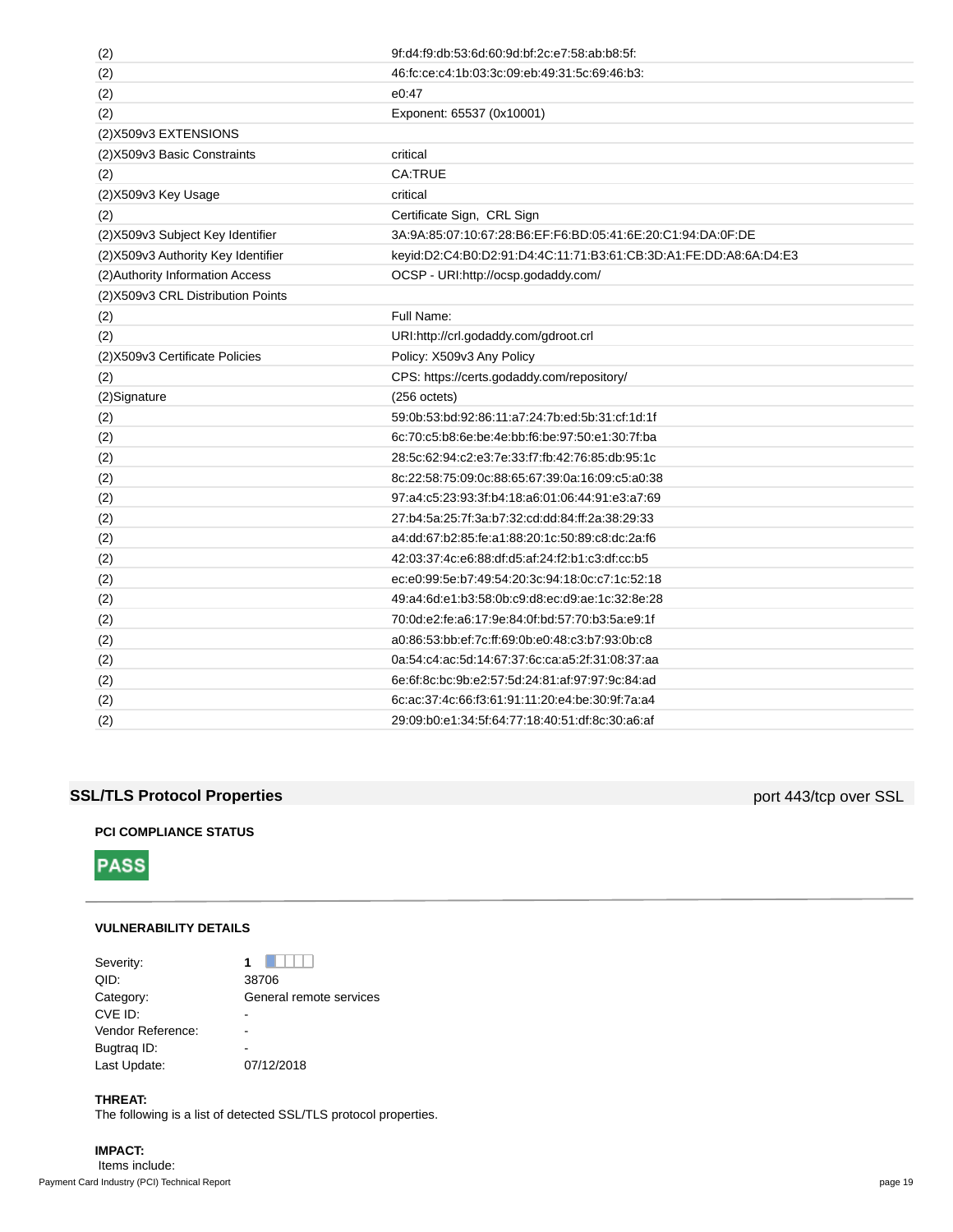| (2)                                 | 9f:d4:f9:db:53:6d:60:9d:bf:2c:e7:58:ab:b8:5f:                     |
|-------------------------------------|-------------------------------------------------------------------|
| (2)                                 | 46.fc.ce.c4.1b.03.3c.09.eb.49.31.5c.69.46.b3.                     |
| (2)                                 | e0:47                                                             |
| (2)                                 | Exponent: 65537 (0x10001)                                         |
| (2) X509v3 EXTENSIONS               |                                                                   |
| (2) X509v3 Basic Constraints        | critical                                                          |
| (2)                                 | <b>CA.TRUE</b>                                                    |
| (2) X509 v3 Key Usage               | critical                                                          |
| (2)                                 | Certificate Sign, CRL Sign                                        |
| (2) X509v3 Subject Key Identifier   | 3A:9A:85:07:10:67:28:B6:EF:F6:BD:05:41:6E:20:C1:94:DA:0F:DE       |
| (2) X509v3 Authority Key Identifier | keyid:D2:C4:B0:D2:91:D4:4C:11:71:B3:61:CB:3D:A1:FE:DD:A8:6A:D4:E3 |
| (2) Authority Information Access    | OCSP - URI:http://ocsp.godaddy.com/                               |
| (2) X509v3 CRL Distribution Points  |                                                                   |
| (2)                                 | Full Name:                                                        |
| (2)                                 | URI:http://crl.godaddy.com/gdroot.crl                             |
| (2) X509 v3 Certificate Policies    | Policy: X509v3 Any Policy                                         |
| (2)                                 | CPS: https://certs.godaddy.com/repository/                        |
|                                     |                                                                   |
| (2) Signature                       | $(256 \text{ octets})$                                            |
| (2)                                 | 59:0b:53:bd:92:86:11:a7:24:7b:ed:5b:31:cf:1d:1f                   |
| (2)                                 | 6c:70:c5:b8:6e:be:4e:bb:f6:be:97:50:e1:30:7f:ba                   |
| (2)                                 | 28:5c:62:94:c2:e3:7e:33:f7:fb:42:76:85:db:95:1c                   |
| (2)                                 | 8c:22:58:75:09:0c:88:65:67:39:0a:16:09:c5:a0:38                   |
| (2)                                 | 97:a4:c5:23:93:3f:b4:18:a6:01:06:44:91:e3:a7:69                   |
| (2)                                 | 27:b4:5a:25:7f:3a:b7:32:cd:dd:84:ff:2a:38:29:33                   |
| (2)                                 | a4.dd:67.b2:85.fe.a1.88.20.1c:50.89.c8.dc:2a.f6                   |
| (2)                                 | 42:03:37:4c:e6:88:df:d5:af:24:f2:b1:c3:df:cc:b5                   |
| (2)                                 | ec:e0:99:5e:b7:49:54:20:3c:94:18:0c:c7:1c:52:18                   |
| (2)                                 | 49:a4:6d:e1:b3:58:0b:c9:d8:ec:d9:ae:1c:32:8e:28                   |
| (2)                                 | 70:0d:e2:fe:a6:17:9e:84:0f:bd:57:70:b3:5a:e9:1f                   |
| (2)                                 | a0:86:53:bb:ef:7c:ff:69:0b:e0:48:c3:b7:93:0b:c8                   |
| (2)                                 | 0a:54:c4:ac:5d:14:67:37:6c:ca:a5:2f:31:08:37:aa                   |
| (2)                                 | 6e:6f:8c:bc:9b:e2:57:5d:24:81:af:97:97:9c:84:ad                   |
| (2)                                 | 6c:ac:37:4c:66:f3:61:91:11:20:e4:be:30:9f:7a:a4                   |
| (2)                                 | 29:09:b0:e1:34:5f:64:77:18:40:51:df:8c:30:a6:af                   |

## **SSL/TLS Protocol Properties port 443/tcp over SSL**

## **PCI COMPLIANCE STATUS**



## **VULNERABILITY DETAILS**

| Severity:         | .                       |
|-------------------|-------------------------|
| QID:              | 38706                   |
| Category:         | General remote services |
| CVE ID:           |                         |
| Vendor Reference: |                         |
| Bugtrag ID:       |                         |
| Last Update:      | 07/12/2018              |

## **THREAT:**

The following is a list of detected SSL/TLS protocol properties.

## **IMPACT:** Items include:

Payment Card Industry (PCI) Technical Report page 19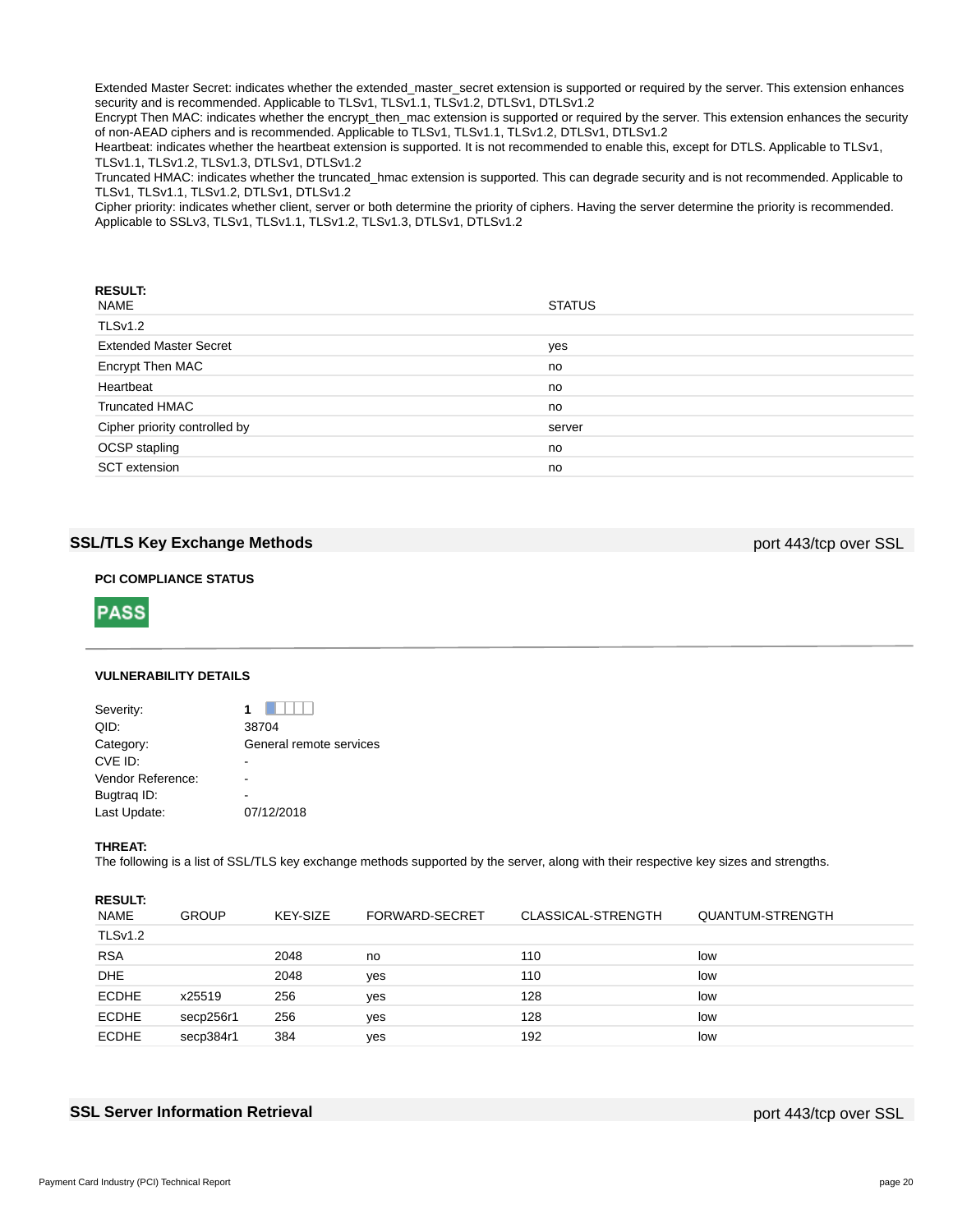Extended Master Secret: indicates whether the extended\_master\_secret extension is supported or required by the server. This extension enhances security and is recommended. Applicable to TLSv1, TLSv1.1, TLSv1.2, DTLSv1, DTLSv1.2

Encrypt Then MAC: indicates whether the encrypt\_then\_mac extension is supported or required by the server. This extension enhances the security of non-AEAD ciphers and is recommended. Applicable to TLSv1, TLSv1.1, TLSv1.2, DTLSv1, DTLSv1.2

Heartbeat: indicates whether the heartbeat extension is supported. It is not recommended to enable this, except for DTLS. Applicable to TLSv1, TLSv1.1, TLSv1.2, TLSv1.3, DTLSv1, DTLSv1.2

Truncated HMAC: indicates whether the truncated\_hmac extension is supported. This can degrade security and is not recommended. Applicable to TLSv1, TLSv1.1, TLSv1.2, DTLSv1, DTLSv1.2

Cipher priority: indicates whether client, server or both determine the priority of ciphers. Having the server determine the priority is recommended. Applicable to SSLv3, TLSv1, TLSv1.1, TLSv1.2, TLSv1.3, DTLSv1, DTLSv1.2

| <b>RESULT:</b><br>NAME        | <b>STATUS</b> |
|-------------------------------|---------------|
| TLSv1.2                       |               |
| <b>Extended Master Secret</b> | yes           |
| Encrypt Then MAC              | no            |
| Heartbeat                     | no            |
| <b>Truncated HMAC</b>         | no            |
| Cipher priority controlled by | server        |
| OCSP stapling                 | no            |
| <b>SCT</b> extension          | no            |

## **SSL/TLS Key Exchange Methods port 443/tcp over SSL**

## **PCI COMPLIANCE STATUS**



## **VULNERABILITY DETAILS**

| Severity:         |                         |
|-------------------|-------------------------|
| QID:              | 38704                   |
| Category:         | General remote services |
| CVE ID:           |                         |
| Vendor Reference: |                         |
| Bugtraq ID:       |                         |
| Last Update:      | 07/12/2018              |
|                   |                         |

#### **THREAT:**

The following is a list of SSL/TLS key exchange methods supported by the server, along with their respective key sizes and strengths.

## **RESULT:**

| <b>NAME</b>    | <b>GROUP</b> | KEY-SIZE | FORWARD-SECRET | CLASSICAL-STRENGTH | <b>QUANTUM-STRENGTH</b> |
|----------------|--------------|----------|----------------|--------------------|-------------------------|
| <b>TLSv1.2</b> |              |          |                |                    |                         |
| <b>RSA</b>     |              | 2048     | no             | 110                | low                     |
| <b>DHE</b>     |              | 2048     | ves            | 110                | low                     |
| <b>ECDHE</b>   | x25519       | 256      | ves            | 128                | low                     |
| <b>ECDHE</b>   | secp256r1    | 256      | ves            | 128                | low                     |
| <b>ECDHE</b>   | secp384r1    | 384      | yes            | 192                | low                     |

## **SSL Server Information Retrieval port 443/tcp over SSL**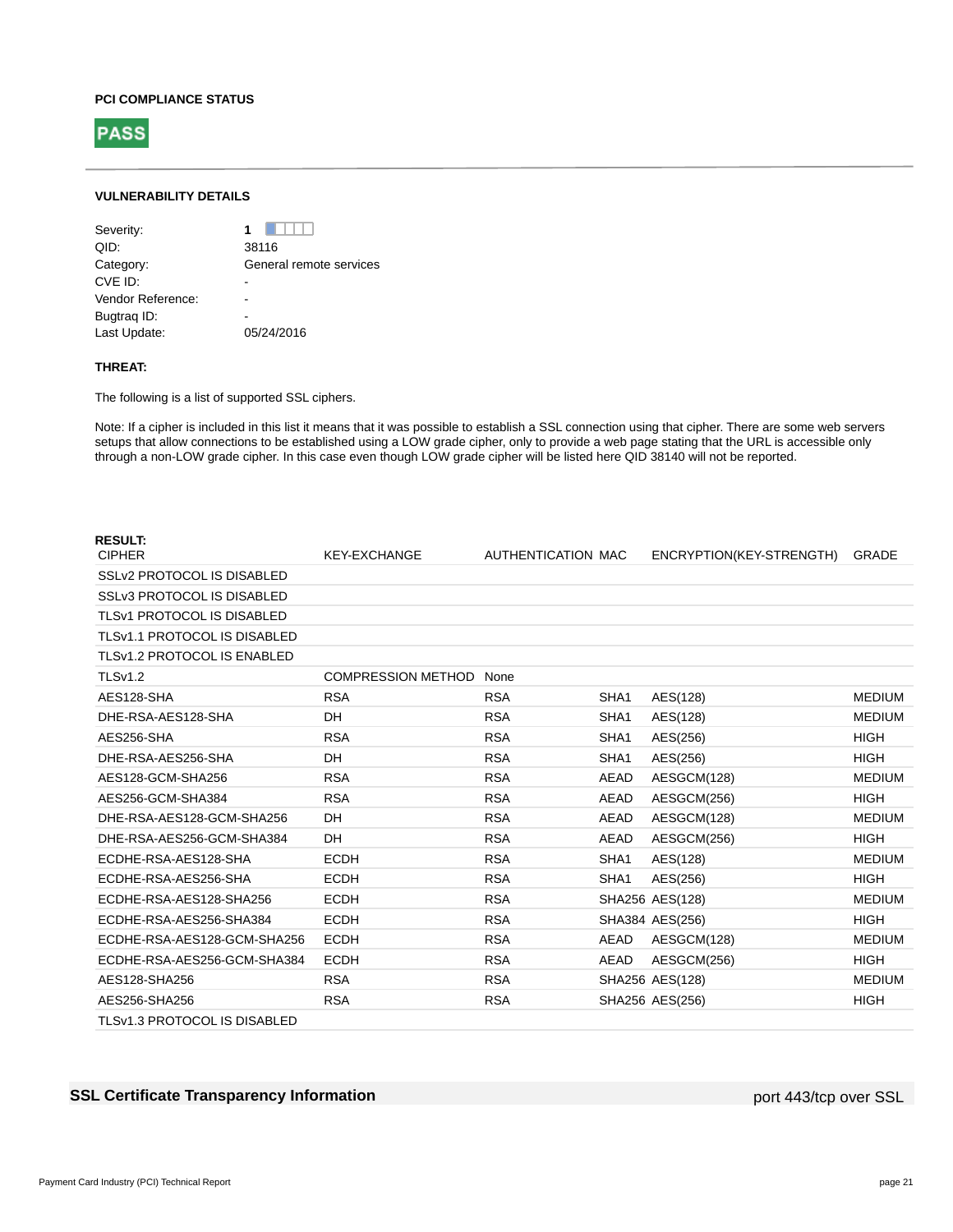#### **PCI COMPLIANCE STATUS**



## **VULNERABILITY DETAILS**

| Severity:         | 1                       |
|-------------------|-------------------------|
| OID:              | 38116                   |
| Category:         | General remote services |
| CVE ID:           |                         |
| Vendor Reference: |                         |
| Bugtrag ID:       |                         |
| Last Update:      | 05/24/2016              |
|                   |                         |

## **THREAT:**

The following is a list of supported SSL ciphers.

Note: If a cipher is included in this list it means that it was possible to establish a SSL connection using that cipher. There are some web servers setups that allow connections to be established using a LOW grade cipher, only to provide a web page stating that the URL is accessible only through a non-LOW grade cipher. In this case even though LOW grade cipher will be listed here QID 38140 will not be reported.

| <b>RESULT:</b>                      |                           |                    |                  |                          |               |
|-------------------------------------|---------------------------|--------------------|------------------|--------------------------|---------------|
| <b>CIPHER</b>                       | <b>KEY-EXCHANGE</b>       | AUTHENTICATION MAC |                  | ENCRYPTION(KEY-STRENGTH) | <b>GRADE</b>  |
| SSLv2 PROTOCOL IS DISABLED          |                           |                    |                  |                          |               |
| SSLv3 PROTOCOL IS DISABLED          |                           |                    |                  |                          |               |
| <b>TLSv1 PROTOCOL IS DISABLED</b>   |                           |                    |                  |                          |               |
| <b>TLSv1.1 PROTOCOL IS DISABLED</b> |                           |                    |                  |                          |               |
| TLSv1.2 PROTOCOL IS ENABLED         |                           |                    |                  |                          |               |
| TLSv1.2                             | <b>COMPRESSION METHOD</b> | None               |                  |                          |               |
| AES128-SHA                          | <b>RSA</b>                | <b>RSA</b>         | SHA <sub>1</sub> | AES(128)                 | <b>MEDIUM</b> |
| DHE-RSA-AES128-SHA                  | DH                        | <b>RSA</b>         | SHA <sub>1</sub> | AES(128)                 | <b>MEDIUM</b> |
| AES256-SHA                          | <b>RSA</b>                | <b>RSA</b>         | SHA <sub>1</sub> | AES(256)                 | <b>HIGH</b>   |
| DHE-RSA-AES256-SHA                  | DH                        | <b>RSA</b>         | SHA <sub>1</sub> | AES(256)                 | <b>HIGH</b>   |
| AES128-GCM-SHA256                   | <b>RSA</b>                | <b>RSA</b>         | AEAD             | AESGCM(128)              | <b>MEDIUM</b> |
| AES256-GCM-SHA384                   | <b>RSA</b>                | <b>RSA</b>         | <b>AEAD</b>      | AESGCM(256)              | <b>HIGH</b>   |
| DHE-RSA-AES128-GCM-SHA256           | DH                        | <b>RSA</b>         | <b>AEAD</b>      | AESGCM(128)              | <b>MEDIUM</b> |
| DHE-RSA-AES256-GCM-SHA384           | DH                        | <b>RSA</b>         | <b>AEAD</b>      | AESGCM(256)              | <b>HIGH</b>   |
| ECDHE-RSA-AES128-SHA                | <b>ECDH</b>               | <b>RSA</b>         | SHA <sub>1</sub> | AES(128)                 | <b>MEDIUM</b> |
| ECDHE-RSA-AES256-SHA                | <b>ECDH</b>               | <b>RSA</b>         | SHA <sub>1</sub> | AES(256)                 | <b>HIGH</b>   |
| ECDHE-RSA-AES128-SHA256             | <b>ECDH</b>               | <b>RSA</b>         |                  | SHA256 AES(128)          | <b>MEDIUM</b> |
| ECDHE-RSA-AES256-SHA384             | <b>ECDH</b>               | <b>RSA</b>         |                  | SHA384 AES(256)          | <b>HIGH</b>   |
| ECDHE-RSA-AES128-GCM-SHA256         | <b>ECDH</b>               | <b>RSA</b>         | <b>AEAD</b>      | AESGCM(128)              | <b>MEDIUM</b> |
| ECDHE-RSA-AES256-GCM-SHA384         | <b>ECDH</b>               | <b>RSA</b>         | AEAD             | AESGCM(256)              | <b>HIGH</b>   |
| AES128-SHA256                       | <b>RSA</b>                | <b>RSA</b>         |                  | SHA256 AES(128)          | <b>MEDIUM</b> |
| AES256-SHA256                       | <b>RSA</b>                | <b>RSA</b>         |                  | SHA256 AES(256)          | <b>HIGH</b>   |
| TLSv1.3 PROTOCOL IS DISABLED        |                           |                    |                  |                          |               |

## **SSL Certificate Transparency Information port 443/tcp over SSL** port 443/tcp over SSL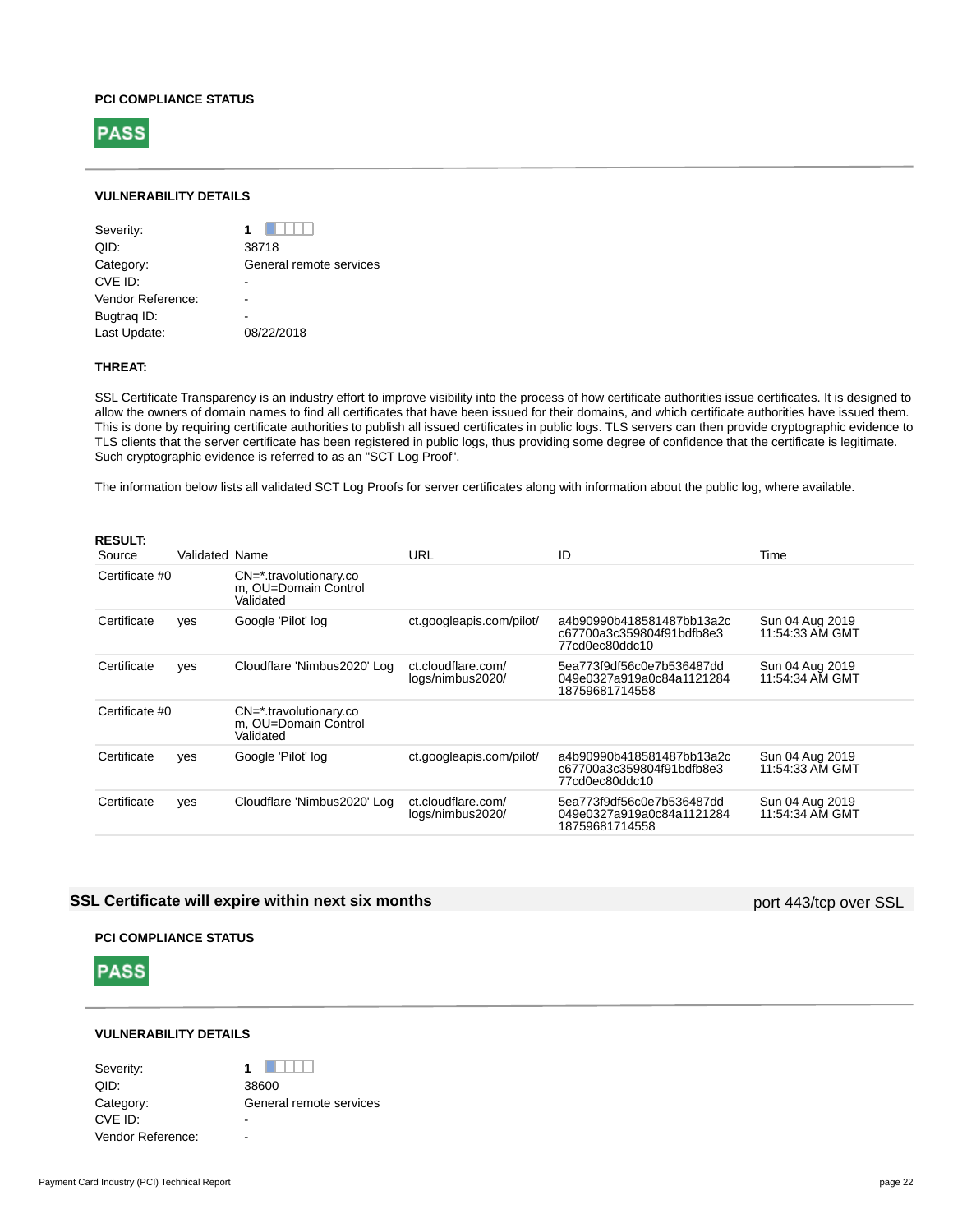#### **PCI COMPLIANCE STATUS**



## **VULNERABILITY DETAILS**

| Severity:         |                         |
|-------------------|-------------------------|
| QID:              | 38718                   |
| Category:         | General remote services |
| CVE ID:           |                         |
| Vendor Reference: |                         |
| Bugtrag ID:       |                         |
| Last Update:      | 08/22/2018              |
|                   |                         |

## **THREAT:**

SSL Certificate Transparency is an industry effort to improve visibility into the process of how certificate authorities issue certificates. It is designed to allow the owners of domain names to find all certificates that have been issued for their domains, and which certificate authorities have issued them. This is done by requiring certificate authorities to publish all issued certificates in public logs. TLS servers can then provide cryptographic evidence to TLS clients that the server certificate has been registered in public logs, thus providing some degree of confidence that the certificate is legitimate. Such cryptographic evidence is referred to as an "SCT Log Proof".

The information below lists all validated SCT Log Proofs for server certificates along with information about the public log, where available.

| <b>RESULT:</b><br>Source | Validated Name |                                                                  | URL                                    | ID                                                                       | Time                               |
|--------------------------|----------------|------------------------------------------------------------------|----------------------------------------|--------------------------------------------------------------------------|------------------------------------|
| Certificate #0           |                | CN=*.travolutionary.co<br>m, OU=Domain Control<br>Validated      |                                        |                                                                          |                                    |
| Certificate              | yes            | Google 'Pilot' log                                               | ct.googleapis.com/pilot/               | a4b90990b418581487bb13a2c<br>c67700a3c359804f91bdfb8e3<br>77cd0ec80ddc10 | Sun 04 Aug 2019<br>11:54:33 AM GMT |
| Certificate              | ves            | Cloudflare 'Nimbus2020' Log                                      | ct.cloudflare.com/<br>logs/nimbus2020/ | 5ea773f9df56c0e7b536487dd<br>049e0327a919a0c84a1121284<br>18759681714558 | Sun 04 Aug 2019<br>11:54:34 AM GMT |
| Certificate #0           |                | $CN = *$ .travolutionary.co<br>m, OU=Domain Control<br>Validated |                                        |                                                                          |                                    |
| Certificate              | yes            | Google 'Pilot' log                                               | ct.googleapis.com/pilot/               | a4b90990b418581487bb13a2c<br>c67700a3c359804f91bdfb8e3<br>77cd0ec80ddc10 | Sun 04 Aug 2019<br>11:54:33 AM GMT |
| Certificate              | yes            | Cloudflare 'Nimbus2020' Log                                      | ct.cloudflare.com/<br>logs/nimbus2020/ | 5ea773f9df56c0e7b536487dd<br>049e0327a919a0c84a1121284<br>18759681714558 | Sun 04 Aug 2019<br>11:54:34 AM GMT |

## **SSL Certificate will expire within next six months** port 443/tcp over SSL

## **PCI COMPLIANCE STATUS**



## **VULNERABILITY DETAILS**

Severity: **1** 1 QID: 38600 Category: General remote services CVE ID: Vendor Reference: -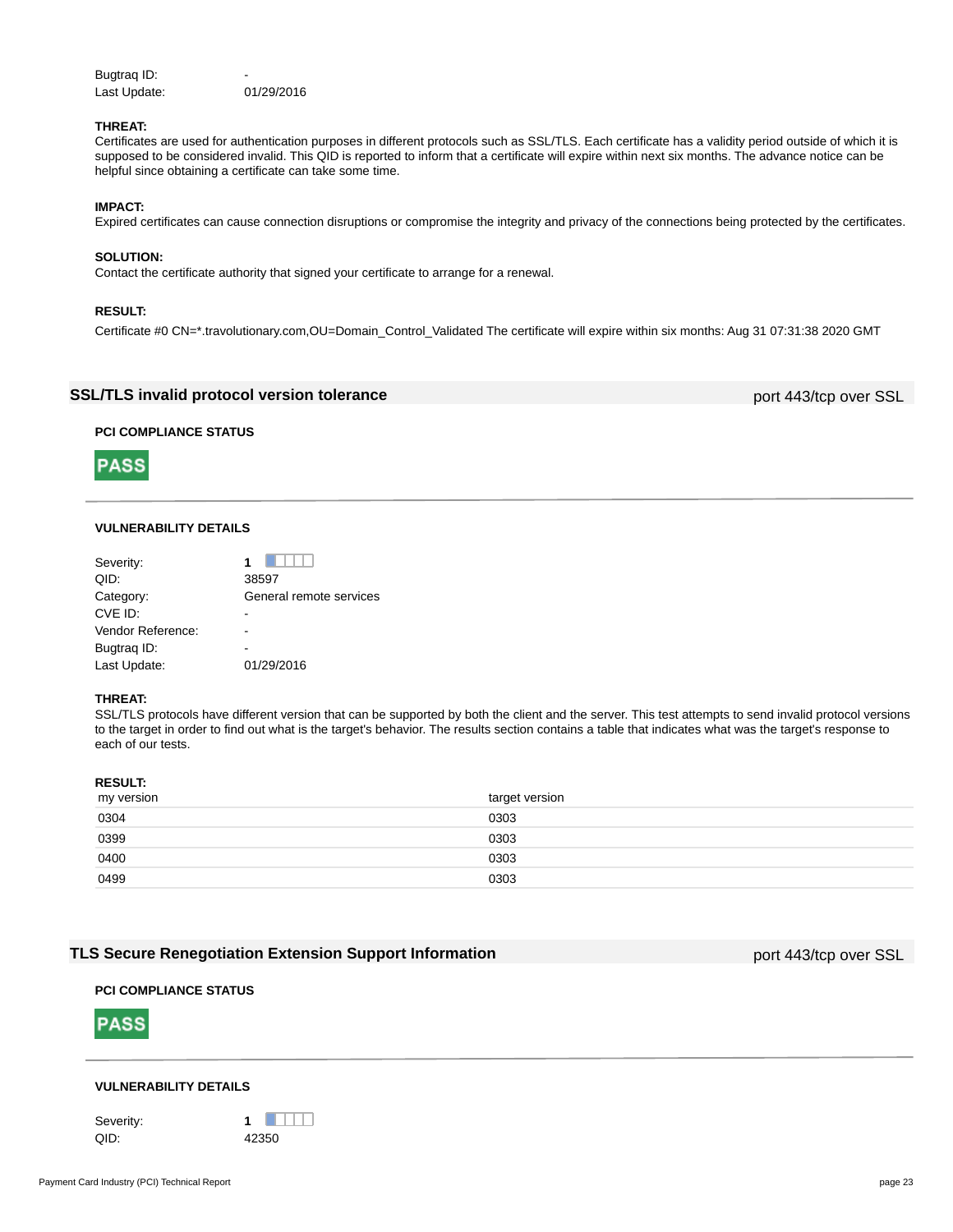Bugtraq ID: Last Update: 01/29/2016

## **THREAT:**

Certificates are used for authentication purposes in different protocols such as SSL/TLS. Each certificate has a validity period outside of which it is supposed to be considered invalid. This QID is reported to inform that a certificate will expire within next six months. The advance notice can be helpful since obtaining a certificate can take some time.

## **IMPACT:**

Expired certificates can cause connection disruptions or compromise the integrity and privacy of the connections being protected by the certificates.

#### **SOLUTION:**

Contact the certificate authority that signed your certificate to arrange for a renewal.

## **RESULT:**

Certificate #0 CN=\*.travolutionary.com,OU=Domain\_Control\_Validated The certificate will expire within six months: Aug 31 07:31:38 2020 GMT

## **SSL/TLS invalid protocol version tolerance** port 443/tcp over SSL

## **PCI COMPLIANCE STATUS**



## **VULNERABILITY DETAILS**

| Severity:         |                         |
|-------------------|-------------------------|
| QID:              | 38597                   |
| Category:         | General remote services |
| CVE ID:           |                         |
| Vendor Reference: |                         |
| Bugtrag ID:       |                         |
| Last Update:      | 01/29/2016              |

#### **THREAT:**

SSL/TLS protocols have different version that can be supported by both the client and the server. This test attempts to send invalid protocol versions to the target in order to find out what is the target's behavior. The results section contains a table that indicates what was the target's response to each of our tests.

## **RESULT:**

| my version | target version |
|------------|----------------|
| 0304       | 0303           |
| 0399       | 0303           |
| 0400       | 0303           |
| 0499       | 0303           |

## **TLS Secure Renegotiation Extension Support Information port A43/tcp over SSL**

## **PCI COMPLIANCE STATUS**



## **VULNERABILITY DETAILS**

Severity: **1** 1 QID: 42350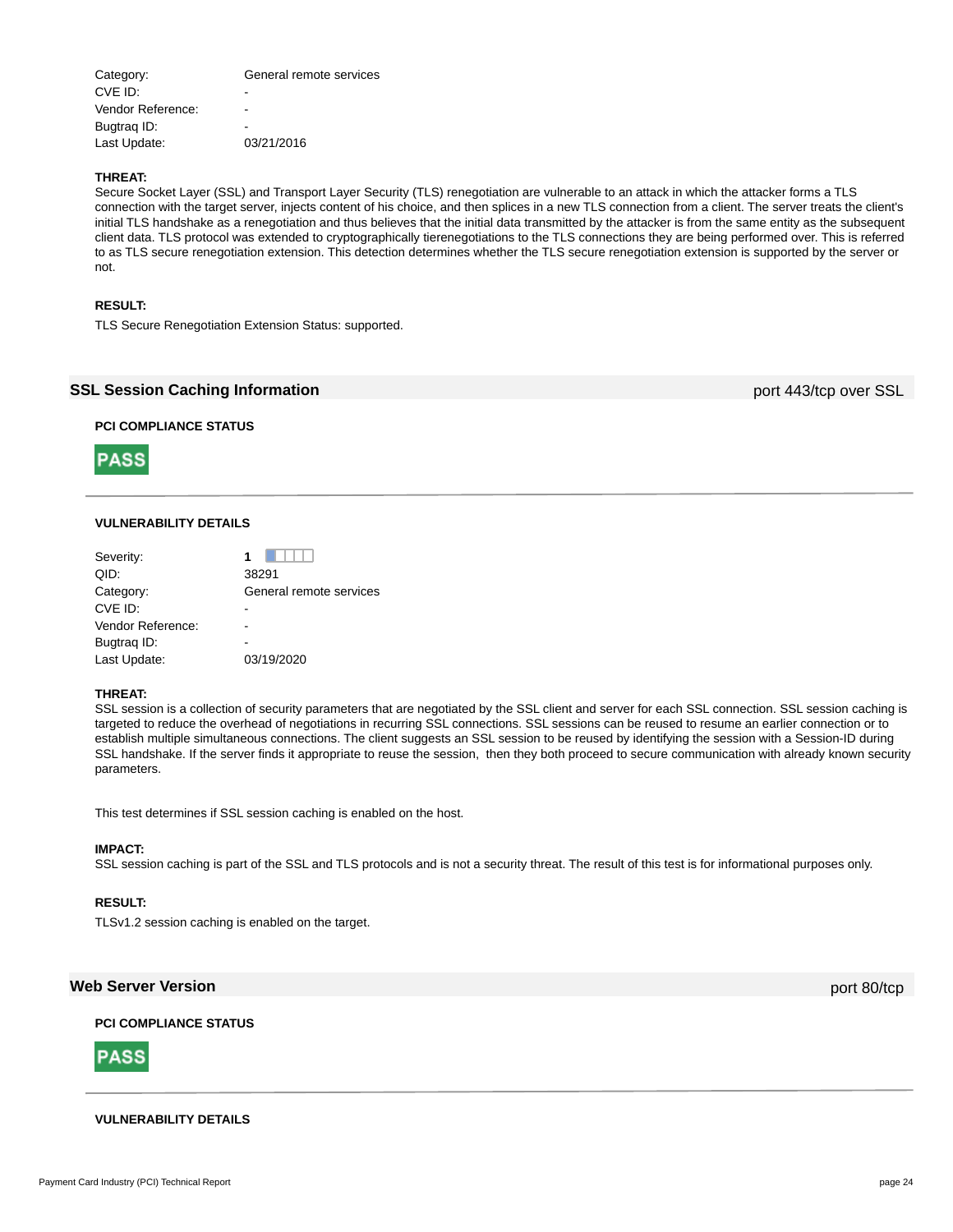| Category:         | General remote services |
|-------------------|-------------------------|
| CVE ID:           | -                       |
| Vendor Reference: |                         |
| Bugtrag ID:       | -                       |
| Last Update:      | 03/21/2016              |
|                   |                         |

## **THREAT:**

Secure Socket Layer (SSL) and Transport Layer Security (TLS) renegotiation are vulnerable to an attack in which the attacker forms a TLS connection with the target server, injects content of his choice, and then splices in a new TLS connection from a client. The server treats the client's initial TLS handshake as a renegotiation and thus believes that the initial data transmitted by the attacker is from the same entity as the subsequent client data. TLS protocol was extended to cryptographically tierenegotiations to the TLS connections they are being performed over. This is referred to as TLS secure renegotiation extension. This detection determines whether the TLS secure renegotiation extension is supported by the server or not.

## **RESULT:**

TLS Secure Renegotiation Extension Status: supported.

## **SSL Session Caching Information** port 443/tcp over SSL

## **PCI COMPLIANCE STATUS**



## **VULNERABILITY DETAILS**

| Severity:         |                         |
|-------------------|-------------------------|
| QID:              | 38291                   |
| Category:         | General remote services |
| CVE ID:           |                         |
| Vendor Reference: |                         |
| Bugtrag ID:       |                         |
| Last Update:      | 03/19/2020              |

#### **THREAT:**

SSL session is a collection of security parameters that are negotiated by the SSL client and server for each SSL connection. SSL session caching is targeted to reduce the overhead of negotiations in recurring SSL connections. SSL sessions can be reused to resume an earlier connection or to establish multiple simultaneous connections. The client suggests an SSL session to be reused by identifying the session with a Session-ID during SSL handshake. If the server finds it appropriate to reuse the session, then they both proceed to secure communication with already known security parameters.

This test determines if SSL session caching is enabled on the host.

#### **IMPACT:**

SSL session caching is part of the SSL and TLS protocols and is not a security threat. The result of this test is for informational purposes only.

### **RESULT:**

TLSv1.2 session caching is enabled on the target.

## **Web Server Version** port 80/tcp

## **PCI COMPLIANCE STATUS**



## **VULNERABILITY DETAILS**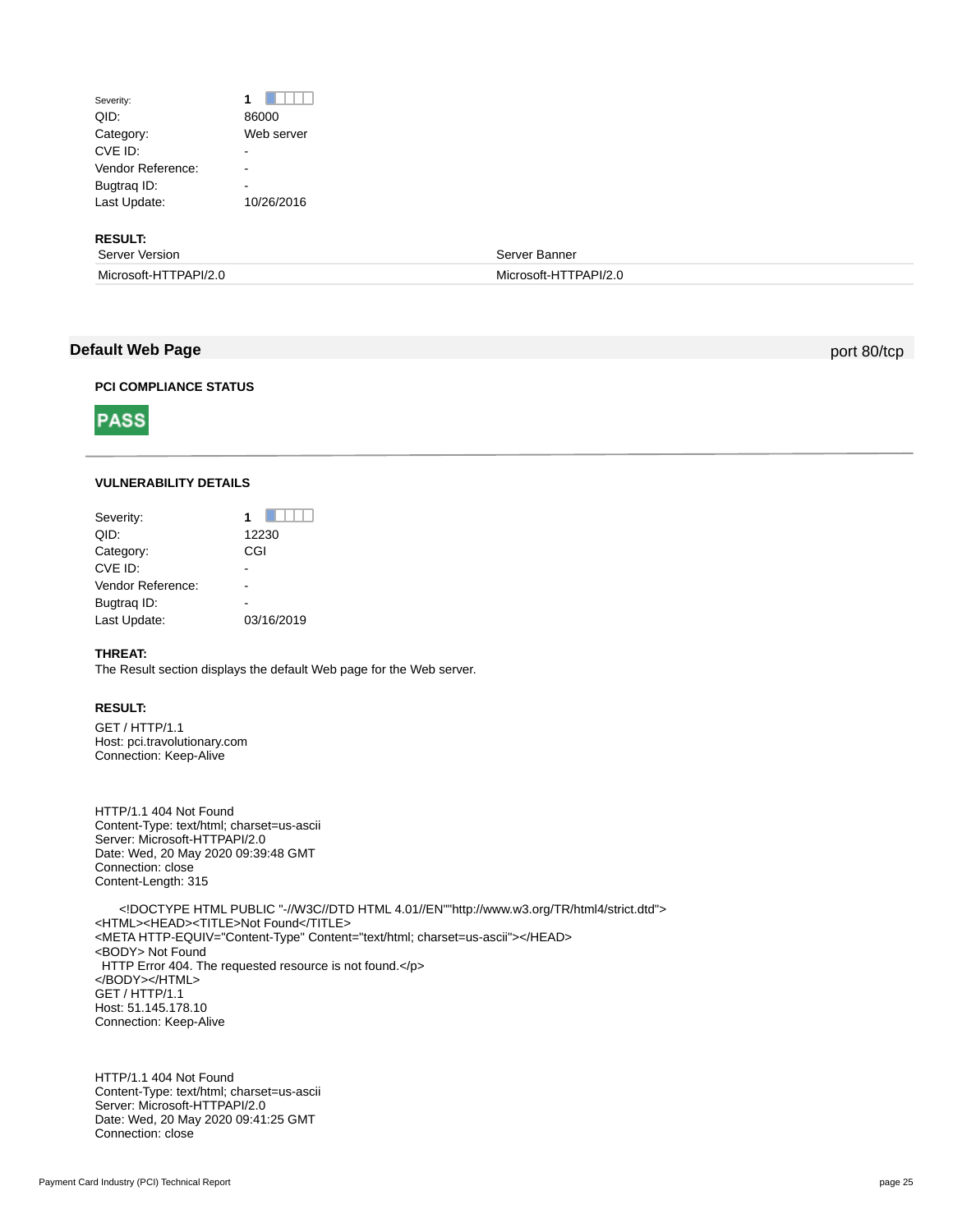## Severity: **1 1** QID: 86000 Category: Web server CVE ID: Particularly the contract of the contract of the contract of the contract of the contract of the contract of the contract of the contract of the contract of the contract of the contract of the contract of the contr Vendor Reference: -Bugtrag ID: Last Update: 10/26/2016

**RESULT:**

| Server Version        | Server Banner         |
|-----------------------|-----------------------|
| Microsoft-HTTPAPI/2.0 | Microsoft-HTTPAPI/2.0 |

## **Default Web Page** port 80/tcp

**PCI COMPLIANCE STATUS**



## **VULNERABILITY DETAILS**

| Severity:         |            |
|-------------------|------------|
| QID:              | 12230      |
| Category:         | CGI        |
| CVE ID:           |            |
| Vendor Reference: |            |
| Bugtrag ID:       |            |
| Last Update:      | 03/16/2019 |
|                   |            |

## **THREAT:**

The Result section displays the default Web page for the Web server.

## **RESULT:**

GET / HTTP/1.1 Host: pci.travolutionary.com Connection: Keep-Alive

HTTP/1.1 404 Not Found Content-Type: text/html; charset=us-ascii Server: Microsoft-HTTPAPI/2.0 Date: Wed, 20 May 2020 09:39:48 GMT Connection: close Content-Length: 315

 <!DOCTYPE HTML PUBLIC "-//W3C//DTD HTML 4.01//EN""http://www.w3.org/TR/html4/strict.dtd"> <HTML><HEAD><TITLE>Not Found</TITLE> <META HTTP-EQUIV="Content-Type" Content="text/html; charset=us-ascii"></HEAD> <BODY> Not Found HTTP Error 404. The requested resource is not found.</p> </BODY></HTML> GET / HTTP/1.1 Host: 51.145.178.10 Connection: Keep-Alive

HTTP/1.1 404 Not Found Content-Type: text/html; charset=us-ascii Server: Microsoft-HTTPAPI/2.0 Date: Wed, 20 May 2020 09:41:25 GMT Connection: close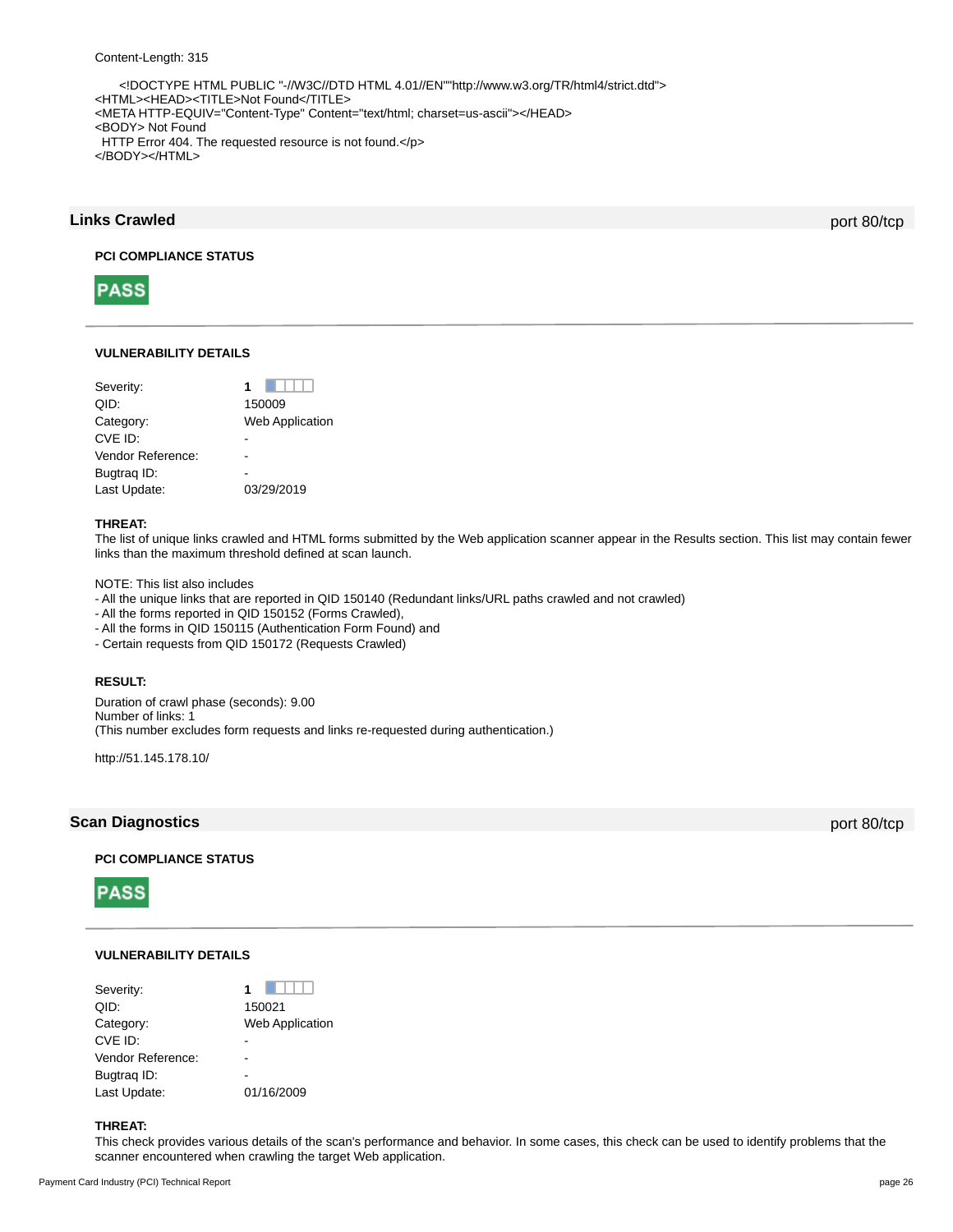<!DOCTYPE HTML PUBLIC "-//W3C//DTD HTML 4.01//EN""http://www.w3.org/TR/html4/strict.dtd"> <HTML><HEAD><TITLE>Not Found</TITLE> <META HTTP-EQUIV="Content-Type" Content="text/html; charset=us-ascii"></HEAD> <BODY> Not Found HTTP Error 404. The requested resource is not found.</p> </BODY></HTML>

## **Links Crawled** port 80/tcp

**PCI COMPLIANCE STATUS**



## **VULNERABILITY DETAILS**

| Severity:         | 1                      |
|-------------------|------------------------|
| QID:              | 150009                 |
| Category:         | <b>Web Application</b> |
| CVE ID:           |                        |
| Vendor Reference: |                        |
| Bugtrag ID:       |                        |
| Last Update:      | 03/29/2019             |
|                   |                        |

## **THREAT:**

The list of unique links crawled and HTML forms submitted by the Web application scanner appear in the Results section. This list may contain fewer links than the maximum threshold defined at scan launch.

NOTE: This list also includes

- All the unique links that are reported in QID 150140 (Redundant links/URL paths crawled and not crawled)

- All the forms reported in QID 150152 (Forms Crawled),

- All the forms in QID 150115 (Authentication Form Found) and

- Certain requests from QID 150172 (Requests Crawled)

## **RESULT:**

Duration of crawl phase (seconds): 9.00 Number of links: 1 (This number excludes form requests and links re-requested during authentication.)

http://51.145.178.10/

## **Scan Diagnostics** port 80/tcp

## **PCI COMPLIANCE STATUS**



## **VULNERABILITY DETAILS**

| Severity:         |                        |
|-------------------|------------------------|
| QID:              | 150021                 |
| Category:         | <b>Web Application</b> |
| CVE ID:           |                        |
| Vendor Reference: |                        |
| Bugtrag ID:       |                        |
| Last Update:      | 01/16/2009             |

## **THREAT:**

This check provides various details of the scan's performance and behavior. In some cases, this check can be used to identify problems that the scanner encountered when crawling the target Web application.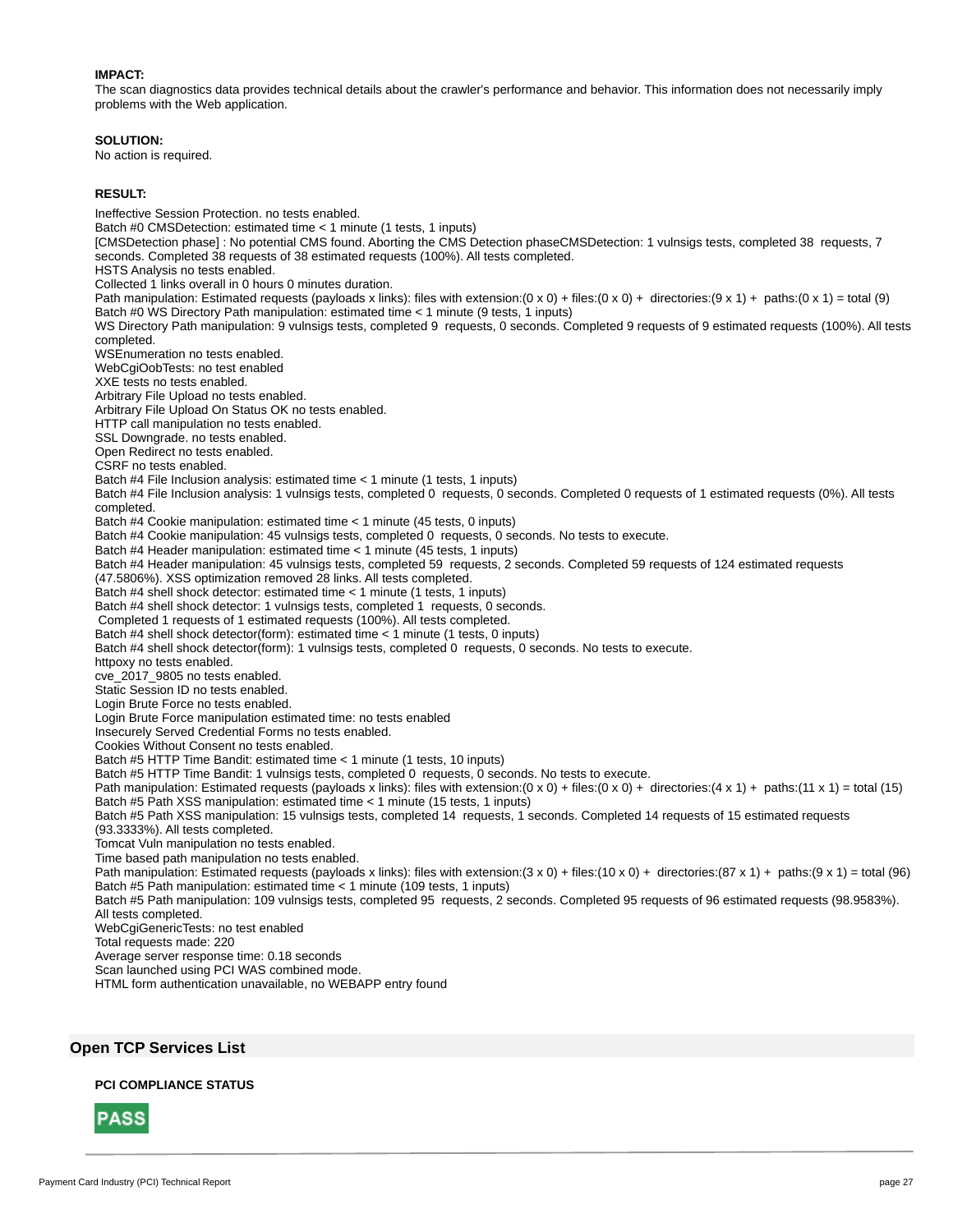## **IMPACT:**

The scan diagnostics data provides technical details about the crawler's performance and behavior. This information does not necessarily imply problems with the Web application.

#### **SOLUTION:**

No action is required.

#### **RESULT:**

Ineffective Session Protection. no tests enabled. Batch #0 CMSDetection: estimated time < 1 minute (1 tests, 1 inputs) [CMSDetection phase] : No potential CMS found. Aborting the CMS Detection phaseCMSDetection: 1 vulnsigs tests, completed 38 requests, 7 seconds. Completed 38 requests of 38 estimated requests (100%). All tests completed. HSTS Analysis no tests enabled. Collected 1 links overall in 0 hours 0 minutes duration. Path manipulation: Estimated requests (payloads x links): files with extension:(0 x 0) + files:(0 x 0) + directories:(9 x 1) + paths:(0 x 1) = total (9) Batch #0 WS Directory Path manipulation: estimated time < 1 minute (9 tests, 1 inputs) WS Directory Path manipulation: 9 vulnsigs tests, completed 9 requests, 0 seconds. Completed 9 requests of 9 estimated requests (100%). All tests completed. WSEnumeration no tests enabled. WebCgiOobTests: no test enabled XXE tests no tests enabled. Arbitrary File Upload no tests enabled. Arbitrary File Upload On Status OK no tests enabled. HTTP call manipulation no tests enabled. SSL Downgrade. no tests enabled. Open Redirect no tests enabled. CSRF no tests enabled. Batch #4 File Inclusion analysis: estimated time < 1 minute (1 tests, 1 inputs) Batch #4 File Inclusion analysis: 1 vulnsigs tests, completed 0 requests, 0 seconds. Completed 0 requests of 1 estimated requests (0%). All tests completed. Batch #4 Cookie manipulation: estimated time < 1 minute (45 tests, 0 inputs) Batch #4 Cookie manipulation: 45 vulnsigs tests, completed 0 requests, 0 seconds. No tests to execute. Batch #4 Header manipulation: estimated time < 1 minute (45 tests, 1 inputs) Batch #4 Header manipulation: 45 vulnsigs tests, completed 59 requests, 2 seconds. Completed 59 requests of 124 estimated requests (47.5806%). XSS optimization removed 28 links. All tests completed. Batch #4 shell shock detector: estimated time < 1 minute (1 tests, 1 inputs) Batch #4 shell shock detector: 1 vulnsigs tests, completed 1 requests, 0 seconds. Completed 1 requests of 1 estimated requests (100%). All tests completed. Batch #4 shell shock detector(form): estimated time < 1 minute (1 tests, 0 inputs) Batch #4 shell shock detector(form): 1 vulnsigs tests, completed 0 requests, 0 seconds. No tests to execute. httpoxy no tests enabled. cve\_2017\_9805 no tests enabled. Static Session ID no tests enabled. Login Brute Force no tests enabled. Login Brute Force manipulation estimated time: no tests enabled Insecurely Served Credential Forms no tests enabled. Cookies Without Consent no tests enabled. Batch #5 HTTP Time Bandit: estimated time < 1 minute (1 tests, 10 inputs) Batch #5 HTTP Time Bandit: 1 vulnsigs tests, completed 0 requests, 0 seconds. No tests to execute. Path manipulation: Estimated requests (payloads x links): files with extension:(0 x 0) + files:(0 x 0) + directories:(4 x 1) + paths:(11 x 1) = total (15) Batch #5 Path XSS manipulation: estimated time < 1 minute (15 tests, 1 inputs) Batch #5 Path XSS manipulation: 15 vulnsigs tests, completed 14 requests, 1 seconds. Completed 14 requests of 15 estimated requests (93.3333%). All tests completed. Tomcat Vuln manipulation no tests enabled. Time based path manipulation no tests enabled. Path manipulation: Estimated requests (payloads x links): files with extension:(3 x 0) + files:(10 x 0) + directories:(87 x 1) + paths:(9 x 1) = total (96) Batch #5 Path manipulation: estimated time < 1 minute (109 tests, 1 inputs) Batch #5 Path manipulation: 109 vulnsigs tests, completed 95 requests, 2 seconds. Completed 95 requests of 96 estimated requests (98.9583%). All tests completed. WebCgiGenericTests: no test enabled Total requests made: 220 Average server response time: 0.18 seconds Scan launched using PCI WAS combined mode. HTML form authentication unavailable, no WEBAPP entry found

## **Open TCP Services List**

## **PCI COMPLIANCE STATUS**

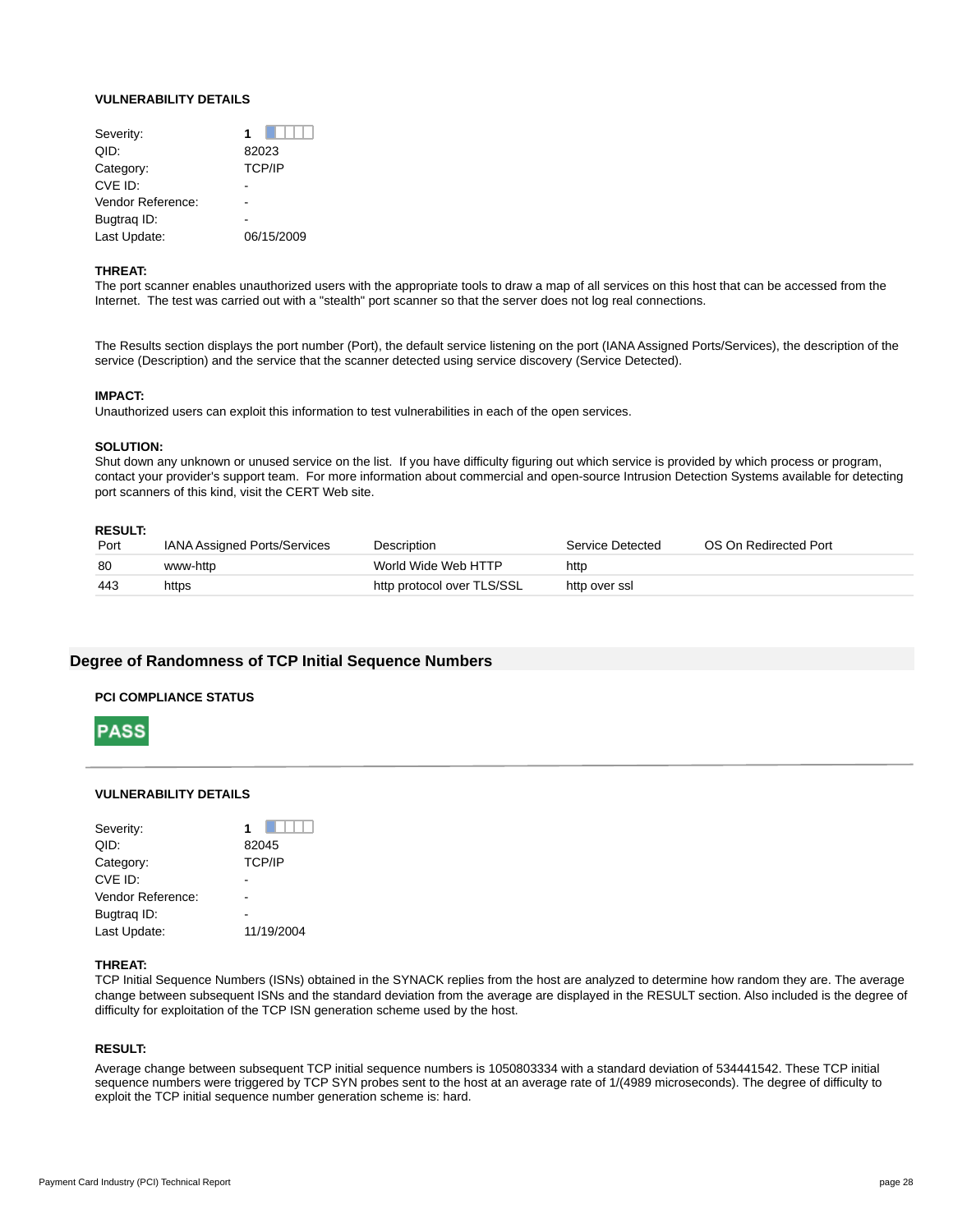## **VULNERABILITY DETAILS**

| 1             |
|---------------|
| 82023         |
| <b>TCP/IP</b> |
|               |
|               |
|               |
| 06/15/2009    |
|               |

#### **THREAT:**

The port scanner enables unauthorized users with the appropriate tools to draw a map of all services on this host that can be accessed from the Internet. The test was carried out with a "stealth" port scanner so that the server does not log real connections.

The Results section displays the port number (Port), the default service listening on the port (IANA Assigned Ports/Services), the description of the service (Description) and the service that the scanner detected using service discovery (Service Detected).

## **IMPACT:**

Unauthorized users can exploit this information to test vulnerabilities in each of the open services.

#### **SOLUTION:**

Shut down any unknown or unused service on the list. If you have difficulty figuring out which service is provided by which process or program, contact your provider's support team. For more information about commercial and open-source Intrusion Detection Systems available for detecting port scanners of this kind, visit the CERT Web site.

#### **RESULT:**

| Port | <b>IANA Assigned Ports/Services</b> | Description                | Service Detected | OS On Redirected Port |
|------|-------------------------------------|----------------------------|------------------|-----------------------|
| -80  | www-http                            | World Wide Web HTTP        | http             |                       |
| 443  | https                               | http protocol over TLS/SSL | http over ssl    |                       |

## **Degree of Randomness of TCP Initial Sequence Numbers**

#### **PCI COMPLIANCE STATUS**



## **VULNERABILITY DETAILS**

| Severity:         | 1             |
|-------------------|---------------|
| QID:              | 82045         |
| Category:         | <b>TCP/IP</b> |
| CVE ID:           |               |
| Vendor Reference: |               |
| Bugtrag ID:       |               |
| Last Update:      | 11/19/2004    |
|                   |               |

## **THREAT:**

TCP Initial Sequence Numbers (ISNs) obtained in the SYNACK replies from the host are analyzed to determine how random they are. The average change between subsequent ISNs and the standard deviation from the average are displayed in the RESULT section. Also included is the degree of difficulty for exploitation of the TCP ISN generation scheme used by the host.

## **RESULT:**

Average change between subsequent TCP initial sequence numbers is 1050803334 with a standard deviation of 534441542. These TCP initial sequence numbers were triggered by TCP SYN probes sent to the host at an average rate of 1/(4989 microseconds). The degree of difficulty to exploit the TCP initial sequence number generation scheme is: hard.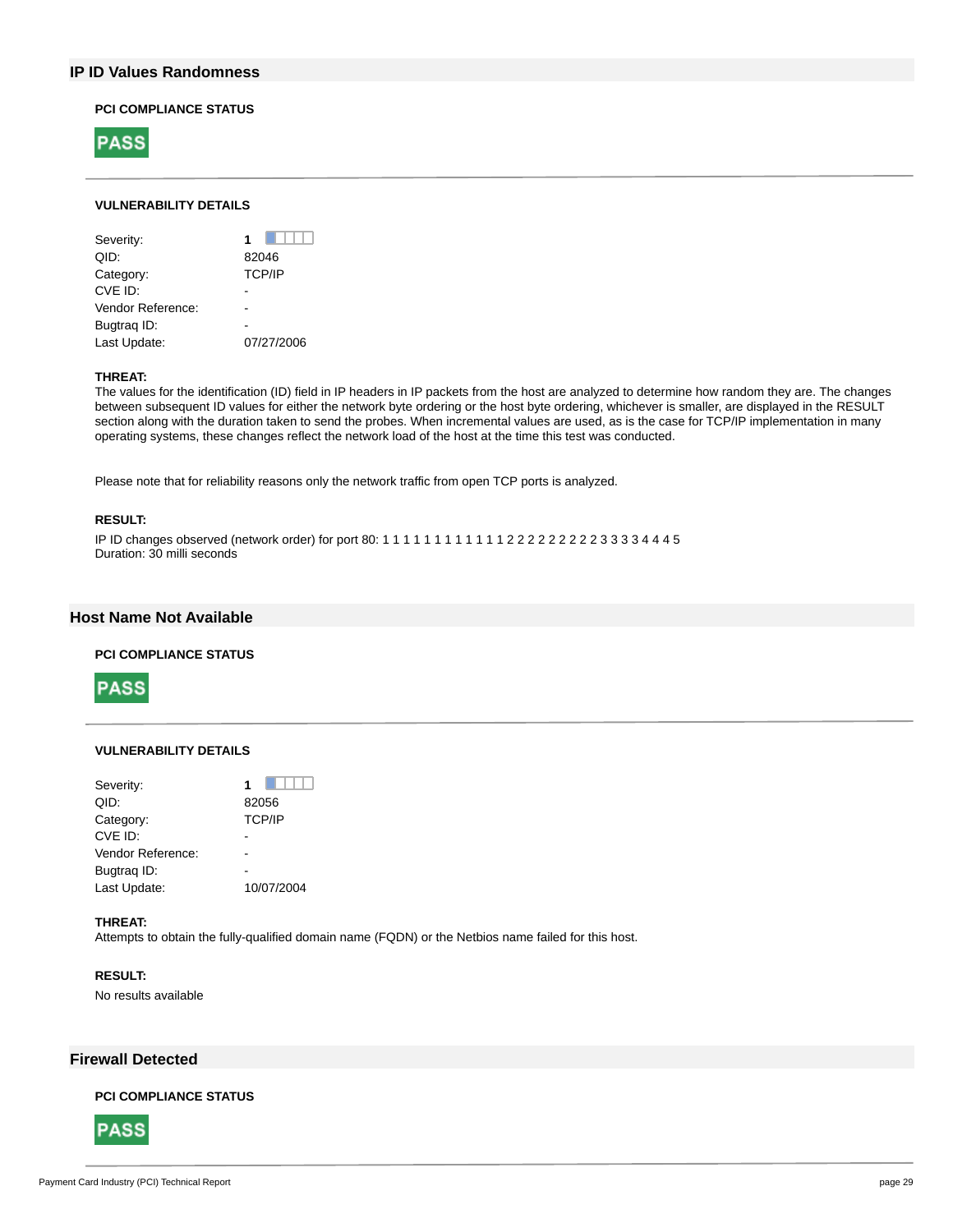## **IP ID Values Randomness**

## **PCI COMPLIANCE STATUS**



## **VULNERABILITY DETAILS**

| Severity:         | 1             |
|-------------------|---------------|
| QID:              | 82046         |
| Category:         | <b>TCP/IP</b> |
| CVE ID:           |               |
| Vendor Reference: |               |
| Bugtrag ID:       |               |
| Last Update:      | 07/27/2006    |

## **THREAT:**

The values for the identification (ID) field in IP headers in IP packets from the host are analyzed to determine how random they are. The changes between subsequent ID values for either the network byte ordering or the host byte ordering, whichever is smaller, are displayed in the RESULT section along with the duration taken to send the probes. When incremental values are used, as is the case for TCP/IP implementation in many operating systems, these changes reflect the network load of the host at the time this test was conducted.

Please note that for reliability reasons only the network traffic from open TCP ports is analyzed.

## **RESULT:**

IP ID changes observed (network order) for port 80: 1 1 1 1 1 1 1 1 1 1 1 1 2 2 2 2 2 2 2 2 2 3 3 3 3 4 4 4 5 Duration: 30 milli seconds

## **Host Name Not Available**

## **PCI COMPLIANCE STATUS**



### **VULNERABILITY DETAILS**

| Severity:         |               |
|-------------------|---------------|
| QID:              | 82056         |
| Category:         | <b>TCP/IP</b> |
| CVE ID:           |               |
| Vendor Reference: |               |
| Bugtrag ID:       |               |
| Last Update:      | 10/07/2004    |
|                   |               |

## **THREAT:**

Attempts to obtain the fully-qualified domain name (FQDN) or the Netbios name failed for this host.

## **RESULT:**

No results available

## **Firewall Detected**

## **PCI COMPLIANCE STATUS**

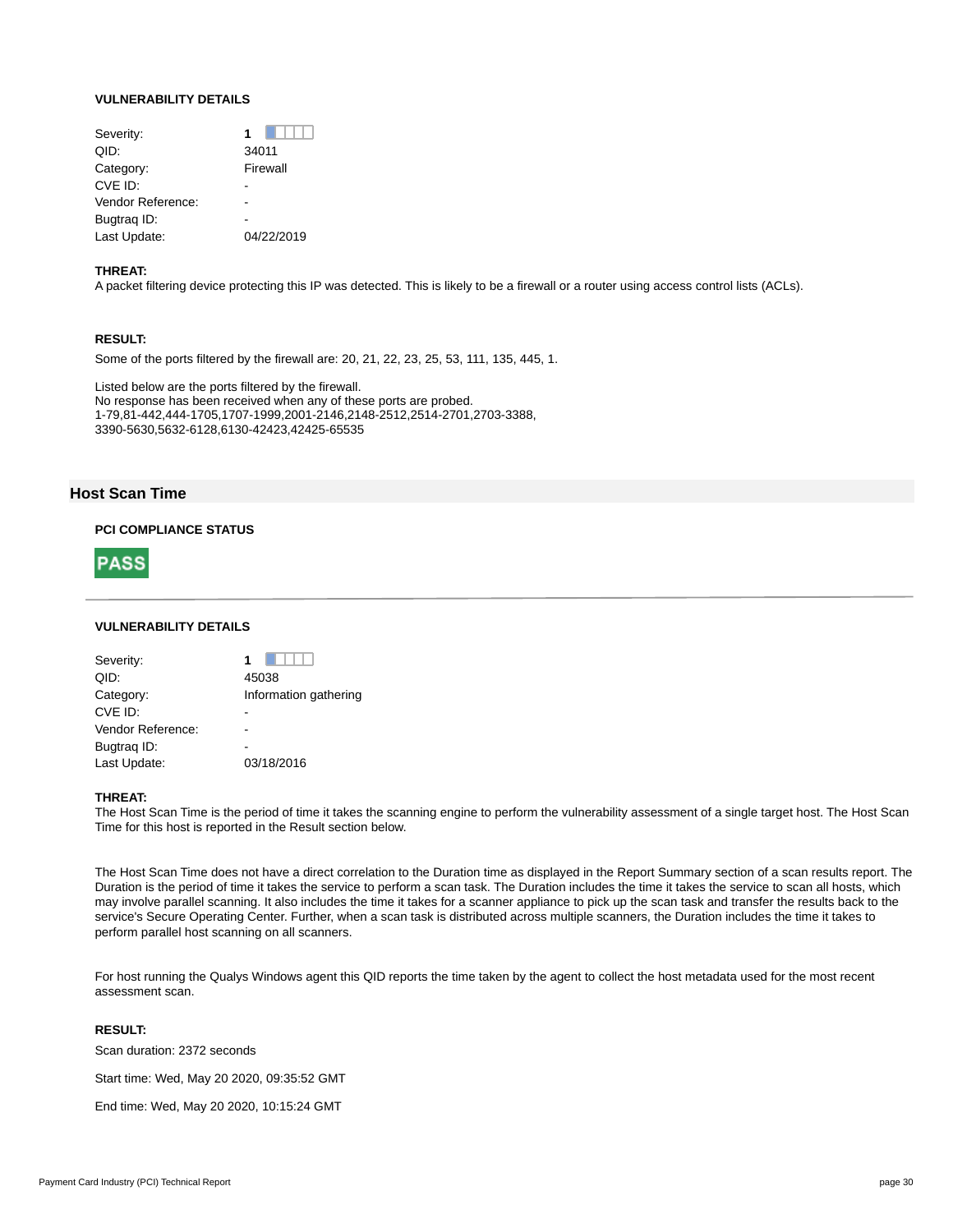## **VULNERABILITY DETAILS**

| Severity:         | 1          |
|-------------------|------------|
| QID:              | 34011      |
| Category:         | Firewall   |
| CVE ID:           |            |
| Vendor Reference: |            |
| Bugtrag ID:       |            |
| Last Update:      | 04/22/2019 |
|                   |            |

#### **THREAT:**

A packet filtering device protecting this IP was detected. This is likely to be a firewall or a router using access control lists (ACLs).

## **RESULT:**

Some of the ports filtered by the firewall are: 20, 21, 22, 23, 25, 53, 111, 135, 445, 1.

Listed below are the ports filtered by the firewall. No response has been received when any of these ports are probed. 1-79,81-442,444-1705,1707-1999,2001-2146,2148-2512,2514-2701,2703-3388, 3390-5630,5632-6128,6130-42423,42425-65535

## **Host Scan Time**

### **PCI COMPLIANCE STATUS**



## **VULNERABILITY DETAILS**

| Severity:         |                       |
|-------------------|-----------------------|
| QID:              | 45038                 |
| Category:         | Information gathering |
| CVE ID:           |                       |
| Vendor Reference: |                       |
| Bugtrag ID:       |                       |
| Last Update:      | 03/18/2016            |
|                   |                       |

#### **THREAT:**

The Host Scan Time is the period of time it takes the scanning engine to perform the vulnerability assessment of a single target host. The Host Scan Time for this host is reported in the Result section below.

The Host Scan Time does not have a direct correlation to the Duration time as displayed in the Report Summary section of a scan results report. The Duration is the period of time it takes the service to perform a scan task. The Duration includes the time it takes the service to scan all hosts, which may involve parallel scanning. It also includes the time it takes for a scanner appliance to pick up the scan task and transfer the results back to the service's Secure Operating Center. Further, when a scan task is distributed across multiple scanners, the Duration includes the time it takes to perform parallel host scanning on all scanners.

For host running the Qualys Windows agent this QID reports the time taken by the agent to collect the host metadata used for the most recent assessment scan.

#### **RESULT:**

Scan duration: 2372 seconds

Start time: Wed, May 20 2020, 09:35:52 GMT

End time: Wed, May 20 2020, 10:15:24 GMT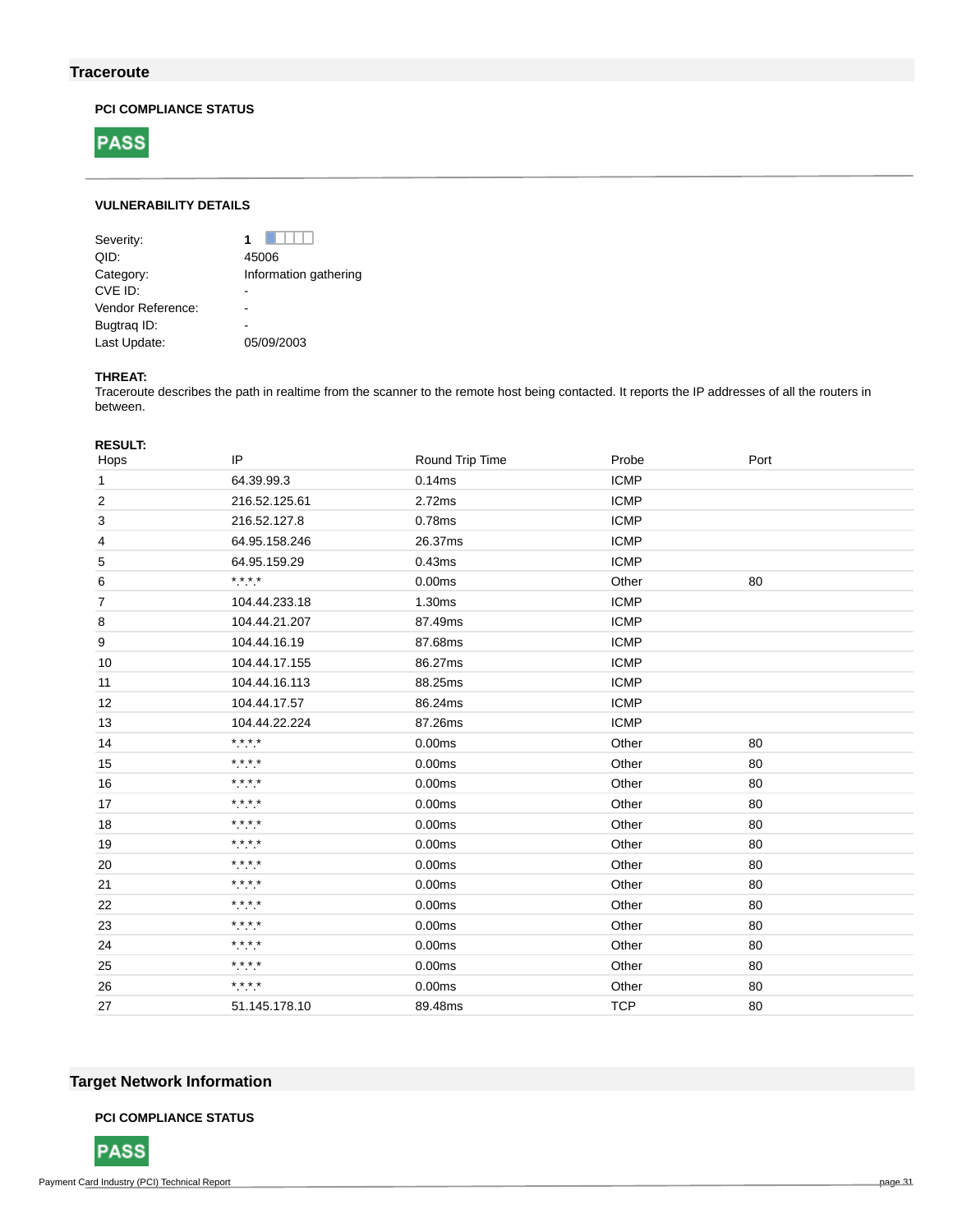## **Traceroute**

## **PCI COMPLIANCE STATUS**



## **VULNERABILITY DETAILS**

| Severity:         | 1                     |
|-------------------|-----------------------|
| QID:              | 45006                 |
| Category:         | Information gathering |
| CVE ID:           |                       |
| Vendor Reference: |                       |
| Bugtrag ID:       |                       |
| Last Update:      | 05/09/2003            |
|                   |                       |

## **THREAT:**

Traceroute describes the path in realtime from the scanner to the remote host being contacted. It reports the IP addresses of all the routers in between.

| <b>RESULT:</b> |                             |                 |             |      |
|----------------|-----------------------------|-----------------|-------------|------|
| Hops           | IP                          | Round Trip Time | Probe       | Port |
| $\mathbf{1}$   | 64.39.99.3                  | 0.14ms          | <b>ICMP</b> |      |
| $\overline{c}$ | 216.52.125.61               | 2.72ms          | <b>ICMP</b> |      |
| 3              | 216.52.127.8                | 0.78ms          | <b>ICMP</b> |      |
| 4              | 64.95.158.246               | 26.37ms         | <b>ICMP</b> |      |
| 5              | 64.95.159.29                | 0.43ms          | <b>ICMP</b> |      |
| 6              | $***$                       | 0.00ms          | Other       | 80   |
| $\overline{7}$ | 104.44.233.18               | 1.30ms          | <b>ICMP</b> |      |
| 8              | 104.44.21.207               | 87.49ms         | <b>ICMP</b> |      |
| 9              | 104.44.16.19                | 87.68ms         | <b>ICMP</b> |      |
| 10             | 104.44.17.155               | 86.27ms         | <b>ICMP</b> |      |
| 11             | 104.44.16.113               | 88.25ms         | <b>ICMP</b> |      |
| 12             | 104.44.17.57                | 86.24ms         | <b>ICMP</b> |      |
| 13             | 104.44.22.224               | 87.26ms         | <b>ICMP</b> |      |
| 14             | $***$                       | 0.00ms          | Other       | 80   |
| 15             | * * * *<br>.                | 0.00ms          | Other       | 80   |
| 16             | * * * *                     | 0.00ms          | Other       | 80   |
| 17             | * * * *<br>$\sim$ $\sim$    | 0.00ms          | Other       | 80   |
| 18             | * * * *<br>.                | 0.00ms          | Other       | 80   |
| 19             | * * * *<br>$\cdots$         | 0.00ms          | Other       | 80   |
| 20             | * * * *<br>$\sim$ 100 $\pm$ | 0.00ms          | Other       | 80   |
| 21             | $***$                       | 0.00ms          | Other       | 80   |
| 22             | * * * *<br>$\sim$ $\sim$    | 0.00ms          | Other       | 80   |
| 23             | * * * *                     | 0.00ms          | Other       | 80   |
| 24             | $***$                       | 0.00ms          | Other       | 80   |
| 25             | * * * *<br>.                | 0.00ms          | Other       | 80   |
| 26             | * * * *<br>$\sim$ $\sim$    | 0.00ms          | Other       | 80   |
| 27             | 51.145.178.10               | 89.48ms         | <b>TCP</b>  | 80   |

## **Target Network Information**

## **PCI COMPLIANCE STATUS**

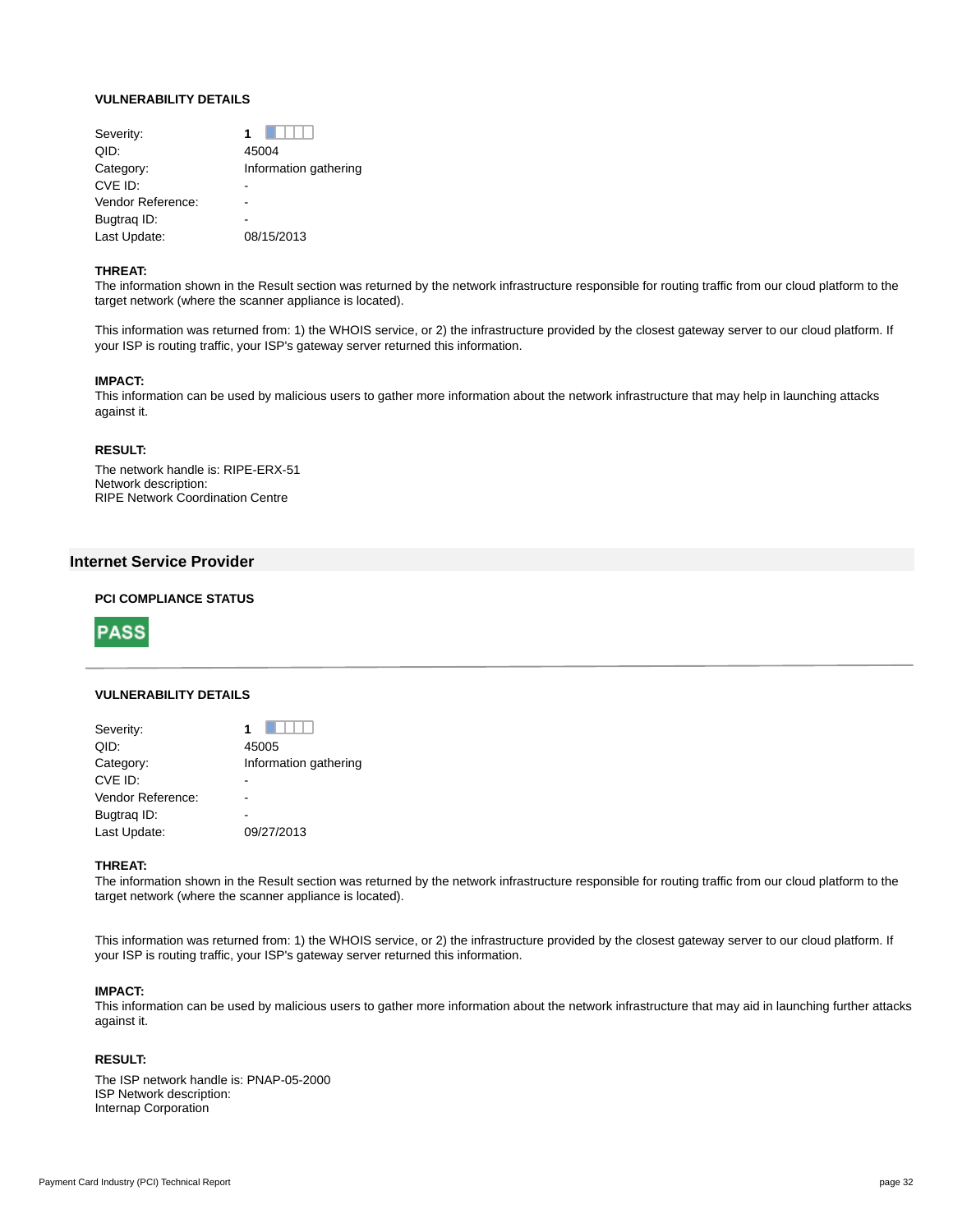## **VULNERABILITY DETAILS**

| Severity:         |                       |
|-------------------|-----------------------|
| QID:              | 45004                 |
| Category:         | Information gathering |
| CVE ID:           |                       |
| Vendor Reference: |                       |
| Bugtrag ID:       |                       |
| Last Update:      | 08/15/2013            |
|                   |                       |

#### **THREAT:**

The information shown in the Result section was returned by the network infrastructure responsible for routing traffic from our cloud platform to the target network (where the scanner appliance is located).

This information was returned from: 1) the WHOIS service, or 2) the infrastructure provided by the closest gateway server to our cloud platform. If your ISP is routing traffic, your ISP's gateway server returned this information.

#### **IMPACT:**

This information can be used by malicious users to gather more information about the network infrastructure that may help in launching attacks against it.

## **RESULT:**

The network handle is: RIPE-ERX-51 Network description: RIPE Network Coordination Centre

## **Internet Service Provider**

## **PCI COMPLIANCE STATUS**



#### **VULNERABILITY DETAILS**

| Severity:         |                       |
|-------------------|-----------------------|
| QID:              | 45005                 |
| Category:         | Information gathering |
| CVE ID:           |                       |
| Vendor Reference: |                       |
| Bugtrag ID:       |                       |
| Last Update:      | 09/27/2013            |

### **THREAT:**

The information shown in the Result section was returned by the network infrastructure responsible for routing traffic from our cloud platform to the target network (where the scanner appliance is located).

This information was returned from: 1) the WHOIS service, or 2) the infrastructure provided by the closest gateway server to our cloud platform. If your ISP is routing traffic, your ISP's gateway server returned this information.

#### **IMPACT:**

This information can be used by malicious users to gather more information about the network infrastructure that may aid in launching further attacks against it.

## **RESULT:**

The ISP network handle is: PNAP-05-2000 ISP Network description: Internap Corporation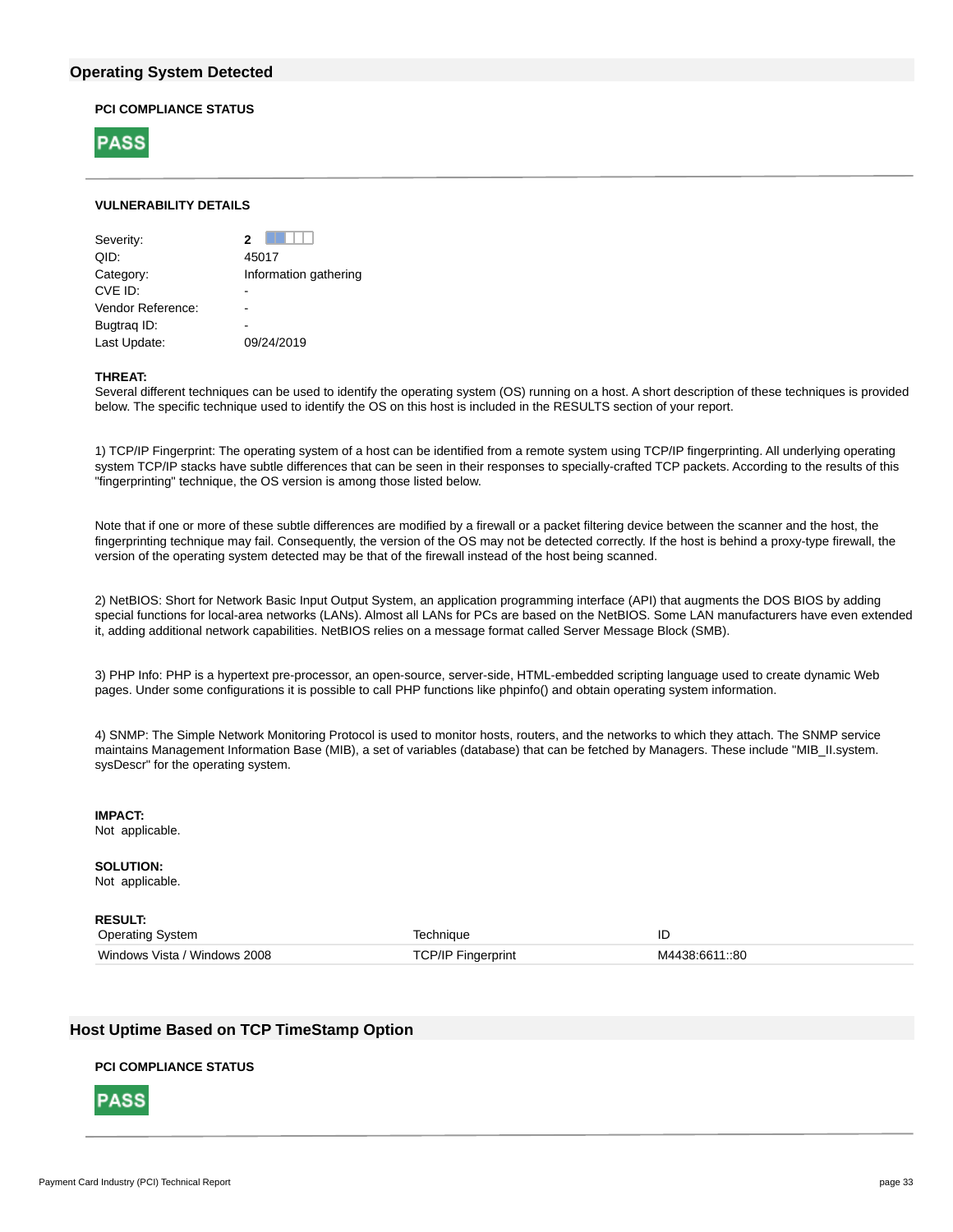## **Operating System Detected**

## **PCI COMPLIANCE STATUS**



## **VULNERABILITY DETAILS**

| Severity:         | 2                     |
|-------------------|-----------------------|
| QID:              | 45017                 |
| Category:         | Information gathering |
| CVE ID:           |                       |
| Vendor Reference: |                       |
| Bugtrag ID:       |                       |
| Last Update:      | 09/24/2019            |
|                   |                       |

#### **THREAT:**

Several different techniques can be used to identify the operating system (OS) running on a host. A short description of these techniques is provided below. The specific technique used to identify the OS on this host is included in the RESULTS section of your report.

1) TCP/IP Fingerprint: The operating system of a host can be identified from a remote system using TCP/IP fingerprinting. All underlying operating system TCP/IP stacks have subtle differences that can be seen in their responses to specially-crafted TCP packets. According to the results of this "fingerprinting" technique, the OS version is among those listed below.

Note that if one or more of these subtle differences are modified by a firewall or a packet filtering device between the scanner and the host, the fingerprinting technique may fail. Consequently, the version of the OS may not be detected correctly. If the host is behind a proxy-type firewall, the version of the operating system detected may be that of the firewall instead of the host being scanned.

2) NetBIOS: Short for Network Basic Input Output System, an application programming interface (API) that augments the DOS BIOS by adding special functions for local-area networks (LANs). Almost all LANs for PCs are based on the NetBIOS. Some LAN manufacturers have even extended it, adding additional network capabilities. NetBIOS relies on a message format called Server Message Block (SMB).

3) PHP Info: PHP is a hypertext pre-processor, an open-source, server-side, HTML-embedded scripting language used to create dynamic Web pages. Under some configurations it is possible to call PHP functions like phpinfo() and obtain operating system information.

4) SNMP: The Simple Network Monitoring Protocol is used to monitor hosts, routers, and the networks to which they attach. The SNMP service maintains Management Information Base (MIB), a set of variables (database) that can be fetched by Managers. These include "MIB\_II.system. sysDescr" for the operating system.

## **IMPACT:**

Not applicable.

**SOLUTION:** Not applicable.

**RESULT:** Operating System Technique ID Windows Vista / Windows 2008 TCP/IP Fingerprint M4438:6611::80

## **Host Uptime Based on TCP TimeStamp Option**

## **PCI COMPLIANCE STATUS**

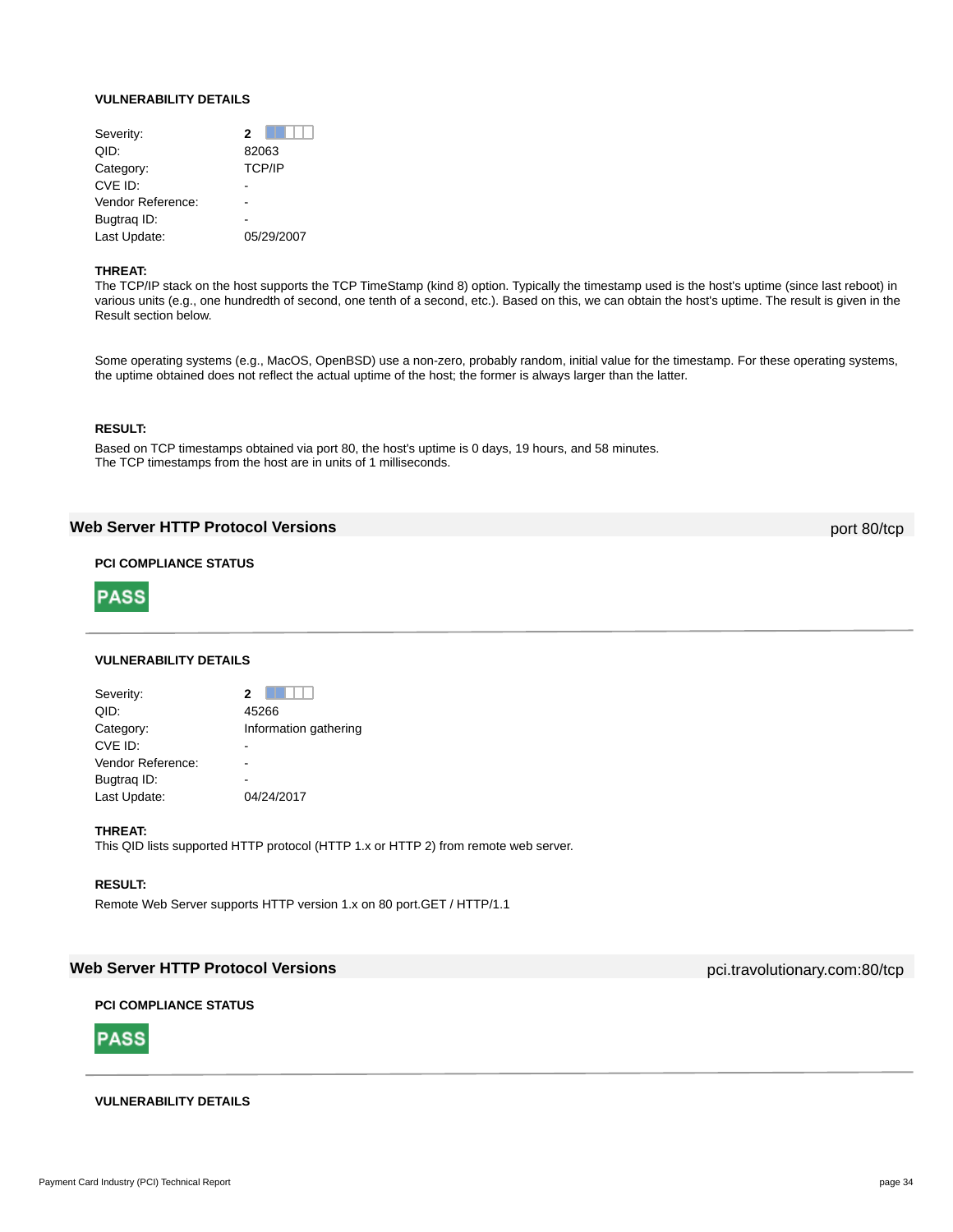#### **VULNERABILITY DETAILS**

| 2             |
|---------------|
| 82063         |
| <b>TCP/IP</b> |
|               |
|               |
|               |
| 05/29/2007    |
|               |

## **THREAT:**

The TCP/IP stack on the host supports the TCP TimeStamp (kind 8) option. Typically the timestamp used is the host's uptime (since last reboot) in various units (e.g., one hundredth of second, one tenth of a second, etc.). Based on this, we can obtain the host's uptime. The result is given in the Result section below.

Some operating systems (e.g., MacOS, OpenBSD) use a non-zero, probably random, initial value for the timestamp. For these operating systems, the uptime obtained does not reflect the actual uptime of the host; the former is always larger than the latter.

## **RESULT:**

Based on TCP timestamps obtained via port 80, the host's uptime is 0 days, 19 hours, and 58 minutes. The TCP timestamps from the host are in units of 1 milliseconds.

## **Web Server HTTP Protocol Versions port 80/tcp** port 80/tcp

## **PCI COMPLIANCE STATUS**



#### **VULNERABILITY DETAILS**

| Severity:         | 2                     |
|-------------------|-----------------------|
| QID:              | 45266                 |
| Category:         | Information gathering |
| CVE ID:           |                       |
| Vendor Reference: |                       |
| Bugtrag ID:       |                       |
| Last Update:      | 04/24/2017            |
|                   |                       |

## **THREAT:**

This QID lists supported HTTP protocol (HTTP 1.x or HTTP 2) from remote web server.

## **RESULT:**

Remote Web Server supports HTTP version 1.x on 80 port.GET / HTTP/1.1

## **Web Server HTTP Protocol Versions pcitive Contract Contract Contract Contract Contract Contract Contract Contract Contract Contract Contract Contract Contract Contract Contract Contract Contract Contract Contract Contra**

## **PCI COMPLIANCE STATUS**



## **VULNERABILITY DETAILS**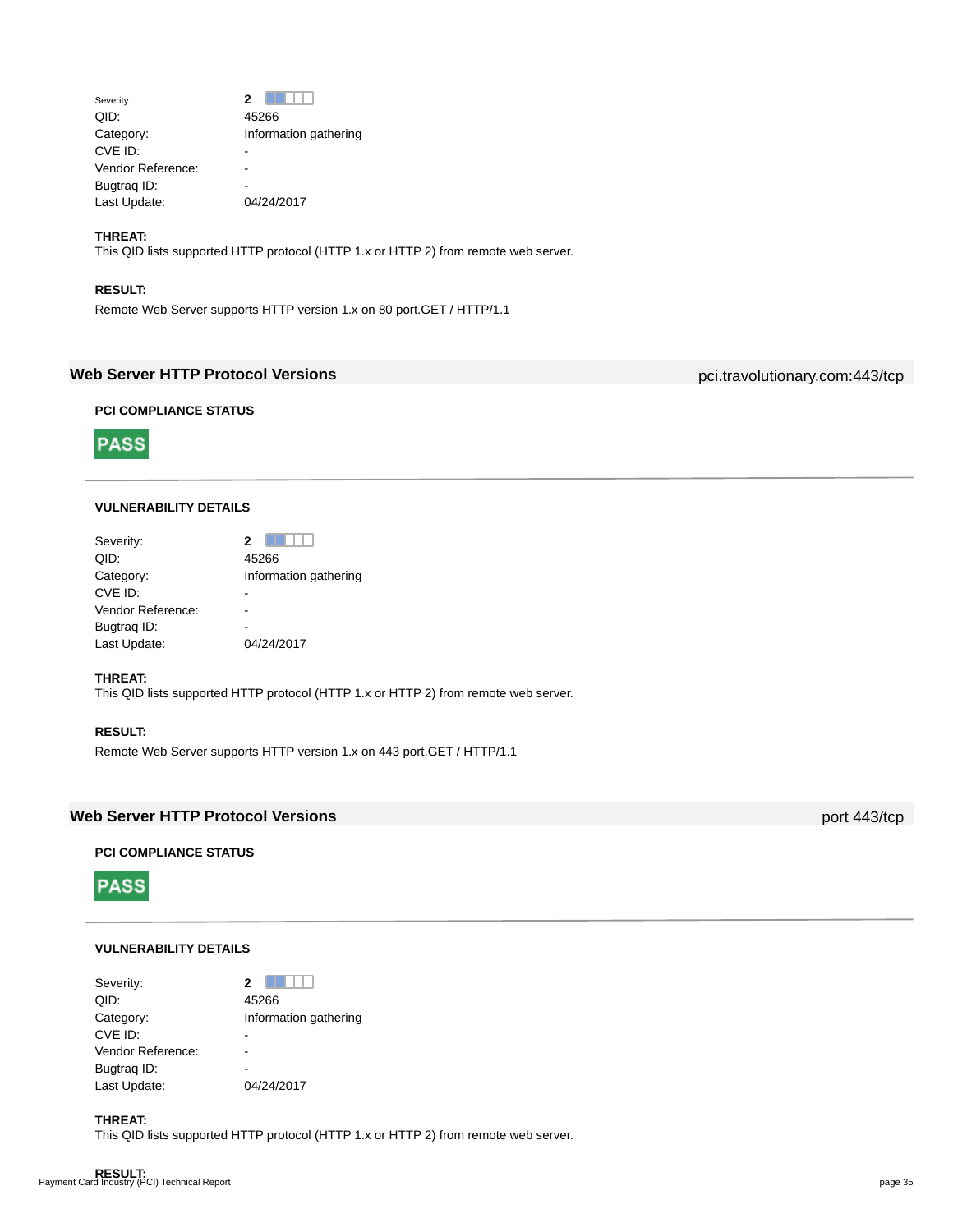| Severity:         |                       |
|-------------------|-----------------------|
| QID:              | 45266                 |
| Category:         | Information gathering |
| CVE ID:           |                       |
| Vendor Reference: |                       |
| Bugtrag ID:       |                       |
| Last Update:      | 04/24/2017            |

## **THREAT:**

This QID lists supported HTTP protocol (HTTP 1.x or HTTP 2) from remote web server.

## **RESULT:**

**PASS** 

Remote Web Server supports HTTP version 1.x on 80 port.GET / HTTP/1.1

## **Web Server HTTP Protocol Versions pci.travolutionary.com:443/tcp**

**PCI COMPLIANCE STATUS**



| Severity:         |                       |
|-------------------|-----------------------|
| QID:              | 45266                 |
| Category:         | Information gathering |
| CVE ID:           |                       |
| Vendor Reference: |                       |
| Bugtrag ID:       |                       |
| Last Update:      | 04/24/2017            |

## **THREAT:**

This QID lists supported HTTP protocol (HTTP 1.x or HTTP 2) from remote web server.

## **RESULT:**

Remote Web Server supports HTTP version 1.x on 443 port.GET / HTTP/1.1

## **Web Server HTTP Protocol Versions port 443/tcp**

## **PCI COMPLIANCE STATUS**

**PASS** 

## **VULNERABILITY DETAILS**

| 2                     |
|-----------------------|
| 45266                 |
| Information gathering |
|                       |
|                       |
|                       |
| 04/24/2017            |
|                       |

## **THREAT:**

This QID lists supported HTTP protocol (HTTP 1.x or HTTP 2) from remote web server.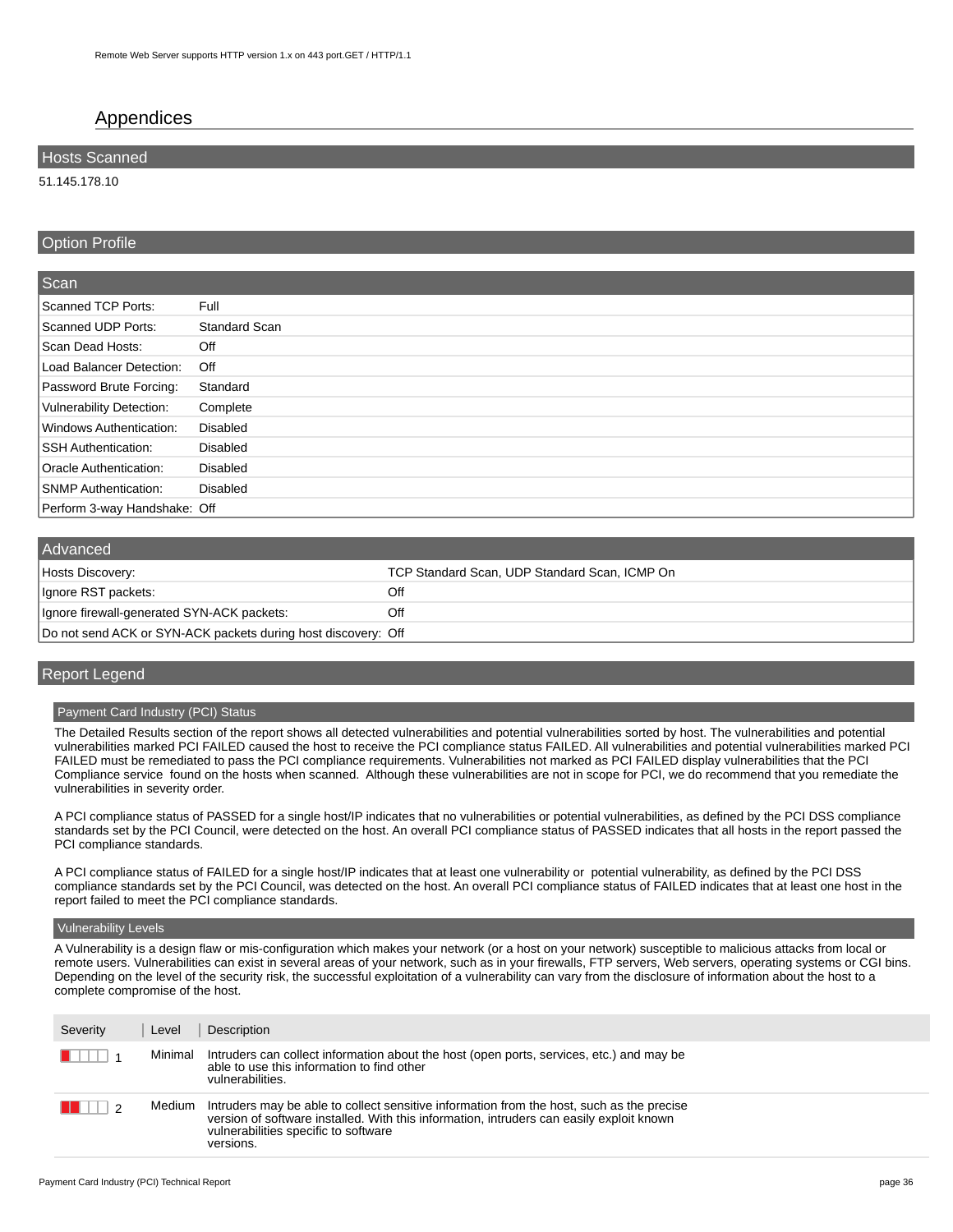## Appendices

## **Hosts Scanned**

51.145.178.10

## Option Profile

| Scan                         |                 |
|------------------------------|-----------------|
| Scanned TCP Ports:           | Full            |
| Scanned UDP Ports:           | Standard Scan   |
| Scan Dead Hosts:             | Off             |
| Load Balancer Detection:     | Off             |
| Password Brute Forcing:      | Standard        |
| Vulnerability Detection:     | Complete        |
| Windows Authentication:      | Disabled        |
| <b>SSH Authentication:</b>   | <b>Disabled</b> |
| Oracle Authentication:       | <b>Disabled</b> |
| <b>SNMP Authentication:</b>  | <b>Disabled</b> |
| Perform 3-way Handshake: Off |                 |

| Advanced                                                      |                                               |
|---------------------------------------------------------------|-----------------------------------------------|
| Hosts Discovery:                                              | TCP Standard Scan, UDP Standard Scan, ICMP On |
| Ignore RST packets:                                           | Off                                           |
| Ignore firewall-generated SYN-ACK packets:                    | Off                                           |
| Do not send ACK or SYN-ACK packets during host discovery: Off |                                               |

## Report Legend

## Payment Card Industry (PCI) Status

The Detailed Results section of the report shows all detected vulnerabilities and potential vulnerabilities sorted by host. The vulnerabilities and potential vulnerabilities marked PCI FAILED caused the host to receive the PCI compliance status FAILED. All vulnerabilities and potential vulnerabilities marked PCI FAILED must be remediated to pass the PCI compliance requirements. Vulnerabilities not marked as PCI FAILED display vulnerabilities that the PCI Compliance service found on the hosts when scanned. Although these vulnerabilities are not in scope for PCI, we do recommend that you remediate the vulnerabilities in severity order.

A PCI compliance status of PASSED for a single host/IP indicates that no vulnerabilities or potential vulnerabilities, as defined by the PCI DSS compliance standards set by the PCI Council, were detected on the host. An overall PCI compliance status of PASSED indicates that all hosts in the report passed the PCI compliance standards.

A PCI compliance status of FAILED for a single host/IP indicates that at least one vulnerability or potential vulnerability, as defined by the PCI DSS compliance standards set by the PCI Council, was detected on the host. An overall PCI compliance status of FAILED indicates that at least one host in the report failed to meet the PCI compliance standards.

#### Vulnerability Levels

A Vulnerability is a design flaw or mis-configuration which makes your network (or a host on your network) susceptible to malicious attacks from local or remote users. Vulnerabilities can exist in several areas of your network, such as in your firewalls, FTP servers, Web servers, operating systems or CGI bins. Depending on the level of the security risk, the successful exploitation of a vulnerability can vary from the disclosure of information about the host to a complete compromise of the host.

| Severity | Level   | Description                                                                                                                                                                                                                                |
|----------|---------|--------------------------------------------------------------------------------------------------------------------------------------------------------------------------------------------------------------------------------------------|
|          | Minimal | Intruders can collect information about the host (open ports, services, etc.) and may be<br>able to use this information to find other<br>vulnerabilities.                                                                                 |
|          | Medium  | Intruders may be able to collect sensitive information from the host, such as the precise<br>version of software installed. With this information, intruders can easily exploit known<br>vulnerabilities specific to software<br>versions. |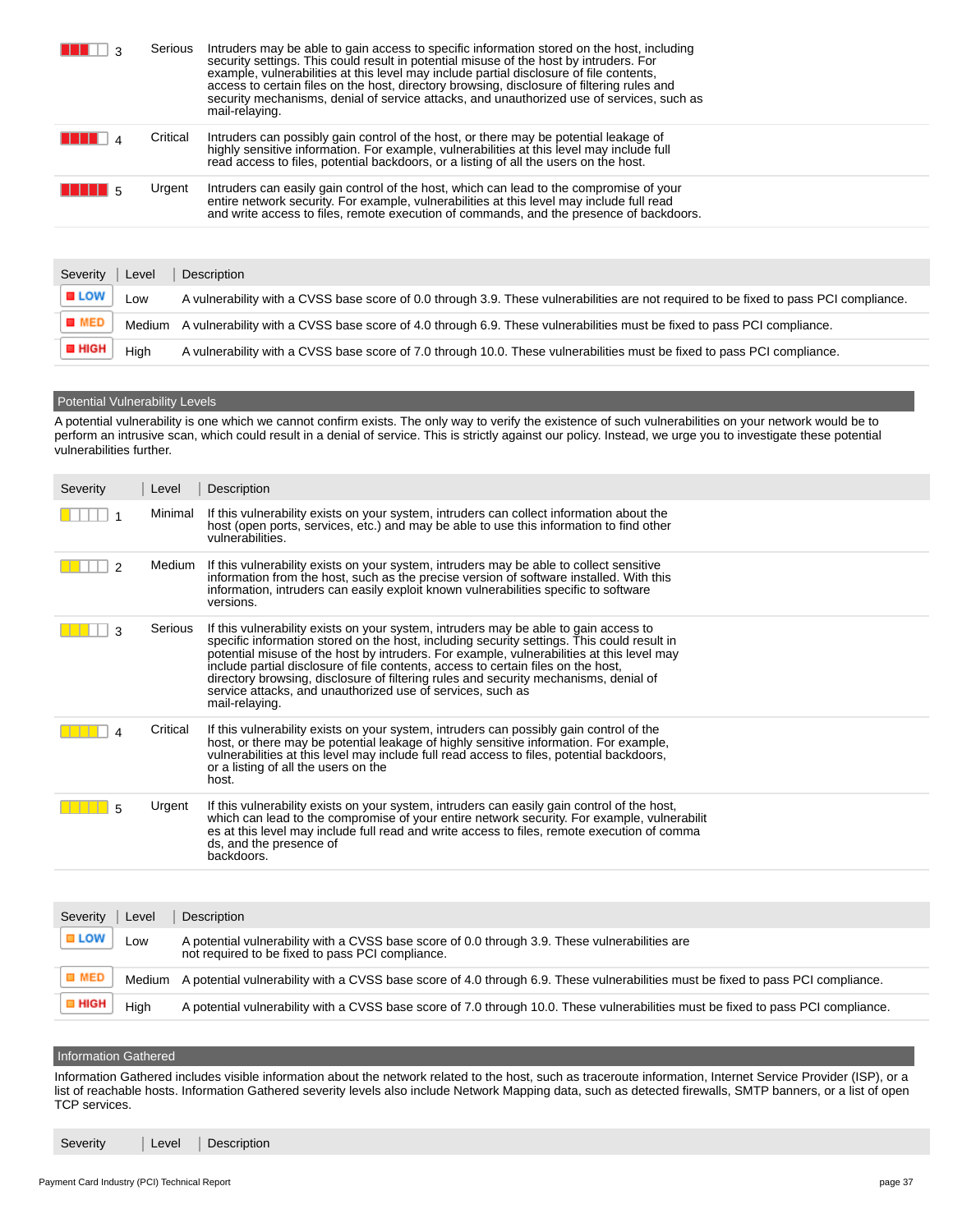|              |       | Serious  | Intruders may be able to gain access to specific information stored on the host, including<br>security settings. This could result in potential misuse of the host by intruders. For<br>example, vulnerabilities at this level may include partial disclosure of file contents,<br>access to certain files on the host, directory browsing, disclosure of filtering rules and<br>security mechanisms, denial of service attacks, and unauthorized use of services, such as<br>mail-relaying. |
|--------------|-------|----------|----------------------------------------------------------------------------------------------------------------------------------------------------------------------------------------------------------------------------------------------------------------------------------------------------------------------------------------------------------------------------------------------------------------------------------------------------------------------------------------------|
|              |       | Critical | Intruders can possibly gain control of the host, or there may be potential leakage of<br>highly sensitive information. For example, vulnerabilities at this level may include full<br>read access to files, potential backdoors, or a listing of all the users on the host.                                                                                                                                                                                                                  |
|              |       | Urgent   | Intruders can easily gain control of the host, which can lead to the compromise of your<br>entire network security. For example, vulnerabilities at this level may include full read<br>and write access to files, remote execution of commands, and the presence of backdoors.                                                                                                                                                                                                              |
|              |       |          |                                                                                                                                                                                                                                                                                                                                                                                                                                                                                              |
| Severity     | Level |          | Description                                                                                                                                                                                                                                                                                                                                                                                                                                                                                  |
| <b>■ LOW</b> | Low   |          | A vulnerability with a CVSS base score of 0.0 through 3.9. These vulnerabilities are not required to be fixed to pass PCI compliance.                                                                                                                                                                                                                                                                                                                                                        |
|              |       |          |                                                                                                                                                                                                                                                                                                                                                                                                                                                                                              |

**B** MED Medium A vulnerability with a CVSS base score of 4.0 through 6.9. These vulnerabilities must be fixed to pass PCI compliance.

**E** HIGH High A vulnerability with a CVSS base score of 7.0 through 10.0. These vulnerabilities must be fixed to pass PCI compliance.

## **Potential Vulnerability Levels**

A potential vulnerability is one which we cannot confirm exists. The only way to verify the existence of such vulnerabilities on your network would be to perform an intrusive scan, which could result in a denial of service. This is strictly against our policy. Instead, we urge you to investigate these potential vulnerabilities further.

| Severity | Level    | Description                                                                                                                                                                                                                                                                                                                                                                                                                                                                                                                                  |
|----------|----------|----------------------------------------------------------------------------------------------------------------------------------------------------------------------------------------------------------------------------------------------------------------------------------------------------------------------------------------------------------------------------------------------------------------------------------------------------------------------------------------------------------------------------------------------|
|          | Minimal  | If this vulnerability exists on your system, intruders can collect information about the<br>host (open ports, services, etc.) and may be able to use this information to find other<br>vulnerabilities.                                                                                                                                                                                                                                                                                                                                      |
| 2        | Medium   | If this vulnerability exists on your system, intruders may be able to collect sensitive<br>information from the host, such as the precise version of software installed. With this<br>information, intruders can easily exploit known vulnerabilities specific to software<br>versions.                                                                                                                                                                                                                                                      |
| ٩        | Serious  | If this vulnerability exists on your system, intruders may be able to gain access to<br>specific information stored on the host, including security settings. This could result in<br>potential misuse of the host by intruders. For example, vulnerabilities at this level may<br>include partial disclosure of file contents, access to certain files on the host,<br>directory browsing, disclosure of filtering rules and security mechanisms, denial of<br>service attacks, and unauthorized use of services, such as<br>mail-relaying. |
|          | Critical | If this vulnerability exists on your system, intruders can possibly gain control of the<br>host, or there may be potential leakage of highly sensitive information. For example,<br>vulnerabilities at this level may include full read access to files, potential backdoors,<br>or a listing of all the users on the<br>host.                                                                                                                                                                                                               |
|          | Urgent   | If this vulnerability exists on your system, intruders can easily gain control of the host,<br>which can lead to the compromise of your entire network security. For example, vulnerabilit<br>es at this level may include full read and write access to files, remote execution of comma<br>ds, and the presence of<br>backdoors.                                                                                                                                                                                                           |

| Severity           | Level  | Description                                                                                                                                        |
|--------------------|--------|----------------------------------------------------------------------------------------------------------------------------------------------------|
| $\blacksquare$ LOW | ∟ow    | A potential vulnerability with a CVSS base score of 0.0 through 3.9. These vulnerabilities are<br>not required to be fixed to pass PCI compliance. |
| <b>D</b> MED       | Medium | A potential vulnerability with a CVSS base score of 4.0 through 6.9. These vulnerabilities must be fixed to pass PCI compliance.                   |
| <b>EL HIGH</b>     | Hiah   | A potential vulnerability with a CVSS base score of 7.0 through 10.0. These vulnerabilities must be fixed to pass PCI compliance.                  |

#### Information Gathered

Information Gathered includes visible information about the network related to the host, such as traceroute information, Internet Service Provider (ISP), or a list of reachable hosts. Information Gathered severity levels also include Network Mapping data, such as detected firewalls, SMTP banners, or a list of open TCP services.

Severity | Level | Description